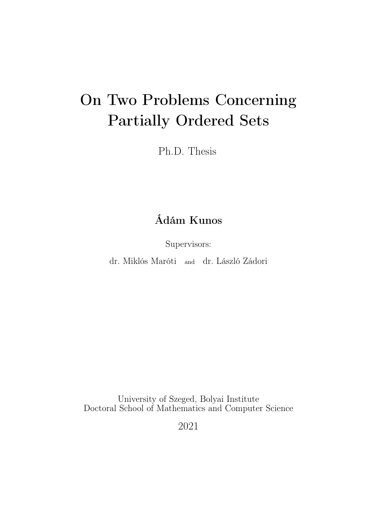# On Two Problems Concerning Partially Ordered Sets

Ph.D. Thesis

## Ádám Kunos

Supervisors:

dr. Miklós Maróti and dr. László Zádori

University of Szeged, Bolyai Institute Doctoral School of Mathematics and Computer Science

2021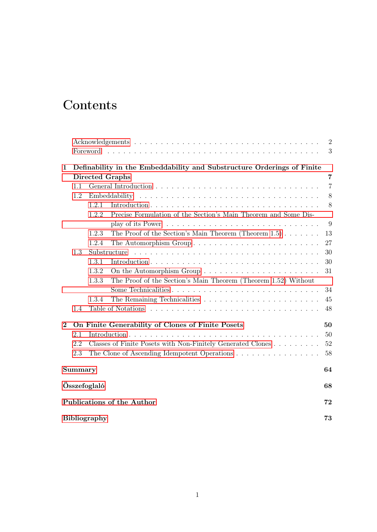## **Contents**

|              |                                                                        |                                                                                             | $\overline{2}$ |
|--------------|------------------------------------------------------------------------|---------------------------------------------------------------------------------------------|----------------|
|              |                                                                        |                                                                                             | 3              |
| $\mathbf{1}$ | Definability in the Embeddability and Substructure Orderings of Finite |                                                                                             |                |
|              |                                                                        | <b>Directed Graphs</b>                                                                      | $\overline{7}$ |
|              | 1.1                                                                    |                                                                                             | $\overline{7}$ |
|              | 1.2                                                                    |                                                                                             | $8\,$          |
|              |                                                                        | 1.2.1                                                                                       | 8              |
|              |                                                                        | Precise Formulation of the Section's Main Theorem and Some Dis-<br>1.2.2                    |                |
|              |                                                                        | play of its Power $\dots \dots \dots \dots \dots \dots \dots \dots \dots \dots \dots \dots$ | 9              |
|              |                                                                        | 1.2.3<br>The Proof of the Section's Main Theorem (Theorem $1.5$ )                           | 13             |
|              |                                                                        | The Automorphism Group<br>1.2.4                                                             | 27             |
|              | 1.3                                                                    | Substructure                                                                                | 30             |
|              |                                                                        | 1.3.1                                                                                       | 30             |
|              |                                                                        | 1.3.2                                                                                       | 31             |
|              |                                                                        | The Proof of the Section's Main Theorem (Theorem 1.52) Without<br>1.3.3                     |                |
|              |                                                                        |                                                                                             | 34             |
|              |                                                                        | 1.3.4                                                                                       | 45             |
|              | 1.4                                                                    |                                                                                             | 48             |
| $\bf{2}$     |                                                                        | On Finite Generability of Clones of Finite Posets                                           | 50             |
|              | 2.1                                                                    |                                                                                             | 50             |
|              | 2.2                                                                    | Classes of Finite Posets with Non-Finitely Generated Clones                                 | 52             |
|              | 2.3                                                                    | The Clone of Ascending Idempotent Operations                                                | 58             |
|              | Summary                                                                |                                                                                             |                |
|              | Összefoglaló<br>68                                                     |                                                                                             |                |
|              | Publications of the Author<br><b>Bibliography</b>                      |                                                                                             |                |
|              |                                                                        |                                                                                             |                |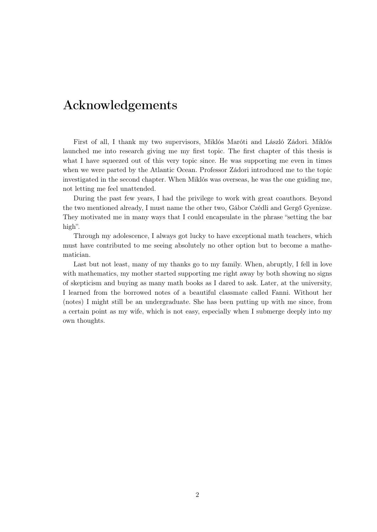### <span id="page-2-0"></span>Acknowledgements

First of all, I thank my two supervisors, Miklós Maróti and László Zádori. Miklós launched me into research giving me my first topic. The first chapter of this thesis is what I have squeezed out of this very topic since. He was supporting me even in times when we were parted by the Atlantic Ocean. Professor Zádori introduced me to the topic investigated in the second chapter. When Miklós was overseas, he was the one guiding me, not letting me feel unattended.

During the past few years, I had the privilege to work with great coauthors. Beyond the two mentioned already, I must name the other two, Gábor Czédli and Gergő Gyenizse. They motivated me in many ways that I could encapsulate in the phrase "setting the bar high".

Through my adolescence, I always got lucky to have exceptional math teachers, which must have contributed to me seeing absolutely no other option but to become a mathematician.

Last but not least, many of my thanks go to my family. When, abruptly, I fell in love with mathematics, my mother started supporting me right away by both showing no signs of skepticism and buying as many math books as I dared to ask. Later, at the university, I learned from the borrowed notes of a beautiful classmate called Fanni. Without her (notes) I might still be an undergraduate. She has been putting up with me since, from a certain point as my wife, which is not easy, especially when I submerge deeply into my own thoughts.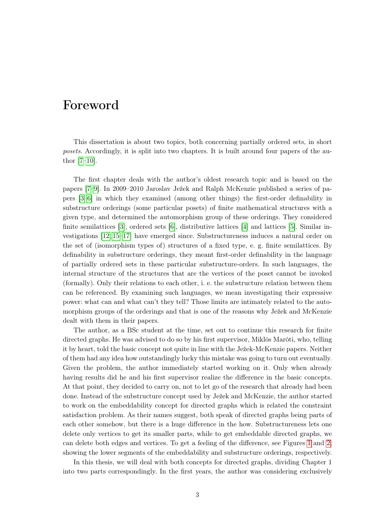### <span id="page-3-0"></span>Foreword

This dissertation is about two topics, both concerning partially ordered sets, in short posets. Accordingly, it is split into two chapters. It is built around four papers of the author [\[7–](#page-73-1)[10\]](#page-73-2).

The first chapter deals with the author's oldest research topic and is based on the papers [\[7–](#page-73-1)[9\]](#page-73-3). In 2009–2010 Jaroslav Ježek and Ralph McKenzie published a series of papers [\[3–](#page-73-4)[6\]](#page-73-5) in which they examined (among other things) the first-order definability in substructure orderings (some particular posets) of finite mathematical structures with a given type, and determined the automorphism group of these orderings. They considered finite semilattices [\[3\]](#page-73-4), ordered sets [\[6\]](#page-73-5), distributive lattices [\[4\]](#page-73-6) and lattices [\[5\]](#page-73-7). Similar investigations [\[12,](#page-73-8) [15–](#page-74-0)[17\]](#page-74-1) have emerged since. Substructureness induces a natural order on the set of (isomorphism types of) structures of a fixed type, e. g. finite semilattices. By definability in substructure orderings, they meant first-order definability in the language of partially ordered sets in these particular substructure-orders. In such languages, the internal structure of the structures that are the vertices of the poset cannot be invoked (formally). Only their relations to each other, i. e. the substructure relation between them can be referenced. By examining such languages, we mean investigating their expressive power: what can and what can't they tell? Those limits are intimately related to the automorphism groups of the orderings and that is one of the reasons why Ježek and McKenzie dealt with them in their papers.

The author, as a BSc student at the time, set out to continue this research for finite directed graphs. He was advised to do so by his first supervisor, Miklós Maróti, who, telling it by heart, told the basic concept not quite in line with the Ježek-McKenzie papers. Neither of them had any idea how outstandingly lucky this mistake was going to turn out eventually. Given the problem, the author immediately started working on it. Only when already having results did he and his first supervisor realize the difference in the basic concepts. At that point, they decided to carry on, not to let go of the research that already had been done. Instead of the substructure concept used by Ježek and McKenzie, the author started to work on the embeddability concept for directed graphs which is related the constraint satisfaction problem. As their names suggest, both speak of directed graphs being parts of each other somehow, but there is a huge difference in the how. Substructureness lets one delete only vertices to get its smaller parts, while to get embeddable directed graphs, we can delete both edges and vertices. To get a feeling of the difference, see Figures [1](#page-4-0) and [2,](#page-4-1) showing the lower segments of the embeddability and substructure orderings, respectively.

In this thesis, we will deal with both concepts for directed graphs, dividing Chapter 1 into two parts correspondingly. In the first years, the author was considering exclusively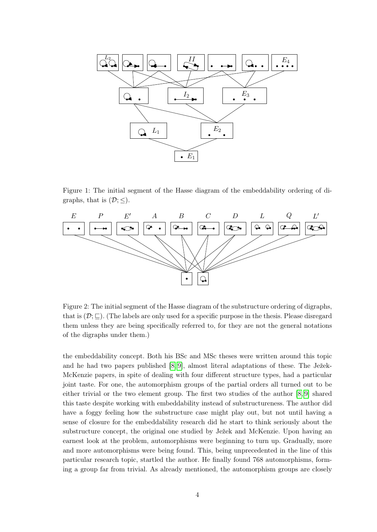

<span id="page-4-0"></span>Figure 1: The initial segment of the Hasse diagram of the embeddability ordering of digraphs, that is  $(\mathcal{D}; \leq)$ .



<span id="page-4-1"></span>Figure 2: The initial segment of the Hasse diagram of the substructure ordering of digraphs, that is  $(\mathcal{D}; \underline{\square})$ . (The labels are only used for a specific purpose in the thesis. Please disregard them unless they are being specifically referred to, for they are not the general notations of the digraphs under them.)

the embeddability concept. Both his BSc and MSc theses were written around this topic and he had two papers published [\[8,](#page-73-9) [9\]](#page-73-3), almost literal adaptations of these. The Ježek-McKenzie papers, in spite of dealing with four different structure types, had a particular joint taste. For one, the automorphism groups of the partial orders all turned out to be either trivial or the two element group. The first two studies of the author [\[8,](#page-73-9) [9\]](#page-73-3) shared this taste despite working with embeddability instead of substructureness. The author did have a foggy feeling how the substructure case might play out, but not until having a sense of closure for the embeddability research did he start to think seriously about the substructure concept, the original one studied by Ježek and McKenzie. Upon having an earnest look at the problem, automorphisms were beginning to turn up. Gradually, more and more automorphisms were being found. This, being unprecedented in the line of this particular research topic, startled the author. He finally found 768 automorphisms, forming a group far from trivial. As already mentioned, the automorphism groups are closely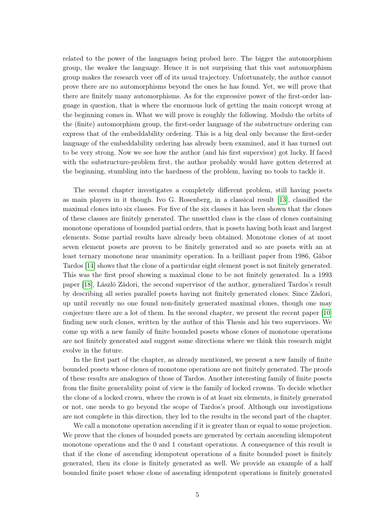related to the power of the languages being probed here. The bigger the automorphism group, the weaker the language. Hence it is not surprising that this vast automorphism group makes the research veer off of its usual trajectory. Unfortunately, the author cannot prove there are no automorphisms beyond the ones he has found. Yet, we will prove that there are finitely many automorphisms. As for the expressive power of the first-order language in question, that is where the enormous luck of getting the main concept wrong at the beginning comes in. What we will prove is roughly the following. Modulo the orbits of the (finite) automorphism group, the first-order language of the substructure ordering can express that of the embeddability ordering. This is a big deal only because the first-order language of the embeddability ordering has already been examined, and it has turned out to be very strong. Now we see how the author (and his first supervisor) got lucky. If faced with the substructure-problem first, the author probably would have gotten deterred at the beginning, stumbling into the hardness of the problem, having no tools to tackle it.

The second chapter investigates a completely different problem, still having posets as main players in it though. Ivo G. Rosenberg, in a classical result [\[13\]](#page-73-10), classified the maximal clones into six classes. For five of the six classes it has been shown that the clones of these classes are finitely generated. The unsettled class is the class of clones containing monotone operations of bounded partial orders, that is posets having both least and largest elements. Some partial results have already been obtained. Monotone clones of at most seven element posets are proven to be finitely generated and so are posets with an at least ternary monotone near unanimity operation. In a brilliant paper from 1986, Gábor Tardos [\[14\]](#page-74-2) shows that the clone of a particular eight element poset is not finitely generated. This was the first proof showing a maximal clone to be not finitely generated. In a 1993 paper [\[18\]](#page-74-3), László Zádori, the second supervisor of the author, generalized Tardos's result by describing all series parallel posets having not finitely generated clones. Since Zádori, up until recently no one found non-finitely generated maximal clones, though one may conjecture there are a lot of them. In the second chapter, we present the recent paper [\[10\]](#page-73-2) finding new such clones, written by the author of this Thesis and his two supervisors. We come up with a new family of finite bounded posets whose clones of monotone operations are not finitely generated and suggest some directions where we think this research might evolve in the future.

In the first part of the chapter, as already mentioned, we present a new family of finite bounded posets whose clones of monotone operations are not finitely generated. The proofs of these results are analogues of those of Tardos. Another interesting family of finite posets from the finite generability point of view is the family of locked crowns. To decide whether the clone of a locked crown, where the crown is of at least six elements, is finitely generated or not, one needs to go beyond the scope of Tardos's proof. Although our investigations are not complete in this direction, they led to the results in the second part of the chapter.

We call a monotone operation ascending if it is greater than or equal to some projection. We prove that the clones of bounded posets are generated by certain ascending idempotent monotone operations and the 0 and 1 constant operations. A consequence of this result is that if the clone of ascending idempotent operations of a finite bounded poset is finitely generated, then its clone is finitely generated as well. We provide an example of a half bounded finite poset whose clone of ascending idempotent operations is finitely generated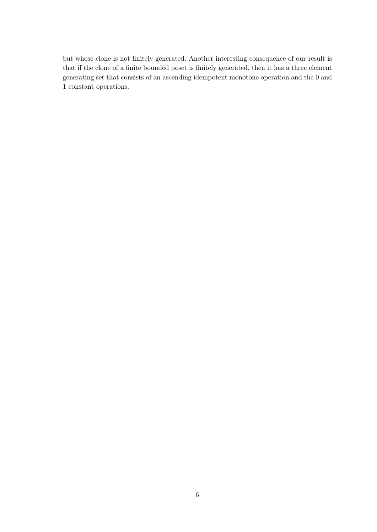but whose clone is not finitely generated. Another interesting consequence of our result is that if the clone of a finite bounded poset is finitely generated, then it has a three element generating set that consists of an ascending idempotent monotone operation and the 0 and 1 constant operations.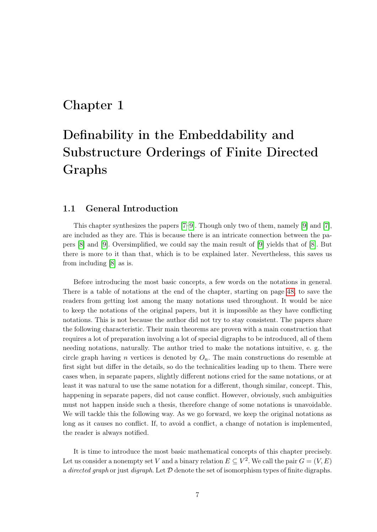### <span id="page-7-0"></span>Chapter 1

## Definability in the Embeddability and Substructure Orderings of Finite Directed Graphs

#### <span id="page-7-1"></span>1.1 General Introduction

This chapter synthesizes the papers [\[7–](#page-73-1)[9\]](#page-73-3). Though only two of them, namely [\[9\]](#page-73-3) and [\[7\]](#page-73-1), are included as they are. This is because there is an intricate connection between the papers [\[8\]](#page-73-9) and [\[9\]](#page-73-3). Oversimplified, we could say the main result of [\[9\]](#page-73-3) yields that of [\[8\]](#page-73-9). But there is more to it than that, which is to be explained later. Nevertheless, this saves us from including [\[8\]](#page-73-9) as is.

Before introducing the most basic concepts, a few words on the notations in general. There is a table of notations at the end of the chapter, starting on page [48,](#page-48-0) to save the readers from getting lost among the many notations used throughout. It would be nice to keep the notations of the original papers, but it is impossible as they have conflicting notations. This is not because the author did not try to stay consistent. The papers share the following characteristic. Their main theorems are proven with a main construction that requires a lot of preparation involving a lot of special digraphs to be introduced, all of them needing notations, naturally. The author tried to make the notations intuitive, e. g. the circle graph having n vertices is denoted by  $O_n$ . The main constructions do resemble at first sight but differ in the details, so do the technicalities leading up to them. There were cases when, in separate papers, slightly different notions cried for the same notations, or at least it was natural to use the same notation for a different, though similar, concept. This, happening in separate papers, did not cause conflict. However, obviously, such ambiguities must not happen inside such a thesis, therefore change of some notations is unavoidable. We will tackle this the following way. As we go forward, we keep the original notations as long as it causes no conflict. If, to avoid a conflict, a change of notation is implemented, the reader is always notified.

It is time to introduce the most basic mathematical concepts of this chapter precisely. Let us consider a nonempty set V and a binary relation  $E \subseteq V^2$ . We call the pair  $G = (V, E)$ a directed graph or just digraph. Let  $D$  denote the set of isomorphism types of finite digraphs.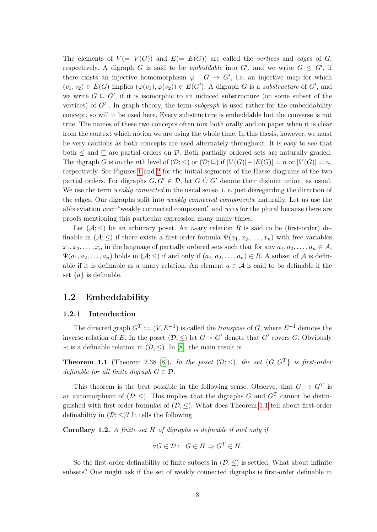The elements of  $V = V(G)$  and  $E = E(G)$  are called the vertices and edges of G, respectively. A digraph G is said to be *embeddable* into G', and we write  $G \leq G'$ , if there exists an injective homomorphism  $\varphi : G \to G'$ , i.e. an injective map for which  $(v_1, v_2) \in E(G)$  implies  $(\varphi(v_1), \varphi(v_2)) \in E(G')$ . A digraph G is a substructure of G', and we write  $G \subseteq G'$ , if it is isomorphic to an induced substructure (on some subset of the vertices) of  $G'$ . In graph theory, the term *subgraph* is used rather for the embeddability concept, so will it be used here. Every substructure is embeddable but the converse is not true. The names of these two concepts often mix both orally and on paper when it is clear from the context which notion we are using the whole time. In this thesis, however, we must be very cautious as both concepts are used alternately throughout. It is easy to see that both  $\leq$  and  $\sqsubseteq$  are partial orders on  $\mathcal{D}$ . Both partially ordered sets are naturally graded. The digraph G is on the nth level of  $(\mathcal{D}; \leq)$  or  $(\mathcal{D}; \subseteq)$  if  $|V(G)|+|E(G)| = n$  or  $|V(G)| = n$ , respectively. See Figures [1](#page-4-0) and [2](#page-4-1) for the initial segments of the Hasse diagrams of the two partial orders. For digraphs  $G, G' \in \mathcal{D}$ , let  $G \cup G'$  denote their disjoint union, as usual. We use the term *weakly connected* in the usual sense, i. e. just disregarding the direction of the edges. Our digraphs split into weakly connected components, naturally. Let us use the abbreviation wcc="weakly connected component" and wccs for the plural because there are proofs mentioning this particular expression many many times.

Let  $(A; \leq)$  be an arbitrary poset. An *n*-ary relation R is said to be (first-order) definable in  $(A; \leq)$  if there exists a first-order formula  $\Psi(x_1, x_2, \ldots, x_n)$  with free variables  $x_1, x_2, \ldots, x_n$  in the language of partially ordered sets such that for any  $a_1, a_2, \ldots, a_n \in \mathcal{A}$ ,  $\Psi(a_1, a_2, \ldots, a_n)$  holds in  $(\mathcal{A}; \leq)$  if and only if  $(a_1, a_2, \ldots, a_n) \in R$ . A subset of A is definable if it is definable as a unary relation. An element  $a \in \mathcal{A}$  is said to be definable if the set  $\{a\}$  is definable.

#### <span id="page-8-0"></span>1.2 Embeddability

#### <span id="page-8-1"></span>1.2.1 Introduction

The directed graph  $G^T := (V, E^{-1})$  is called the *transpose* of G, where  $E^{-1}$  denotes the inverse relation of E. In the poset  $(\mathcal{D}, \leq)$  let  $G \prec G'$  denote that  $G'$  covers G. Obviously  $\prec$  is a definable relation in  $(\mathcal{D}, \le)$ . In [\[8\]](#page-73-9), the main result is

<span id="page-8-2"></span>**Theorem 1.1** (Theorem 2.38 [\[8\]](#page-73-9)). In the poset  $(\mathcal{D}; \leq)$ , the set  $\{G, G^T\}$  is first-order definable for all finite digraph  $G \in \mathcal{D}$ .

This theorem is the best possible in the following sense. Observe, that  $G \mapsto G^T$  is an automorphism of  $(D;\le)$ . This implies that the digraphs G and  $G<sup>T</sup>$  cannot be distinguished with first-order formulas of  $(\mathcal{D};<)$ . What does Theorem [1.1](#page-8-2) tell about first-order definability in  $(\mathcal{D}; \leq)$ ? It tells the following

Corollary 1.2. A finite set H of digraphs is definable if and only if

$$
\forall G \in \mathcal{D}: \ G \in H \Rightarrow G^T \in H.
$$

So the first-order definability of finite subsets in  $(\mathcal{D}; <)$  is settled. What about infinite subsets? One might ask if the set of weakly connected digraphs is first-order definable in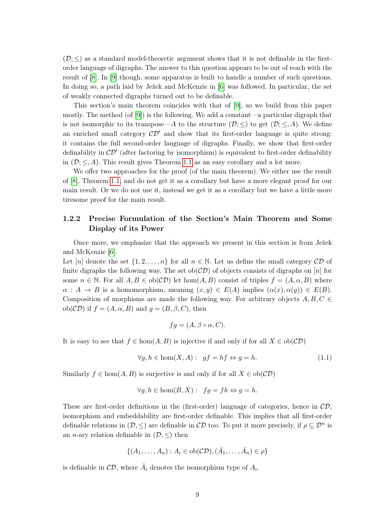$(\mathcal{D}; \leq)$  as a standard model-theoretic argument shows that it is not definable in the firstorder language of digraphs. The answer to this question appears to be out of reach with the result of [\[8\]](#page-73-9). In [\[9\]](#page-73-3) though, some apparatus is built to handle a number of such questions. In doing so, a path laid by Ježek and McKenzie in [\[6\]](#page-73-5) was followed. In particular, the set of weakly connected digraphs turned out to be definable.

This section's main theorem coincides with that of [\[9\]](#page-73-3), so we build from this paper mostly. The method (of [\[9\]](#page-73-3)) is the following. We add a constant—a particular digraph that is not isomorphic to its transpose—A to the structure  $(\mathcal{D}; \leq)$  to get  $(\mathcal{D}; \leq, A)$ . We define an enriched small category  $\mathcal{CD}'$  and show that its first-order language is quite strong: it contains the full second-order language of digraphs. Finally, we show that first-order definability in  $\mathcal{CD}'$  (after factoring by isomorphism) is equivalent to first-order definability in  $(\mathcal{D}; \leq, A)$ . This result gives Theorem [1.1](#page-8-2) as an easy corollary and a lot more.

We offer two approaches for the proof (of the main theorem). We either use the result of [\[8\]](#page-73-9), Theorem [1.1,](#page-8-2) and do not get it as a corollary but have a more elegant proof for our main result. Or we do not use it, instead we get it as a corollary but we have a little more tiresome proof for the main result.

#### <span id="page-9-0"></span>1.2.2 Precise Formulation of the Section's Main Theorem and Some Display of its Power

Once more, we emphasize that the approach we present in this section is from Ježek and McKenzie [\[6\]](#page-73-5).

Let [n] denote the set  $\{1, 2, \ldots, n\}$  for all  $n \in \mathbb{N}$ . Let us define the small category CD of finite digraphs the following way. The set  $ob(\mathcal{CD})$  of objects consists of digraphs on [n] for some  $n \in \mathbb{N}$ . For all  $A, B \in ob(\mathcal{CD})$  let  $hom(A, B)$  consist of triples  $f = (A, \alpha, B)$  where  $\alpha : A \to B$  is a homomorphism, meaning  $(x, y) \in E(A)$  implies  $(\alpha(x), \alpha(y)) \in E(B)$ . Composition of morphisms are made the following way. For arbitrary objects  $A, B, C \in$ ob( $\mathcal{CD}$ ) if  $f = (A, \alpha, B)$  and  $q = (B, \beta, C)$ , then

$$
fg = (A, \beta \circ \alpha, C).
$$

It is easy to see that  $f \in \text{hom}(A, B)$  is injective if and only if for all  $X \in \text{ob}(\mathcal{CD})$ 

<span id="page-9-1"></span>
$$
\forall g, h \in \text{hom}(X, A): \ gf = hf \Leftrightarrow g = h. \tag{1.1}
$$

Similarly  $f \in \text{hom}(A, B)$  is surjective is and only if for all  $X \in \text{ob}(\mathcal{CD})$ 

$$
\forall g, h \in \text{hom}(B, X) : fg = fh \Leftrightarrow g = h.
$$

These are first-order definitions in the (first-order) language of categories, hence in  $CD$ , isomorphism and embeddability are first-order definable. This implies that all first-order definable relations in  $(\mathcal{D}, \leq)$  are definable in  $\mathcal{CD}$  too. To put it more precisely, if  $\rho \subseteq \mathcal{D}^n$  is an *n*-ary relation definable in  $(\mathcal{D}; \leq)$  then

$$
\{(A_1, \ldots, A_n) : A_i \in ob(\mathcal{CD}), (\bar{A}_1, \ldots, \bar{A}_n) \in \rho\}
$$

is definable in  $\mathcal{CD}$ , where  $\overline{A}_i$  denotes the isomorphism type of  $A_i$ .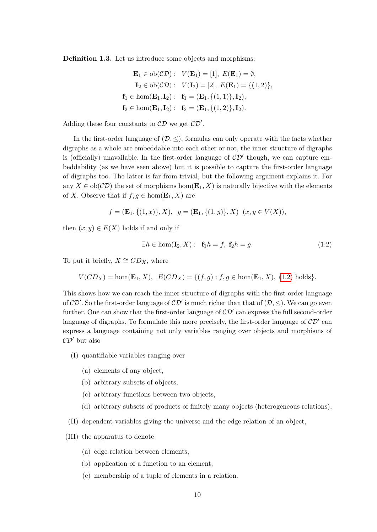Definition 1.3. Let us introduce some objects and morphisms:

$$
\mathbf{E}_1 \in ob(\mathcal{CD}): \quad V(\mathbf{E}_1) = [1], \ E(\mathbf{E}_1) = \emptyset,
$$
\n
$$
\mathbf{I}_2 \in ob(\mathcal{CD}): \quad V(\mathbf{I}_2) = [2], \ E(\mathbf{E}_1) = \{(1, 2)\},
$$
\n
$$
\mathbf{f}_1 \in hom(\mathbf{E}_1, \mathbf{I}_2): \ \mathbf{f}_1 = (\mathbf{E}_1, \{(1, 1)\}, \mathbf{I}_2),
$$
\n
$$
\mathbf{f}_2 \in hom(\mathbf{E}_1, \mathbf{I}_2): \ \mathbf{f}_2 = (\mathbf{E}_1, \{(1, 2)\}, \mathbf{I}_2).
$$

Adding these four constants to  $CD$  we get  $CD'$ .

In the first-order language of  $(\mathcal{D}, \leq)$ , formulas can only operate with the facts whether digraphs as a whole are embeddable into each other or not, the inner structure of digraphs is (officially) unavailable. In the first-order language of  $\mathcal{CD}'$  though, we can capture embeddability (as we have seen above) but it is possible to capture the first-order language of digraphs too. The latter is far from trivial, but the following argument explains it. For any  $X \in ob(\mathcal{CD})$  the set of morphisms hom $(\mathbf{E}_1, X)$  is naturally bijective with the elements of X. Observe that if  $f, g \in \text{hom}(\mathbf{E}_1, X)$  are

$$
f = (\mathbf{E}_1, \{(1, x)\}, X), \ g = (\mathbf{E}_1, \{(1, y)\}, X) \ (x, y \in V(X)),
$$

then  $(x, y) \in E(X)$  holds if and only if

<span id="page-10-0"></span>
$$
\exists h \in \text{hom}(\mathbf{I}_2, X): \mathbf{f}_1 h = f, \mathbf{f}_2 h = g. \tag{1.2}
$$

To put it briefly,  $X \cong CD_X$ , where

$$
V(CD_X) = \text{hom}(\mathbf{E}_1, X), \ \ E(CD_X) = \{ (f, g) : f, g \in \text{hom}(\mathbf{E}_1, X), \ (1.2) \text{ holds} \}.
$$

This shows how we can reach the inner structure of digraphs with the first-order language of  $CD'$ . So the first-order language of  $CD'$  is much richer than that of  $(D, \leq)$ . We can go even further. One can show that the first-order language of  $\mathcal{CD}'$  can express the full second-order language of digraphs. To formulate this more precisely, the first-order language of  $CD'$  can express a language containing not only variables ranging over objects and morphisms of  $\mathcal{CD}'$  but also

- (I) quantifiable variables ranging over
	- (a) elements of any object,
	- (b) arbitrary subsets of objects,
	- (c) arbitrary functions between two objects,
	- (d) arbitrary subsets of products of finitely many objects (heterogeneous relations),
- <span id="page-10-1"></span>(II) dependent variables giving the universe and the edge relation of an object,
- <span id="page-10-2"></span>(III) the apparatus to denote
	- (a) edge relation between elements,
	- (b) application of a function to an element,
	- (c) membership of a tuple of elements in a relation.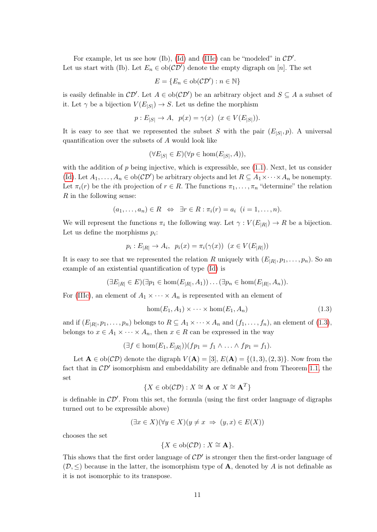For example, let us see how (Ib), [\(Id\)](#page-10-1) and [\(IIIc\)](#page-10-2) can be "modeled" in  $CD'$ . Let us start with (Ib). Let  $E_n \in ob(\mathcal{CD}')$  denote the empty digraph on [n]. The set

$$
E = \{ E_n \in ob(\mathcal{CD}') : n \in \mathbb{N} \}
$$

is easily definable in  $\mathcal{CD}'$ . Let  $A \in ob(\mathcal{CD}')$  be an arbitrary object and  $S \subseteq A$  a subset of it. Let  $\gamma$  be a bijection  $V(E_{|S|}) \to S$ . Let us define the morphism

$$
p: E_{|S|} \to A
$$
,  $p(x) = \gamma(x) \ (x \in V(E_{|S|})).$ 

It is easy to see that we represented the subset S with the pair  $(E_{|S|}, p)$ . A universal quantification over the subsets of A would look like

$$
(\forall E_{|S|} \in E)(\forall p \in \text{hom}(E_{|S|}, A)),
$$

with the addition of  $p$  being injective, which is expressible, see  $(1.1)$ . Next, let us consider [\(Id\)](#page-10-1). Let  $A_1, \ldots, A_n \in ob(\mathcal{CD}')$  be arbitrary objects and let  $R \subseteq A_1 \times \cdots \times A_n$  be nonempty. Let  $\pi_i(r)$  be the *i*th projection of  $r \in R$ . The functions  $\pi_1, \ldots, \pi_n$  "determine" the relation R in the following sense:

$$
(a_1,\ldots,a_n)\in R \iff \exists r\in R : \pi_i(r)=a_i \ \ (i=1,\ldots,n).
$$

We will represent the functions  $\pi_i$  the following way. Let  $\gamma: V(E_{|R|}) \to R$  be a bijection. Let us define the morphisms  $p_i$ :

$$
p_i: E_{|R|} \to A_i, \ \ p_i(x) = \pi_i(\gamma(x)) \ \ (x \in V(E_{|R|}))
$$

It is easy to see that we represented the relation R uniquely with  $(E_{|R|}, p_1, \ldots, p_n)$ . So an example of an existential quantification of type [\(Id\)](#page-10-1) is

$$
(\exists E_{|R|} \in E)(\exists p_1 \in \text{hom}(E_{|R|}, A_1))\dots(\exists p_n \in \text{hom}(E_{|R|}, A_n)).
$$

For [\(IIIc\)](#page-10-2), an element of  $A_1 \times \cdots \times A_n$  is represented with an element of

<span id="page-11-0"></span>
$$
hom(E_1, A_1) \times \cdots \times hom(E_1, A_n)
$$
\n(1.3)

and if  $(E_{|R|}, p_1, \ldots, p_n)$  belongs to  $R \subseteq A_1 \times \cdots \times A_n$  and  $(f_1, \ldots, f_n)$ , an element of  $(1.3)$ , belongs to  $x \in A_1 \times \cdots \times A_n$ , then  $x \in R$  can be expressed in the way

$$
(\exists f \in \text{hom}(E_1, E_{|R|})) (fp_1 = f_1 \wedge \ldots \wedge fp_1 = f_1).
$$

Let  $\mathbf{A} \in ob(\mathcal{CD})$  denote the digraph  $V(\mathbf{A}) = [3], E(\mathbf{A}) = \{(1,3), (2,3)\}\)$ . Now from the fact that in  $\mathcal{CD}'$  isomorphism and embeddability are definable and from Theorem [1.1,](#page-8-2) the set

$$
\{X \in ob(\mathcal{CD}) : X \cong \mathbf{A} \text{ or } X \cong \mathbf{A}^T\}
$$

is definable in  $\mathcal{CD}'$ . From this set, the formula (using the first order language of digraphs turned out to be expressible above)

$$
(\exists x \in X)(\forall y \in X)(y \neq x \implies (y, x) \in E(X))
$$

chooses the set

$$
\{X \in ob(\mathcal{CD}) : X \cong \mathbf{A}\}.
$$

This shows that the first order language of  $\mathcal{CD}'$  is stronger then the first-order language of  $(\mathcal{D}, \leq)$  because in the latter, the isomorphism type of **A**, denoted by A is not definable as it is not isomorphic to its transpose.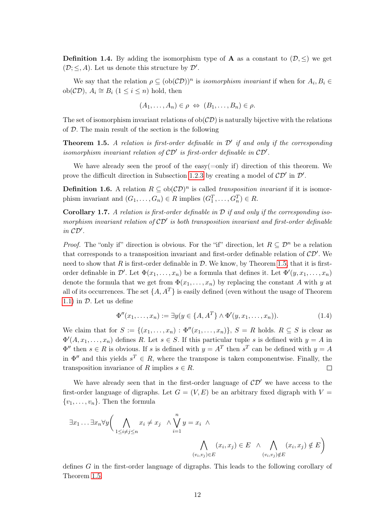**Definition 1.4.** By adding the isomorphism type of **A** as a constant to  $(\mathcal{D}, \leq)$  we get  $(\mathcal{D}; \leq, A)$ . Let us denote this structure by  $\mathcal{D}'$ .

We say that the relation  $\rho \subseteq (\text{ob}(\mathcal{CD}))^n$  is *isomorphism invariant* if when for  $A_i, B_i \in$ ob $(\mathcal{CD})$ ,  $A_i \cong B_i$   $(1 \leq i \leq n)$  hold, then

$$
(A_1,\ldots,A_n)\in\rho\ \Leftrightarrow\ (B_1,\ldots,B_n)\in\rho.
$$

The set of isomorphism invariant relations of  $ob(\mathcal{CD})$  is naturally bijective with the relations of  $D$ . The main result of the section is the following

<span id="page-12-0"></span>**Theorem 1.5.** A relation is first-order definable in  $\mathcal{D}'$  if and only if the corresponding isomorphism invariant relation of  $CD'$  is first-order definable in  $CD'$ .

We have already seen the proof of the easy( $=$ only if) direction of this theorem. We prove the difficult direction in Subsection [1.2.3](#page-13-0) by creating a model of  $\mathcal{CD}'$  in  $\mathcal{D}'$ .

**Definition 1.6.** A relation  $R \subseteq ob(\mathcal{CD})^n$  is called *transposition invariant* if it is isomorphism invariant and  $(G_1, \ldots, G_n) \in R$  implies  $(G_1^T, \ldots, G_n^T) \in R$ .

<span id="page-12-2"></span>**Corollary 1.7.** A relation is first-order definable in  $D$  if and only if the corresponding isomorphism invariant relation of  $\mathcal{CD}'$  is both transposition invariant and first-order definable in  $CD'$ .

*Proof.* The "only if" direction is obvious. For the "if" direction, let  $R \subseteq \mathcal{D}^n$  be a relation that corresponds to a transposition invariant and first-order definable relation of  $\mathcal{CD}'$ . We need to show that R is first-order definable in  $\mathcal D$ . We know, by Theorem [1.5,](#page-12-0) that it is firstorder definable in  $\mathcal{D}'$ . Let  $\Phi(x_1,\ldots,x_n)$  be a formula that defines it. Let  $\Phi'(y,x_1,\ldots,x_n)$ denote the formula that we get from  $\Phi(x_1, \ldots, x_n)$  by replacing the constant A with y at all of its occurrences. The set  $\{A, A^T\}$  is easily defined (even without the usage of Theorem [1.1\)](#page-8-2) in  $\mathcal{D}$ . Let us define

<span id="page-12-1"></span>
$$
\Phi''(x_1, \dots, x_n) := \exists y (y \in \{A, A^T\} \land \Phi'(y, x_1, \dots, x_n)).
$$
\n(1.4)

We claim that for  $S := \{(x_1, \ldots, x_n) : \Phi''(x_1, \ldots, x_n)\}, S = R$  holds.  $R \subseteq S$  is clear as  $\Phi'(A, x_1, \ldots, x_n)$  defines R. Let  $s \in S$ . If this particular tuple s is defined with  $y = A$  in  $\Phi''$  then  $s \in R$  is obvious. If s is defined with  $y = A^T$  then  $s^T$  can be defined with  $y = A$ in  $\Phi''$  and this yields  $s^T \in R$ , where the transpose is taken componentwise. Finally, the transposition invariance of R implies  $s \in R$ .  $\Box$ 

We have already seen that in the first-order language of  $\mathcal{CD}'$  we have access to the first-order language of digraphs. Let  $G = (V, E)$  be an arbitrary fixed digraph with  $V =$  $\{v_1, \ldots, v_n\}$ . Then the formula

$$
\exists x_1 \dots \exists x_n \forall y \bigg( \bigwedge_{1 \leq i \neq j \leq n} x_i \neq x_j \land \bigvee_{i=1}^n y = x_i \land \bigwedge_{i=1}^n (x_i, x_j) \in E \land \bigwedge_{(v_i, v_j) \notin E} (x_i, x_j) \notin E \bigg)
$$

defines G in the first-order language of digraphs. This leads to the following corollary of Theorem [1.5.](#page-12-0)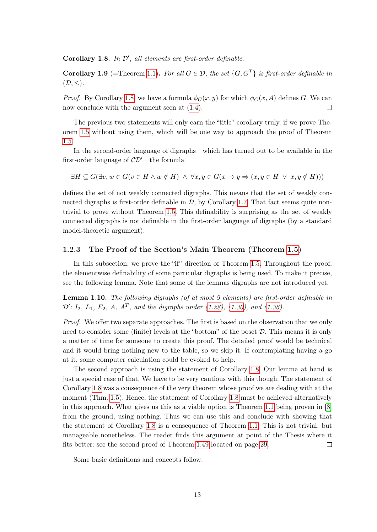<span id="page-13-1"></span>Corollary 1.8. In  $\mathcal{D}'$ , all elements are first-order definable.

<span id="page-13-3"></span>**Corollary 1.9** (=Theorem [1.1\)](#page-8-2). For all  $G \in \mathcal{D}$ , the set  $\{G, G^T\}$  is first-order definable in  $(\mathcal{D}, \leq).$ 

*Proof.* By Corollary [1.8,](#page-13-1) we have a formula  $\phi_G(x, y)$  for which  $\phi_G(x, A)$  defines G. We can now conclude with the argument seen at [\(1.4\)](#page-12-1).  $\Box$ 

The previous two statements will only earn the "title" corollary truly, if we prove Theorem [1.5](#page-12-0) without using them, which will be one way to approach the proof of Theorem [1.5.](#page-12-0)

In the second-order language of digraphs—which has turned out to be available in the first-order language of  $\mathcal{CD}'$ —the formula

 $\exists H \subseteq G(\exists v, w \in G(v \in H \land w \notin H) \land \forall x, y \in G(x \rightarrow y \Rightarrow (x, y \in H \lor x, y \notin H)))$ 

defines the set of not weakly connected digraphs. This means that the set of weakly connected digraphs is first-order definable in  $D$ , by Corollary [1.7.](#page-12-2) That fact seems quite nontrivial to prove without Theorem [1.5.](#page-12-0) This definability is surprising as the set of weakly connected digraphs is not definable in the first-order language of digraphs (by a standard model-theoretic argument).

#### <span id="page-13-0"></span>1.2.3 The Proof of the Section's Main Theorem (Theorem [1.5\)](#page-12-0)

In this subsection, we prove the "if" direction of Theorem [1.5.](#page-12-0) Throughout the proof, the elementwise definability of some particular digraphs is being used. To make it precise, see the following lemma. Note that some of the lemmas digraphs are not introduced yet.

<span id="page-13-2"></span>Lemma 1.10. The following digraphs (of at most 9 elements) are first-order definable in  $\mathcal{D}'\colon I_2, L_1, E_2, A, A^T$ , and the digraphs under [\(1.28\)](#page-24-0), [\(1.30\)](#page-24-1), and [\(1.36\)](#page-27-1).

Proof. We offer two separate approaches. The first is based on the observation that we only need to consider some (finite) levels at the "bottom" of the poset  $D$ . This means it is only a matter of time for someone to create this proof. The detailed proof would be technical and it would bring nothing new to the table, so we skip it. If contemplating having a go at it, some computer calculation could be evoked to help.

The second approach is using the statement of Corollary [1.8.](#page-13-1) Our lemma at hand is just a special case of that. We have to be very cautious with this though. The statement of Corollary [1.8](#page-13-1) was a consequence of the very theorem whose proof we are dealing with at the moment (Thm. [1.5\)](#page-12-0). Hence, the statement of Corollary [1.8](#page-13-1) must be achieved alternatively in this approach. What gives us this as a viable option is Theorem [1.1](#page-8-2) being proven in [\[8\]](#page-73-9) from the ground, using nothing. Thus we can use this and conclude with showing that the statement of Corollary [1.8](#page-13-1) is a consequence of Theorem [1.1.](#page-8-2) This is not trivial, but manageable nonetheless. The reader finds this argument at point of the Thesis where it fits better: see the second proof of Theorem [1.49](#page-27-2) located on page [29.](#page-29-0)  $\Box$ 

Some basic definitions and concepts follow.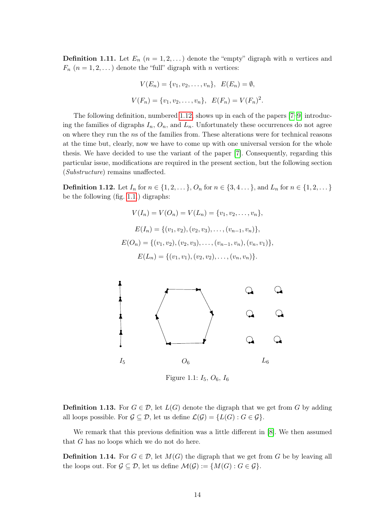**Definition 1.11.** Let  $E_n$   $(n = 1, 2, ...)$  denote the "empty" digraph with n vertices and  $F_n$   $(n = 1, 2, ...)$  denote the "full" digraph with n vertices:

$$
V(E_n) = \{v_1, v_2, \dots, v_n\}, \ E(E_n) = \emptyset,
$$
  

$$
V(F_n) = \{v_1, v_2, \dots, v_n\}, \ E(F_n) = V(F_n)^2.
$$

The following definition, numbered [1.12,](#page-14-0) shows up in each of the papers [\[7](#page-73-1)[–9\]](#page-73-3) introducing the families of digraphs  $I_n$ ,  $O_n$ , and  $L_n$ . Unfortunately these occurrences do not agree on where they run the ns of the families from. These alterations were for technical reasons at the time but, clearly, now we have to come up with one universal version for the whole thesis. We have decided to use the variant of the paper [\[7\]](#page-73-1). Consequently, regarding this particular issue, modifications are required in the present section, but the following section (Substructure) remains unaffected.

<span id="page-14-0"></span>**Definition 1.12.** Let  $I_n$  for  $n \in \{1, 2, \ldots\}$ ,  $O_n$  for  $n \in \{3, 4, \ldots\}$ , and  $L_n$  for  $n \in \{1, 2, \ldots\}$ be the following (fig. [1.1.](#page-14-1)) digraphs:

$$
V(I_n) = V(O_n) = V(L_n) = \{v_1, v_2, \dots, v_n\},
$$
  
\n
$$
E(I_n) = \{(v_1, v_2), (v_2, v_3), \dots, (v_{n-1}, v_n)\},
$$
  
\n
$$
E(O_n) = \{(v_1, v_2), (v_2, v_3), \dots, (v_{n-1}, v_n), (v_n, v_1)\},
$$
  
\n
$$
E(L_n) = \{(v_1, v_1), (v_2, v_2), \dots, (v_n, v_n)\}.
$$



<span id="page-14-1"></span>Figure 1.1:  $I_5$ ,  $O_6$ ,  $I_6$ 

**Definition 1.13.** For  $G \in \mathcal{D}$ , let  $L(G)$  denote the digraph that we get from G by adding all loops possible. For  $\mathcal{G} \subseteq \mathcal{D}$ , let us define  $\mathcal{L}(\mathcal{G}) = \{L(G) : G \in \mathcal{G}\}.$ 

We remark that this previous definition was a little different in [\[8\]](#page-73-9). We then assumed that G has no loops which we do not do here.

**Definition 1.14.** For  $G \in \mathcal{D}$ , let  $M(G)$  the digraph that we get from G be by leaving all the loops out. For  $\mathcal{G} \subseteq \mathcal{D}$ , let us define  $\mathcal{M}(\mathcal{G}) := \{ M(G) : G \in \mathcal{G} \}.$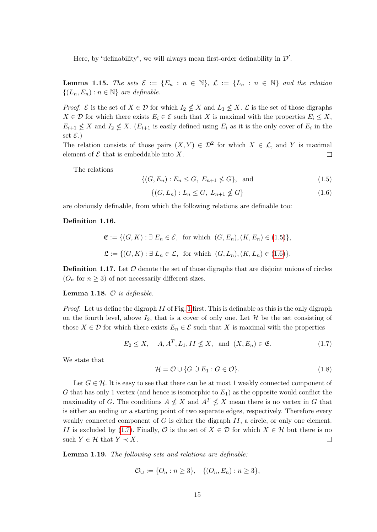Here, by "definability", we will always mean first-order definability in  $\mathcal{D}'$ .

**Lemma 1.15.** The sets  $\mathcal{E} := \{E_n : n \in \mathbb{N}\}\$ ,  $\mathcal{L} := \{L_n : n \in \mathbb{N}\}\$  and the relation  $\{(L_n, E_n) : n \in \mathbb{N}\}\$ are definable.

*Proof.*  $\mathcal{E}$  is the set of  $X \in \mathcal{D}$  for which  $I_2 \nleq X$  and  $L_1 \nleq X$ .  $\mathcal{L}$  is the set of those digraphs  $X \in \mathcal{D}$  for which there exists  $E_i \in \mathcal{E}$  such that X is maximal with the properties  $E_i \leq X$ ,  $E_{i+1} \nleq X$  and  $I_2 \nleq X$ .  $(E_{i+1}$  is easily defined using  $E_i$  as it is the only cover of  $E_i$  in the set  $\mathcal{E}.$ 

The relation consists of those pairs  $(X, Y) \in \mathcal{D}^2$  for which  $X \in \mathcal{L}$ , and Y is maximal element of  $\mathcal E$  that is embeddable into X.  $\Box$ 

The relations

<span id="page-15-0"></span>
$$
\{(G, E_n) : E_n \le G, E_{n+1} \nleq G\}, \text{ and } (1.5)
$$

<span id="page-15-1"></span>
$$
\{(G, L_n) : L_n \le G, \ L_{n+1} \nleq G\} \tag{1.6}
$$

are obviously definable, from which the following relations are definable too:

#### Definition 1.16.

$$
\mathfrak{E} := \{ (G, K) : \exists E_n \in \mathcal{E}, \text{ for which } (G, E_n), (K, E_n) \in (1.5) \},
$$
  

$$
\mathfrak{L} := \{ (G, K) : \exists L_n \in \mathcal{L}, \text{ for which } (G, L_n), (K, L_n) \in (1.6) \}.
$$

**Definition 1.17.** Let  $\mathcal O$  denote the set of those digraphs that are disjoint unions of circles  $(O_n \text{ for } n \geq 3)$  of not necessarily different sizes.

#### Lemma 1.18.  $O$  is definable.

Proof. Let us define the digraph II of Fig. [1](#page-4-0) first. This is definable as this is the only digraph on the fourth level, above  $I_2$ , that is a cover of only one. Let  $\mathcal H$  be the set consisting of those  $X \in \mathcal{D}$  for which there exists  $E_n \in \mathcal{E}$  such that X is maximal with the properties

<span id="page-15-2"></span>
$$
E_2 \le X, \quad A, A^T, L_1, II \nleq X, \text{ and } (X, E_n) \in \mathfrak{E}.\tag{1.7}
$$

We state that

$$
\mathcal{H} = \mathcal{O} \cup \{ G \cup E_1 : G \in \mathcal{O} \}. \tag{1.8}
$$

Let  $G \in \mathcal{H}$ . It is easy to see that there can be at most 1 weakly connected component of G that has only 1 vertex (and hence is isomorphic to  $E_1$ ) as the opposite would conflict the maximality of G. The conditions  $A \nleq X$  and  $A^T \nleq X$  mean there is no vertex in G that is either an ending or a starting point of two separate edges, respectively. Therefore every weakly connected component of  $G$  is either the digraph  $II$ , a circle, or only one element. II is excluded by [\(1.7\)](#page-15-2). Finally,  $\mathcal{O}$  is the set of  $X \in \mathcal{D}$  for which  $X \in \mathcal{H}$  but there is no such  $Y \in \mathcal{H}$  that  $Y \prec X$ .  $\Box$ 

<span id="page-15-3"></span>Lemma 1.19. The following sets and relations are definable:

$$
\mathcal{O}_{\cup} := \{O_n : n \ge 3\}, \quad \{(O_n, E_n) : n \ge 3\},\
$$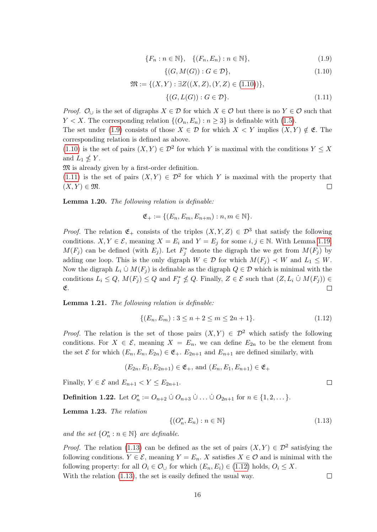<span id="page-16-1"></span>
$$
\{F_n : n \in \mathbb{N}\}, \quad \{(F_n, E_n) : n \in \mathbb{N}\},\tag{1.9}
$$

<span id="page-16-2"></span><span id="page-16-0"></span>
$$
\{(G, M(G)) : G \in \mathcal{D}\},\tag{1.10}
$$

$$
\mathfrak{M} := \{ (X, Y) : \exists Z((X, Z), (Y, Z) \in (1.10)) \},\
$$

$$
\{ (G, L(G)) : G \in \mathcal{D} \}.
$$
(1.11)

*Proof.*  $\mathcal{O}_{\cup}$  is the set of digraphs  $X \in \mathcal{D}$  for which  $X \in \mathcal{O}$  but there is no  $Y \in \mathcal{O}$  such that  $Y < X$ . The corresponding relation  $\{(O_n, E_n) : n \geq 3\}$  is definable with [\(1.5\)](#page-15-0).

The set under [\(1.9\)](#page-16-1) consists of those  $X \in \mathcal{D}$  for which  $X \leq Y$  implies  $(X, Y) \notin \mathfrak{E}$ . The corresponding relation is defined as above.

[\(1.10\)](#page-16-0) is the set of pairs  $(X, Y) \in \mathcal{D}^2$  for which Y is maximal with the conditions  $Y \leq X$ and  $L_1 \nleq Y$ .

M is already given by a first-order definition.

[\(1.11\)](#page-16-2) is the set of pairs  $(X, Y) \in \mathcal{D}^2$  for which Y is maximal with the property that  $(X, Y) \in \mathfrak{M}.$  $\Box$ 

Lemma 1.20. The following relation is definable:

$$
\mathfrak{E}_+ := \{ (E_n, E_m, E_{n+m}) : n, m \in \mathbb{N} \}.
$$

*Proof.* The relation  $\mathfrak{E}_+$  consists of the triples  $(X, Y, Z) \in \mathcal{D}^3$  that satisfy the following conditions.  $X, Y \in \mathcal{E}$ , meaning  $X = E_i$  and  $Y = E_j$  for some  $i, j \in \mathbb{N}$ . With Lemma [1.19,](#page-15-3)  $M(F_j)$  can be defined (with  $E_j$ ). Let  $F_j^*$  denote the digraph the we get from  $M(F_j)$  by adding one loop. This is the only digraph  $W \in \mathcal{D}$  for which  $M(F_j) \prec W$  and  $L_1 \leq W$ . Now the digraph  $L_i \cup M(F_i)$  is definable as the digraph  $Q \in \mathcal{D}$  which is minimal with the conditions  $L_i \leq Q$ ,  $M(F_j) \leq Q$  and  $F_j^* \nleq Q$ . Finally,  $Z \in \mathcal{E}$  such that  $(Z, L_i \cup M(F_j)) \in$ E.  $\Box$ 

Lemma 1.21. The following relation is definable:

<span id="page-16-4"></span>
$$
\{(E_n, E_m) : 3 \le n + 2 \le m \le 2n + 1\}.
$$
\n(1.12)

*Proof.* The relation is the set of those pairs  $(X, Y) \in \mathcal{D}^2$  which satisfy the following conditions. For  $X \in \mathcal{E}$ , meaning  $X = E_n$ , we can define  $E_{2n}$  to be the element from the set  $\mathcal E$  for which  $(E_n, E_n, E_{2n}) \in \mathfrak{E}_+, E_{2n+1}$  and  $E_{n+1}$  are defined similarly, with

$$
(E_{2n}, E_1, E_{2n+1}) \in \mathfrak{E}_+, \text{ and } (E_n, E_1, E_{n+1}) \in \mathfrak{E}_+
$$

Finally,  $Y \in \mathcal{E}$  and  $E_{n+1} < Y \leq E_{2n+1}$ .

**Definition 1.22.** Let  $O_n^* := O_{n+2} \cup O_{n+3} \cup \ldots \cup O_{2n+1}$  for  $n \in \{1, 2, \ldots\}$ .

Lemma 1.23. The relation

<span id="page-16-3"></span>
$$
\{(O_n^*, E_n) : n \in \mathbb{N}\}\tag{1.13}
$$

and the set  $\{O_n^* : n \in \mathbb{N}\}\$ are definable.

*Proof.* The relation [\(1.13\)](#page-16-3) can be defined as the set of pairs  $(X, Y) \in \mathcal{D}^2$  satisfying the following conditions.  $Y \in \mathcal{E}$ , meaning  $Y = E_n$ . X satisfies  $X \in \mathcal{O}$  and is minimal with the following property: for all  $O_i \in \mathcal{O}_{\cup}$  for which  $(E_n, E_i) \in (1.12)$  $(E_n, E_i) \in (1.12)$  holds,  $O_i \leq X$ .  $\Box$ 

With the relation [\(1.13\)](#page-16-3), the set is easily defined the usual way.

 $\Box$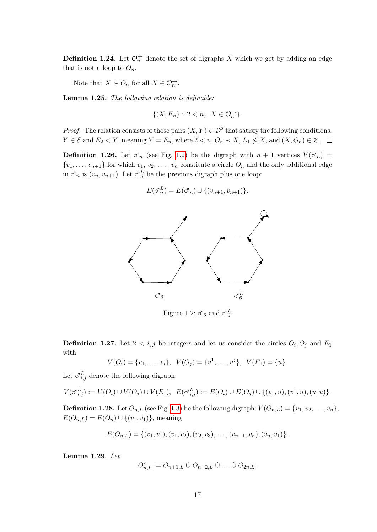**Definition 1.24.** Let  $\mathcal{O}_n^{\rightarrow}$  denote the set of digraphs X which we get by adding an edge that is not a loop to  $O_n$ .

Note that  $X \succ O_n$  for all  $X \in \mathcal{O}_n^{\rightarrow}$ .

Lemma 1.25. The following relation is definable:

$$
\{(X,E_n):\; 2
$$

*Proof.* The relation consists of those pairs  $(X, Y) \in \mathcal{D}^2$  that satisfy the following conditions.  $Y \in \mathcal{E}$  and  $E_2 < Y$ , meaning  $Y = E_n$ , where  $2 < n$ .  $O_n \prec X$ ,  $L_1 \nleq X$ , and  $(X, O_n) \in \mathfrak{E}$ .

**Definition 1.26.** Let  $\sigma_n$  (see Fig. [1.2\)](#page-17-0) be the digraph with  $n + 1$  vertices  $V(\sigma_n)$  =  $\{v_1, \ldots, v_{n+1}\}\$ for which  $v_1, v_2, \ldots, v_n$  constitute a circle  $O_n$  and the only additional edge in  $\sigma_n$  is  $(v_n, v_{n+1})$ . Let  $\sigma_n^L$  be the previous digraph plus one loop:

$$
E(\sigma_n^L) = E(\sigma_n) \cup \{(v_{n+1}, v_{n+1})\}.
$$



<span id="page-17-0"></span>Figure 1.2:  $\sigma_6$  and  $\sigma_6^L$ 

**Definition 1.27.** Let  $2 < i, j$  be integers and let us consider the circles  $O_i, O_j$  and  $E_1$ with

$$
V(O_i) = \{v_1, \ldots, v_i\}, \ \ V(O_j) = \{v^1, \ldots, v^j\}, \ \ V(E_1) = \{u\}.
$$

Let  $\sigma_{i,j}^L$  denote the following digraph:

$$
V(\sigma_{i,j}^L):=V(O_i)\cup V(O_j)\cup V(E_1),\ \ E(\sigma_{i,j}^L):=E(O_i)\cup E(O_j)\cup \{(v_1,u),(v^1,u),(u,u)\}.
$$

**Definition 1.28.** Let  $O_{n,L}$  (see Fig. [1.3\)](#page-18-0) be the following digraph:  $V(O_{n,L}) = \{v_1, v_2, \ldots, v_n\}$ ,  $E(O_{n,L}) = E(O_n) \cup \{(v_1, v_1)\},$  meaning

$$
E(O_{n,L}) = \{ (v_1, v_1), (v_1, v_2), (v_2, v_3), \ldots, (v_{n-1}, v_n), (v_n, v_1) \}.
$$

<span id="page-17-1"></span>Lemma 1.29. Let

$$
O_{n,L}^* := O_{n+1,L} \mathrel{\dot{\cup}} O_{n+2,L} \mathrel{\dot{\cup}} \dots \mathrel{\dot{\cup}} O_{2n,L}.
$$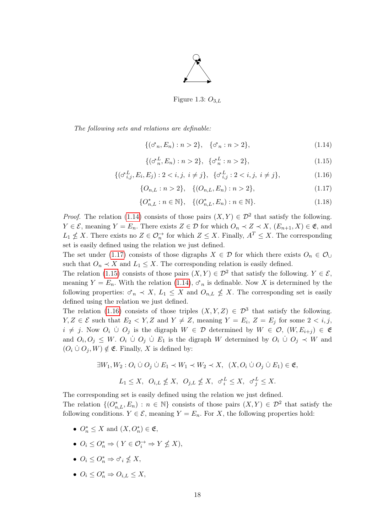

<span id="page-18-0"></span>Figure 1.3:  $O_{3,L}$ 

The following sets and relations are definable:

<span id="page-18-1"></span>
$$
\{(\sigma_n, E_n) : n > 2\}, \quad \{\sigma_n : n > 2\},\tag{1.14}
$$

<span id="page-18-3"></span>
$$
\{(\sigma_n^L, E_n) : n > 2\}, \ \{\sigma_n^L : n > 2\},\tag{1.15}
$$

<span id="page-18-4"></span>
$$
\{(\sigma_{i,j}^L, E_i, E_j) : 2 < i, j, \ i \neq j\}, \ \{\sigma_{i,j}^L : 2 < i, j, \ i \neq j\},\tag{1.16}
$$

<span id="page-18-2"></span>
$$
\{O_{n,L} : n > 2\}, \quad \{(O_{n,L}, E_n) : n > 2\},\tag{1.17}
$$

$$
\{O_{n,L}^*: n \in \mathbb{N}\}, \quad \{(O_{n,L}^*, E_n) : n \in \mathbb{N}\}.
$$
\n(1.18)

*Proof.* The relation [\(1.14\)](#page-18-1) consists of those pairs  $(X, Y) \in \mathcal{D}^2$  that satisfy the following.  $Y \in \mathcal{E}$ , meaning  $Y = E_n$ . There exists  $Z \in \mathcal{D}$  for which  $O_n \prec Z \prec X$ ,  $(E_{n+1}, X) \in \mathfrak{E}$ , and  $L_1 \nleq X$ . There exists no  $Z \in \mathcal{O}_n^{\to}$  for which  $Z \leq X$ . Finally,  $A^T \leq X$ . The corresponding set is easily defined using the relation we just defined.

The set under [\(1.17\)](#page-18-2) consists of those digraphs  $X \in \mathcal{D}$  for which there exists  $O_n \in \mathcal{O}_{\cup}$ such that  $O_n \prec X$  and  $L_1 \leq X$ . The corresponding relation is easily defined.

The relation [\(1.15\)](#page-18-3) consists of those pairs  $(X, Y) \in \mathcal{D}^2$  that satisfy the following.  $Y \in \mathcal{E}$ , meaning  $Y = E_n$ . With the relation [\(1.14\)](#page-18-1),  $\sigma_n$  is definable. Now X is determined by the following properties:  $\sigma_n \prec X$ ,  $L_1 \leq X$  and  $O_{n,L} \nleq X$ . The corresponding set is easily defined using the relation we just defined.

The relation [\(1.16\)](#page-18-4) consists of those triples  $(X, Y, Z) \in \mathcal{D}^3$  that satisfy the following.  $Y, Z \in \mathcal{E}$  such that  $E_2 \lt Y, Z$  and  $Y \neq Z$ , meaning  $Y = E_i, Z = E_j$  for some  $2 \lt i, j$ ,  $i \neq j$ . Now  $O_i$   $\cup$   $O_j$  is the digraph  $W \in \mathcal{D}$  determined by  $W \in \mathcal{O}$ ,  $(W, E_{i+j}) \in \mathfrak{E}$ and  $O_i, O_j \leq W$ .  $O_i \cup O_j \cup E_1$  is the digraph W determined by  $O_i \cup O_j \prec W$  and  $(O_i \cup O_j, W) \notin \mathfrak{E}$ . Finally, X is defined by:

$$
\exists W_1, W_2: O_i \mathrel{\dot{\cup}} O_j \mathrel{\dot{\cup}} E_1 \prec W_1 \prec W_2 \prec X, \ (X, O_i \mathrel{\dot{\cup}} O_j \mathrel{\dot{\cup}} E_1) \in \mathfrak{E},
$$

$$
L_1 \le X, \ \ O_{i,L} \nleq X, \ \ O_{j,L} \nleq X, \ \ \sigma_i^L \le X, \ \ \sigma_j^L \le X.
$$

The corresponding set is easily defined using the relation we just defined. The relation  $\{(O_{n,L}^*, E_n): n \in \mathbb{N}\}\)$  consists of those pairs  $(X,Y) \in \mathcal{D}^2$  that satisfy the following conditions.  $Y \in \mathcal{E}$ , meaning  $Y = E_n$ . For X, the following properties hold:

- $O_n^* \leq X$  and  $(X, O_n^*) \in \mathfrak{E}$ ,
- $O_i \leq O_n^* \Rightarrow (Y \in \mathcal{O}_i \to Y \nleq X),$
- $O_i \leq O_n^* \Rightarrow \sigma_i \nleq X$ ,
- $O_i \leq O_n^* \Rightarrow O_{i,L} \leq X$ ,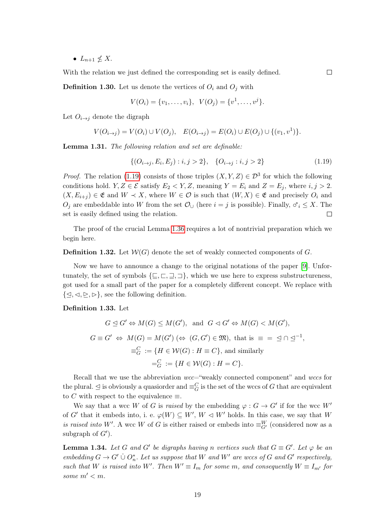•  $L_{n+1} \nleq X$ .

With the relation we just defined the corresponding set is easily defined.

**Definition 1.30.** Let us denote the vertices of  $O_i$  and  $O_j$  with

$$
V(O_i) = \{v_1, \ldots, v_i\}, \ \ V(O_j) = \{v^1, \ldots, v^j\}.
$$

Let  $O_{i\rightarrow j}$  denote the digraph

$$
V(O_{i \to j}) = V(O_i) \cup V(O_j), \quad E(O_{i \to j}) = E(O_i) \cup E(O_j) \cup \{(v_1, v^1)\}.
$$

Lemma 1.31. The following relation and set are definable:

<span id="page-19-0"></span>
$$
\{(O_{i\to j}, E_i, E_j) : i, j > 2\}, \{O_{i\to j} : i, j > 2\}
$$
\n(1.19)

 $\Box$ 

*Proof.* The relation [\(1.19\)](#page-19-0) consists of those triples  $(X, Y, Z) \in \mathcal{D}^3$  for which the following conditions hold.  $Y, Z \in \mathcal{E}$  satisfy  $E_2 \leq Y, Z$ , meaning  $Y = E_i$  and  $Z = E_j$ , where  $i, j > 2$ .  $(X, E_{i+j}) \in \mathfrak{E}$  and  $W \prec X$ , where  $W \in \mathcal{O}$  is such that  $(W, X) \in \mathfrak{E}$  and precisely  $O_i$  and  $O_j$  are embeddable into W from the set  $\mathcal{O}_{\cup}$  (here  $i = j$  is possible). Finally,  $\sigma_i \leq X$ . The set is easily defined using the relation. set is easily defined using the relation.

The proof of the crucial Lemma [1.36](#page-22-0) requires a lot of nontrivial preparation which we begin here.

**Definition 1.32.** Let  $W(G)$  denote the set of weakly connected components of G.

Now we have to announce a change to the original notations of the paper [\[9\]](#page-73-3). Unfortunately, the set of symbols  $\{\subseteq, \sqsubset, \sqsupset\}$ , which we use here to express substructureness, got used for a small part of the paper for a completely different concept. We replace with  $\{\leq, \leq, \geq, \geq\}$ , see the following definition.

#### Definition 1.33. Let

$$
G \trianglelefteq G' \Leftrightarrow M(G) \leq M(G'), \text{ and } G \lhd G' \Leftrightarrow M(G) < M(G'),
$$
\n
$$
G \equiv G' \Leftrightarrow M(G) = M(G') \ (\Leftrightarrow (G, G') \in \mathfrak{M}), \text{ that is } \equiv \equiv \equiv \equiv \equiv \sqcap \equiv \sqcap^1,
$$
\n
$$
\equiv_G^C := \{ H \in \mathcal{W}(G) : H \equiv C \}, \text{ and similarly}
$$
\n
$$
=_{G}^C := \{ H \in \mathcal{W}(G) : H = C \}.
$$

Recall that we use the abbreviation  $wcc$ ="weakly connected component" and wccs for the plural.  $\leq$  is obviously a quasiorder and  $\equiv_G^C$  is the set of the wccs of G that are equivalent to C with respect to the equivalence  $\equiv$ .

We say that a wcc W of G is raised by the embedding  $\varphi : G \to G'$  if for the wcc W<sup>'</sup> of G' that it embeds into, i. e.  $\varphi(W) \subseteq W'$ ,  $W \vartriangleleft W'$  holds. In this case, we say that W is raised into W'. A wcc W of G is either raised or embeds into  $\equiv^W_{G'}$  (considered now as a subgraph of  $G'$ ).

<span id="page-19-1"></span>**Lemma 1.34.** Let G and G' be digraphs having n vertices such that  $G \equiv G'$ . Let  $\varphi$  be an embedding  $G \to G' \cup O_n^*$ . Let us suppose that W and W' are wccs of G and G' respectively, such that W is raised into W'. Then  $W' \equiv I_m$  for some m, and consequently  $W \equiv I_{m'}$  for some  $m' < m$ .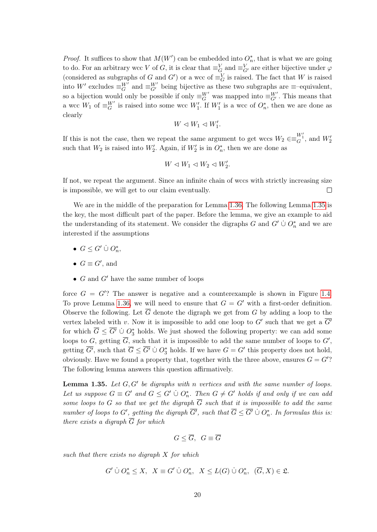*Proof.* It suffices to show that  $M(W')$  can be embedded into  $O_n^*$ , that is what we are going to do. For an arbitrary wcc V of G, it is clear that  $\equiv_G^V$  and  $\equiv_{G'}^V$  are either bijective under  $\varphi$ (considered as subgraphs of G and G') or a wcc of  $\equiv_G^V$  is raised. The fact that W is raised into W' excludes  $\equiv_G^{W'}$  and  $\equiv_{G'}^{W'}$  being bijective as these two subgraphs are  $\equiv$ -equivalent, so a bijection would only be possible if only  $\equiv_G^{W'}$  was mapped into  $\equiv_{G'}^{W'}$ . This means that a wcc  $W_1$  of  $\equiv_G^{W'}$  is raised into some wcc  $W'_1$ . If  $W'_1$  is a wcc of  $O_n^*$ , then we are done as clearly

$$
W\vartriangleleft W_1\vartriangleleft W'_1.
$$

If this is not the case, then we repeat the same argument to get wccs  $W_2 \in \equiv_{G}^{W'_1}$ , and  $W'_2$ such that  $W_2$  is raised into  $W_2'$ . Again, if  $W_2'$  is in  $O_n^*$ , then we are done as

$$
W \vartriangleleft W_1 \vartriangleleft W_2 \vartriangleleft W_2'.
$$

If not, we repeat the argument. Since an infinite chain of wccs with strictly increasing size is impossible, we will get to our claim eventually.  $\Box$ 

We are in the middle of the preparation for Lemma [1.36.](#page-22-0) The following Lemma [1.35](#page-20-0) is the key, the most difficult part of the paper. Before the lemma, we give an example to aid the understanding of its statement. We consider the digraphs G and  $G' \cup O_n^*$  and we are interested if the assumptions

- $G \leq G' \cup O_n^*$ ,
- $G \equiv G'$ , and
- $G$  and  $G'$  have the same number of loops

force  $G = G$ ? The answer is negative and a counterexample is shown in Figure [1.4.](#page-21-0) To prove Lemma [1.36,](#page-22-0) we will need to ensure that  $G = G'$  with a first-order definition. Observe the following. Let  $\overline{G}$  denote the digraph we get from G by adding a loop to the vertex labeled with v. Now it is impossible to add one loop to  $G'$  such that we get a  $\overline{G'}$ for which  $\overline{G} \leq \overline{G'} \cup O_3^*$  holds. We just showed the following property: we can add some loops to G, getting  $\overline{G}$ , such that it is impossible to add the same number of loops to  $G'$ , getting  $\overline{G'}$ , such that  $\overline{G} \leq \overline{G'} \cup O_3^*$  holds. If we have  $G = G'$  this property does not hold, obviously. Have we found a property that, together with the three above, ensures  $G = G$ ? The following lemma answers this question affirmatively.

<span id="page-20-0"></span>**Lemma 1.35.** Let  $G, G'$  be digraphs with n vertices and with the same number of loops. Let us suppose  $G \equiv G'$  and  $G \leq G' \cup O_n^*$ . Then  $G \neq G'$  holds if and only if we can add some loops to G so that we get the digraph  $\overline{G}$  such that it is impossible to add the same number of loops to G', getting the digraph  $\overline{G'}$ , such that  $\overline{G} \leq \overline{G'} \cup O_n^*$ . In formulas this is: there exists a digraph  $\overline{G}$  for which

$$
G \leq \overline{G}, \ G \equiv \overline{G}
$$

such that there exists no digraph  $X$  for which

 $G' \cup O_n^* \leq X$ ,  $X \equiv G' \cup O_n^*$ ,  $X \leq L(G) \cup O_n^*$ ,  $(\overline{G}, X) \in \mathfrak{L}$ .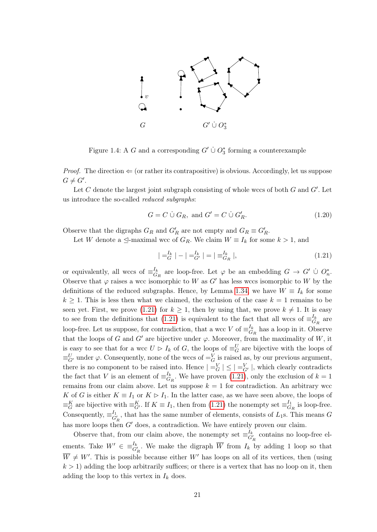

<span id="page-21-0"></span>Figure 1.4: A G and a corresponding  $G' \cup O_3^*$  forming a counterexample

*Proof.* The direction  $\Leftarrow$  (or rather its contrapositive) is obvious. Accordingly, let us suppose  $G \neq G'$ .

Let  $C$  denote the largest joint subgraph consisting of whole wccs of both  $G$  and  $G'$ . Let us introduce the so-called reduced subgraphs:

<span id="page-21-2"></span>
$$
G = C \dot{\cup} G_R, \text{ and } G' = C \dot{\cup} G'_R. \tag{1.20}
$$

Observe that the digraphs  $G_R$  and  $G'_R$  are not empty and  $G_R \equiv G'_R$ .

Let W denote a  $\leq$ -maximal wcc of  $G_R$ . We claim  $W \equiv I_k$  for some  $k > 1$ , and

<span id="page-21-1"></span>
$$
| =_{G}^{I_k} | - | =_{G'}^{I_k} | = | \equiv_{G_R}^{I_k} |,
$$
\n(1.21)

or equivalently, all wccs of  $\equiv_G^{I_k}$  $\frac{I_k}{G_R}$  are loop-free. Let  $\varphi$  be an embedding  $G \to G' \cup O_n^*$ . Observe that  $\varphi$  raises a wcc isomorphic to W as G' has less wccs isomorphic to W by the definitions of the reduced subgraphs. Hence, by Lemma [1.34,](#page-19-1) we have  $W \equiv I_k$  for some  $k \geq 1$ . This is less then what we claimed, the exclusion of the case  $k = 1$  remains to be seen yet. First, we prove [\(1.21\)](#page-21-1) for  $k \geq 1$ , then by using that, we prove  $k \neq 1$ . It is easy to see from the definitions that [\(1.21\)](#page-21-1) is equivalent to the fact that all wccs of  $\equiv_G^{\bar{I}_k}$  $\frac{I_k}{G_R}$  are loop-free. Let us suppose, for contradiction, that a wcc V of  $\equiv_G^{I_k}$  $\frac{I_k}{G_R}$  has a loop in it. Observe that the loops of G and G' are bijective under  $\varphi$ . Moreover, from the maximality of W, it is easy to see that for a wcc  $U \triangleright I_k$  of  $G$ , the loops of  $\equiv_G^U$  are bijective with the loops of  $\equiv^U_{G'}$  under  $\varphi$ . Consequently, none of the wccs of  $\equiv^V_G$  is raised as, by our previous argument, there is no component to be raised into. Hence  $| =_G^V | \leq | =_G^V |$ , which clearly contradicts the fact that V is an element of  $\equiv_G^{I_k}$  $\frac{I_k}{G_R}$ . We have proven [\(1.21\)](#page-21-1), only the exclusion of  $k = 1$ remains from our claim above. Let us suppose  $k = 1$  for contradiction. An arbitrary wcc K of G is either  $K \equiv I_1$  or  $K \triangleright I_1$ . In the latter case, as we have seen above, the loops of  $\equiv_G^K$  are bijective with  $\equiv_{G'}^K$ . If  $K \equiv I_1$ , then from [\(1.21\)](#page-21-1) the nonempty set  $\equiv_G^{I_1}$  $\frac{I_1}{G_R}$  is loop-free. Consequently,  $\equiv_{G'_R}^{I_1}$ , that has the same number of elements, consists of  $L_1$ s. This means G has more loops then  $G'$  does, a contradiction. We have entirely proven our claim.

Observe that, from our claim above, the nonempty set  $\equiv_{G'_R}^{I_k}$  contains no loop-free elements. Take  $W' \in \equiv_{G'_R}^{I_k}$ . We make the digraph  $\overline{W}$  from  $I_k$  by adding 1 loop so that  $\overline{W} \neq W'$ . This is possible because either W' has loops on all of its vertices, then (using  $k > 1$ ) adding the loop arbitrarily suffices; or there is a vertex that has no loop on it, then adding the loop to this vertex in  $I_k$  does.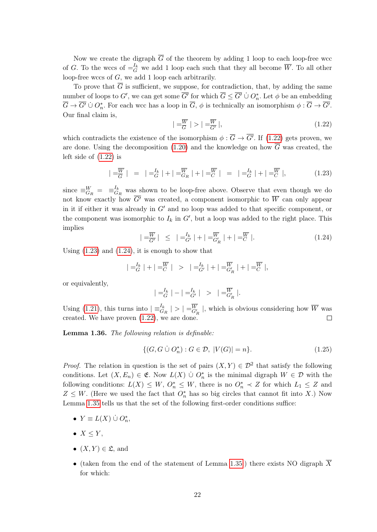Now we create the digraph  $\overline{G}$  of the theorem by adding 1 loop to each loop-free wcc of G. To the wccs of  $=$   $\frac{I_k}{G}$  we add 1 loop each such that they all become  $\overline{W}$ . To all other loop-free wccs of G, we add 1 loop each arbitrarily.

To prove that  $\overline{G}$  is sufficient, we suppose, for contradiction, that, by adding the same number of loops to G', we can get some  $\overline{G'}$  for which  $\overline{G} \leq \overline{G'} \cup O_n^*$ . Let  $\phi$  be an embedding  $\overline{G} \to \overline{G'} \cup O_n^*$ . For each wcc has a loop in  $\overline{G}$ ,  $\phi$  is technically an isomorphism  $\phi : \overline{G} \to \overline{G'}$ . Our final claim is,

<span id="page-22-1"></span>
$$
| = \frac{\overline{W}}{G} | > | = \frac{\overline{W}}{G'} |,
$$
\n
$$
(1.22)
$$

which contradicts the existence of the isomorphism  $\phi : \overline{G} \to \overline{G'}$ . If [\(1.22\)](#page-22-1) gets proven, we are done. Using the decomposition [\(1.20\)](#page-21-2) and the knowledge on how  $\overline{G}$  was created, the left side of [\(1.22\)](#page-22-1) is

<span id="page-22-2"></span>
$$
| = \frac{\overline{W}}{G} | = | = \frac{I_k}{G} | + | = \frac{\overline{W}}{G_R} | + | = \frac{\overline{W}}{C} | = | = \frac{I_k}{G} | + | = \frac{\overline{W}}{C} |,
$$
\n(1.23)

since  $\equiv_{G_R}^W = \equiv_{G_R}^{I_k}$  $G_R$  was shown to be loop-free above. Observe that even though we do not know exactly how  $\overline{G'}$  was created, a component isomorphic to  $\overline{W}$  can only appear in it if either it was already in  $G'$  and no loop was added to that specific component, or the component was isomorphic to  $I_k$  in  $G'$ , but a loop was added to the right place. This implies

<span id="page-22-3"></span>
$$
| = \frac{\overline{W}}{G'} | \le | = \frac{I_k}{G'} | + | = \frac{\overline{W}}{G'_R} | + | = \frac{\overline{W}}{C} |.
$$
 (1.24)

Using  $(1.23)$  and  $(1.24)$ , it is enough to show that

$$
|\frac{-I_k}{G}| + |\frac{-\overline{W}}{C}| > |\frac{-I_k}{G'}| + |\frac{-\overline{W}}{G'_R}| + |\frac{-\overline{W}}{C}|,
$$

or equivalently,

$$
| =_{G}^{I_k} | - | =_{G'}^{I_k} | > | =_{G'_R}^{\overline{W}} |.
$$

Using [\(1.21\)](#page-21-1), this turns into  $\left| \equiv_{G_R}^{I_k} \right| > \left| \equiv_{G'_R}^{\overline{W}} \right|$ , which is obvious considering how  $\overline{W}$  was created. We have proven  $(1.22)$ , we are done.  $\Box$ 

<span id="page-22-0"></span>Lemma 1.36. The following relation is definable:

<span id="page-22-4"></span>
$$
\{(G, G \cup O_n^*): G \in \mathcal{D}, |V(G)| = n\}.
$$
\n(1.25)

*Proof.* The relation in question is the set of pairs  $(X, Y) \in \mathcal{D}^2$  that satisfy the following conditions. Let  $(X, E_n) \in \mathfrak{E}$ . Now  $L(X) \cup O_n^*$  is the minimal digraph  $W \in \mathcal{D}$  with the following conditions:  $L(X) \leq W$ ,  $O_n^* \leq W$ , there is no  $O_n^* \prec Z$  for which  $L_1 \leq Z$  and  $Z \leq W$ . (Here we used the fact that  $O_n^*$  has so big circles that cannot fit into X.) Now Lemma [1.35](#page-20-0) tells us that the set of the following first-order conditions suffice:

- $Y \equiv L(X) \cup O_n^*$ ,
- $X \leq Y$ ,
- $(X, Y) \in \mathfrak{L}$ , and
- (taken from the end of the statement of Lemma [1.35:](#page-20-0)) there exists NO digraph  $\overline{X}$ for which: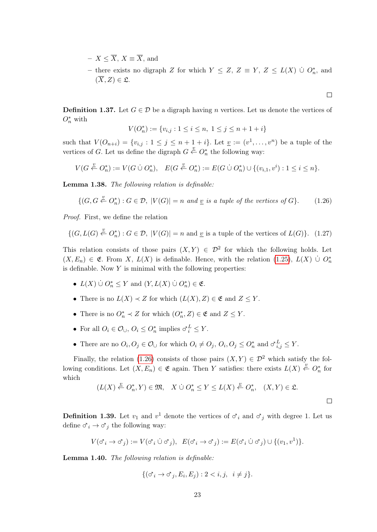- $X \leq \overline{X}$ ,  $X \equiv \overline{X}$ , and
- there exists no digraph Z for which  $Y \leq Z$ ,  $Z \equiv Y$ ,  $Z \leq L(X)$  ∪  $O_n^*$ , and  $(\overline{X}, Z) \in \mathfrak{L}.$

 $\Box$ 

 $\Box$ 

**Definition 1.37.** Let  $G \in \mathcal{D}$  be a digraph having n vertices. Let us denote the vertices of  $O_n^*$  with

$$
V(O_n^*) := \{v_{i,j} : 1 \le i \le n, \ 1 \le j \le n+1+i\}
$$

such that  $V(O_{n+i}) = \{v_{i,j} : 1 \leq j \leq n+1+i\}$ . Let  $\underline{v} := (v^1, \ldots, v^n)$  be a tuple of the vertices of G. Let us define the digraph  $G \stackrel{v}{\leftarrow} O_n^*$  the following way:

$$
V(G \stackrel{v}{\leftarrow} O_n^*) := V(G \cup O_n^*), \quad E(G \stackrel{v}{\leftarrow} O_n^*) := E(G \cup O_n^*) \cup \{(v_{i,1}, v^i) : 1 \le i \le n\}.
$$

Lemma 1.38. The following relation is definable:

<span id="page-23-0"></span>
$$
\{(G, G \stackrel{v}{\leftarrow} O_n^*): G \in \mathcal{D}, |V(G)| = n \text{ and } \underline{v} \text{ is a tuple of the vertices of } G\}. \tag{1.26}
$$

Proof. First, we define the relation

$$
\{(G, L(G) \stackrel{v}{\leftarrow} O_n^*): G \in \mathcal{D}, |V(G)| = n \text{ and } \underline{v} \text{ is a tuple of the vertices of } L(G)\}. (1.27)
$$

This relation consists of those pairs  $(X, Y) \in \mathcal{D}^2$  for which the following holds. Let  $(X, E_n) \in \mathfrak{E}$ . From X,  $L(X)$  is definable. Hence, with the relation [\(1.25\)](#page-22-4),  $L(X) \cup O_n^*$ is definable. Now  $Y$  is minimal with the following properties:

- $L(X) \cup O_n^* \leq Y$  and  $(Y, L(X) \cup O_n^*) \in \mathfrak{E}$ .
- There is no  $L(X) \prec Z$  for which  $(L(X), Z) \in \mathfrak{E}$  and  $Z \leq Y$ .
- There is no  $O_n^* \prec Z$  for which  $(O_n^*, Z) \in \mathfrak{E}$  and  $Z \leq Y$ .
- For all  $O_i \in \mathcal{O}_{\cup}$ ,  $O_i \leq O_n^*$  implies  $\sigma_i^L \leq Y$ .
- There are no  $O_i, O_j \in \mathcal{O}_\cup$  for which  $O_i \neq O_j$ ,  $O_i, O_j \leq O_n^*$  and  $\sigma_{i,j}^L \leq Y$ .

Finally, the relation [\(1.26\)](#page-23-0) consists of those pairs  $(X, Y) \in \mathcal{D}^2$  which satisfy the following conditions. Let  $(X, E_n) \in \mathfrak{E}$  again. Then Y satisfies: there exists  $L(X) \stackrel{v}{\leftarrow} O_n^*$  for which

$$
(L(X) \stackrel{v}{\leftarrow} O_n^*, Y) \in \mathfrak{M}, \quad X \mathbin{\dot{\cup}} O_n^* \le Y \le L(X) \stackrel{v}{\leftarrow} O_n^*, \quad (X, Y) \in \mathfrak{L}.
$$

**Definition 1.39.** Let  $v_1$  and  $v^1$  denote the vertices of  $\sigma_i$  and  $\sigma_j$  with degree 1. Let us define  $\sigma_i \to \sigma_j$  the following way:

$$
V(\sigma_i \to \sigma_j) := V(\sigma_i \cup \sigma_j), \ \ E(\sigma_i \to \sigma_j) := E(\sigma_i \cup \sigma_j) \cup \{(v_1, v^1)\}.
$$

Lemma 1.40. The following relation is definable:

$$
\{(\sigma_i \to \sigma_j, E_i, E_j) : 2 < i, j, \ i \neq j\}.
$$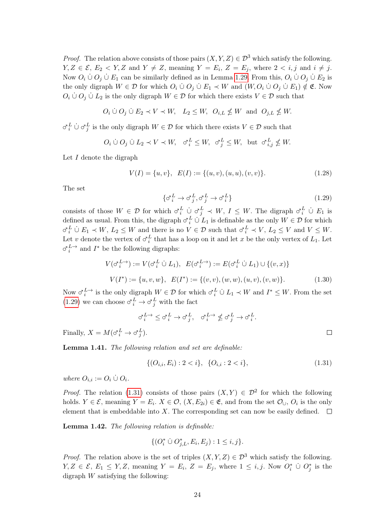*Proof.* The relation above consists of those pairs  $(X, Y, Z) \in \mathcal{D}^3$  which satisfy the following.  $Y, Z \in \mathcal{E}, E_2 \lt Y, Z$  and  $Y \neq Z$ , meaning  $Y = E_i, Z = E_j$ , where  $2 \lt i, j$  and  $i \neq j$ . Now  $O_i \cup O_j \cup E_1$  can be similarly defined as in Lemma [1.29.](#page-17-1) From this,  $O_i \cup O_j \cup E_2$  is the only digraph  $W \in \mathcal{D}$  for which  $O_i \cup O_j \cup E_1 \prec W$  and  $(W, O_i \cup O_j \cup E_1) \notin \mathfrak{E}$ . Now  $O_i \cup O_j \cup L_2$  is the only digraph  $W \in \mathcal{D}$  for which there exists  $V \in \mathcal{D}$  such that

$$
O_i \n\dot{\cup} O_j \n\dot{\cup} E_2 \prec V \prec W, \quad L_2 \leq W, \ \ O_{i,L} \nleq W \ \ \text{and} \ \ O_{j,L} \nleq W.
$$

 $\sigma_i^L$   $\cup \sigma_j^L$  is the only digraph  $W \in \mathcal{D}$  for which there exists  $V \in \mathcal{D}$  such that

$$
O_i \mathrel{\dot{\cup}} O_j \mathrel{\dot{\cup}} L_2 \prec V \prec W, \quad \sigma_i^L \le W, \quad \sigma_j^L \le W, \quad \text{but} \quad \sigma_{i,j}^L \not\le W.
$$

Let  $I$  denote the digraph

<span id="page-24-0"></span>
$$
V(I) = \{u, v\}, \ E(I) := \{(u, v), (u, u), (v, v)\}.
$$
 (1.28)

The set

<span id="page-24-2"></span>
$$
\{\sigma_i^L \to \sigma_j^L, \sigma_j^L \to \sigma_i^L\} \tag{1.29}
$$

consists of those  $W \in \mathcal{D}$  for which  $\sigma_i^L \cup \sigma_j^L \prec W$ ,  $I \leq W$ . The digraph  $\sigma_i^L \cup E_1$  is defined as usual. From this, the digraph  $\sigma_i^L \cup L_1$  is definable as the only  $W \in \mathcal{D}$  for which  $\sigma_i^L \cup E_1 \prec W, L_2 \leq W$  and there is no  $V \in \mathcal{D}$  such that  $\sigma_i^L \prec V, L_2 \leq V$  and  $V \leq W$ . Let v denote the vertex of  $\sigma_i^L$  that has a loop on it and let x be the only vertex of  $L_1$ . Let  $\sigma_i^{L\to}$  and  $I^*$  be the following digraphs:

<span id="page-24-1"></span>
$$
V(\sigma_i^{L\to}) := V(\sigma_i^L \cup L_1), \ E(\sigma_i^{L\to}) := E(\sigma_i^L \cup L_1) \cup \{(v, x)\}
$$
  

$$
V(I^*) := \{u, v, w\}, \ E(I^*) := \{(v, v), (w, w), (u, v), (v, w)\}.
$$
 (1.30)

Now  $\sigma_i^{L\to}$  is the only digraph  $W \in \mathcal{D}$  for which  $\sigma_i^L \cup L_1 \prec W$  and  $I^* \leq W$ . From the set [\(1.29\)](#page-24-2) we can choose  $\sigma_i^L \to \sigma_j^L$  with the fact

$$
\sigma^{L\rightarrow}_i \leq \sigma^L_i \rightarrow \sigma^L_j, \quad \sigma^{L\rightarrow}_i \nleq \sigma^L_j \rightarrow \sigma^L_i.
$$

Finally,  $X = M(\sigma_i^L \to \sigma_j^L)$ .

Lemma 1.41. The following relation and set are definable:

<span id="page-24-3"></span>
$$
\{(O_{i,i}, E_i) : 2 < i\}, \{O_{i,i} : 2 < i\},\tag{1.31}
$$

where  $O_{i,i} := O_i \cup O_i$ .

*Proof.* The relation [\(1.31\)](#page-24-3) consists of those pairs  $(X, Y) \in \mathcal{D}^2$  for which the following holds.  $Y \in \mathcal{E}$ , meaning  $Y = E_i$ .  $X \in \mathcal{O}$ ,  $(X, E_{2i}) \in \mathfrak{E}$ , and from the set  $\mathcal{O}_{\cup}$ ,  $O_i$  is the only element that is embeddable into X. The corresponding set can now be easily defined.  $\square$ 

Lemma 1.42. The following relation is definable:

$$
\{(O_i^* \; \dot\cup \; O_{j,L}^*, E_i, E_j) : 1 \le i, j\}.
$$

*Proof.* The relation above is the set of triples  $(X, Y, Z) \in \mathcal{D}^3$  which satisfy the following.  $Y, Z \in \mathcal{E}, E_1 \leq Y, Z$ , meaning  $Y = E_i, Z = E_j$ , where  $1 \leq i, j$ . Now  $O_i^* \cup O_j^*$  is the digraph  $W$  satisfying the following:

 $\Box$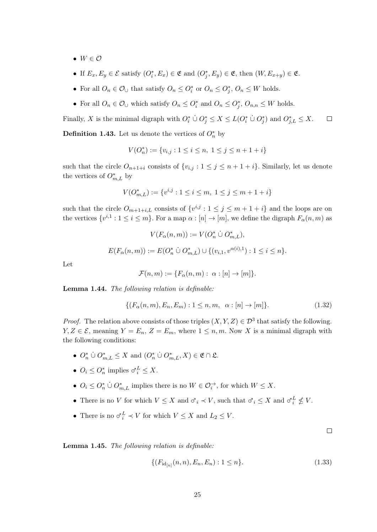- $W \in \mathcal{O}$
- If  $E_x, E_y \in \mathcal{E}$  satisfy  $(O_i^*, E_x) \in \mathfrak{E}$  and  $(O_j^*, E_y) \in \mathfrak{E}$ , then  $(W, E_{x+y}) \in \mathfrak{E}$ .
- For all  $O_n \in \mathcal{O}_\cup$  that satisfy  $O_n \leq O_i^*$  or  $O_n \leq O_j^*$ ,  $O_n \leq W$  holds.
- For all  $O_n \in \mathcal{O}_\cup$  which satisfy  $O_n \leq O_i^*$  and  $O_n \leq O_j^*$ ,  $O_{n,n} \leq W$  holds.

Finally, X is the minimal digraph with  $O_i^* \cup O_j^* \leq X \leq L(O_i^* \cup O_j^*)$  and  $O_{j,L}^* \leq X$ .  $\Box$ 

**Definition 1.43.** Let us denote the vertices of  $O_n^*$  by

$$
V(O_n^*) := \{v_{i,j} : 1 \le i \le n, \ 1 \le j \le n+1+i\}
$$

such that the circle  $O_{n+1+i}$  consists of  $\{v_{i,j} : 1 \leq j \leq n+1+i\}$ . Similarly, let us denote the vertices of  $O_{m,L}^*$  by

$$
V(O_{m,L}^*):=\{v^{i,j}:1\le i\le m,\ 1\le j\le m+1+i\}
$$

such that the circle  $O_{m+1+i,L}$  consists of  $\{v^{i,j}: 1 \leq j \leq m+1+i\}$  and the loops are on the vertices  $\{v^{i,1}: 1 \le i \le m\}$ . For a map  $\alpha : [n] \to [m]$ , we define the digraph  $F_{\alpha}(n,m)$  as

$$
V(F_{\alpha}(n, m)) := V(O_n^* \cup O_{m,L}^*),
$$
  

$$
E(F_{\alpha}(n, m)) := E(O_n^* \cup O_{m,L}^*) \cup \{(v_{i,1}, v^{\alpha(i),1}) : 1 \le i \le n\}.
$$

Let

$$
\mathcal{F}(n,m) := \{ F_{\alpha}(n,m) : \alpha : [n] \to [m] \}.
$$

Lemma 1.44. The following relation is definable:

<span id="page-25-0"></span>
$$
\{(F_{\alpha}(n,m), E_n, E_m) : 1 \le n, m, \alpha : [n] \to [m]\}.
$$
\n(1.32)

*Proof.* The relation above consists of those triples  $(X, Y, Z) \in \mathcal{D}^3$  that satisfy the following.  $Y, Z \in \mathcal{E}$ , meaning  $Y = E_n, Z = E_m$ , where  $1 \leq n, m$ . Now X is a minimal digraph with the following conditions:

- $O_n^* \dot{\cup} O_{m,L}^* \leq X$  and  $(O_n^* \dot{\cup} O_{m,L}^*, X) \in \mathfrak{E} \cap \mathfrak{L}$ .
- $O_i \leq O_n^*$  implies  $\sigma_i^L \leq X$ .
- $O_i \leq O_n^* \cup O_{m,L}^*$  implies there is no  $W \in \mathcal{O}_i^{\rightarrow}$ , for which  $W \leq X$ .
- There is no V for which  $V \leq X$  and  $\sigma_i \prec V$ , such that  $\sigma_i \leq X$  and  $\sigma_i^L \not\leq V$ .
- There is no  $\sigma_i^L \prec V$  for which  $V \leq X$  and  $L_2 \leq V$ .

 $\Box$ 

<span id="page-25-1"></span>Lemma 1.45. The following relation is definable:

$$
\{(F_{\mathrm{id}_{[n]}}(n,n), E_n, E_n) : 1 \le n\}.
$$
\n(1.33)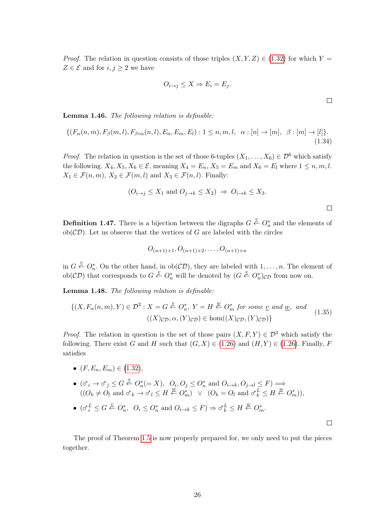*Proof.* The relation in question consists of those triples  $(X, Y, Z) \in (1.32)$  $(X, Y, Z) \in (1.32)$  for which Y =  $Z \in \mathcal{E}$  and for  $i, j \geq 2$  we have

$$
O_{i \to j} \le X \Rightarrow E_i = E_j.
$$

Lemma 1.46. The following relation is definable:

<span id="page-26-2"></span>
$$
\{(F_{\alpha}(n,m), F_{\beta}(m,l), F_{\beta\circ\alpha}(n,l), E_n, E_m, E_l) : 1 \le n, m, l, \alpha : [n] \to [m], \beta : [m] \to [l]\}.
$$
\n(1.34)

*Proof.* The relation in question is the set of those 6-tuples  $(X_1, \ldots, X_6) \in \mathcal{D}^6$  which satisfy the following.  $X_4, X_5, X_6 \in \mathcal{E}$ , meaning  $X_4 = E_n, X_5 = E_m$  and  $X_6 = E_l$  where  $1 \leq n, m, l$ .  $X_1 \in \mathcal{F}(n,m)$ ,  $X_2 \in \mathcal{F}(m,l)$  and  $X_3 \in \mathcal{F}(n,l)$ . Finally:

$$
(O_{i\to j} \le X_1 \text{ and } O_{j\to k} \le X_2) \Rightarrow O_{i\to k} \le X_3.
$$

**Definition 1.47.** There is a bijection between the digraphs  $G \stackrel{v}{\leftarrow} O_n^*$  and the elements of  $ob(\mathcal{CD})$ . Let us observe that the vertices of G are labeled with the circles

$$
O_{(n+1)+1}, O_{(n+1)+2}, \ldots, O_{(n+1)+n}
$$

in  $G \stackrel{v}{\leftarrow} O_n^*$ . On the other hand, in  $ob(\mathcal{CD})$ , they are labeled with  $1, \ldots, n$ . The element of ob( $CD$ ) that corresponds to  $G \stackrel{v}{\leftarrow} O_n^*$  will be denoted by  $(G \stackrel{v}{\leftarrow} O_n^*)_{CD}$  from now on.

<span id="page-26-1"></span>Lemma 1.48. The following relation is definable:

<span id="page-26-0"></span>
$$
\{(X, F_{\alpha}(n, m), Y) \in \mathcal{D}^{3} : X = G \stackrel{v}{\leftarrow} O_{n}^{*}, Y = H \stackrel{w}{\leftarrow} O_{m}^{*} \text{ for some } \underline{v} \text{ and } \underline{w}, \text{ and } (1.35) \tag{1.35}
$$
\n
$$
((X)_{\mathcal{CD}}, \alpha, (Y)_{\mathcal{CD}}) \in \text{hom}((X)_{\mathcal{CD}}, (Y)_{\mathcal{CD}})\}
$$

*Proof.* The relation in question is the set of those pairs  $(X, F, Y) \in \mathcal{D}^3$  which satisfy the following. There exist G and H such that  $(G, X) \in (1.26)$  $(G, X) \in (1.26)$  and  $(H, Y) \in (1.26)$ . Finally, F satisfies

- $(F, E_n, E_m) \in (1.32),$  $(F, E_n, E_m) \in (1.32),$  $(F, E_n, E_m) \in (1.32),$
- $(\sigma_i \to \sigma_j \leq G \stackrel{v}{\leftarrow} O_n^*(=X), O_i, O_j \leq O_n^*$  and  $O_{i\to k}, O_{j\to l} \leq F) \Longrightarrow$  $((O_k \neq O_l \text{ and } \sigma_k \rightarrow \sigma_l \leq H \stackrel{w}{\leftarrow} O_m^*) \quad \vee \quad (O_k = O_l \text{ and } \sigma_k^L \leq H \stackrel{w}{\leftarrow} O_m^*)),$
- $(\sigma_i^L \leq G \stackrel{v}{\leftarrow} O_n^*, \ \ O_i \leq O_n^* \text{ and } O_{i \to k} \leq F) \Rightarrow \sigma_k^L \leq H \stackrel{w}{\leftarrow} O_m^*.$

 $\Box$ 

The proof of Theorem [1.5](#page-12-0) is now properly prepared for, we only need to put the pieces together.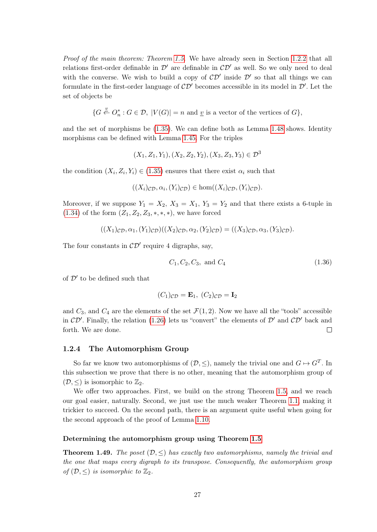Proof of the main theorem: Theorem [1.5.](#page-12-0) We have already seen in Section [1.2.2](#page-9-0) that all relations first-order definable in  $\mathcal{D}'$  are definable in  $\mathcal{CD}'$  as well. So we only need to deal with the converse. We wish to build a copy of  $\mathcal{CD}'$  inside  $\mathcal{D}'$  so that all things we can formulate in the first-order language of  $\mathcal{CD}'$  becomes accessible in its model in  $\mathcal{D}'$ . Let the set of objects be

$$
\{G \stackrel{v}{\leftarrow} O_n^* : G \in \mathcal{D}, \ |V(G)| = n \text{ and } \underline{v} \text{ is a vector of the vertices of } G\},\
$$

and the set of morphisms be [\(1.35\)](#page-26-0). We can define both as Lemma [1.48](#page-26-1) shows. Identity morphisms can be defined with Lemma [1.45.](#page-25-1) For the triples

$$
(X_1, Z_1, Y_1), (X_2, Z_2, Y_2), (X_3, Z_3, Y_3) \in \mathcal{D}^3
$$

the condition  $(X_i, Z_i, Y_i) \in (1.35)$  $(X_i, Z_i, Y_i) \in (1.35)$  ensures that there exist  $\alpha_i$  such that

$$
((X_i)_{\mathcal{CD}}, \alpha_i, (Y_i)_{\mathcal{CD}}) \in \text{hom}((X_i)_{\mathcal{CD}}, (Y_i)_{\mathcal{CD}}).
$$

Moreover, if we suppose  $Y_1 = X_2$ ,  $X_3 = X_1$ ,  $Y_3 = Y_2$  and that there exists a 6-tuple in [\(1.34\)](#page-26-2) of the form  $(Z_1, Z_2, Z_3, *, *, *),$  we have forced

 $((X_1)_{\mathcal{CD}}, \alpha_1, (Y_1)_{\mathcal{CD}})((X_2)_{\mathcal{CD}}, \alpha_2, (Y_2)_{\mathcal{CD}}) = ((X_3)_{\mathcal{CD}}, \alpha_3, (Y_3)_{\mathcal{CD}}).$ 

The four constants in  $\mathcal{CD}'$  require 4 digraphs, say,

<span id="page-27-1"></span>
$$
C_1, C_2, C_3, \text{ and } C_4 \tag{1.36}
$$

of  $\mathcal{D}'$  to be defined such that

$$
(C_1)_{\mathcal{CD}} = \mathbf{E}_1, \ (C_2)_{\mathcal{CD}} = \mathbf{I}_2
$$

and  $C_3$ , and  $C_4$  are the elements of the set  $\mathcal{F}(1, 2)$ . Now we have all the "tools" accessible in  $CD'$ . Finally, the relation [\(1.26\)](#page-23-0) lets us "convert" the elements of  $D'$  and  $CD'$  back and forth. We are done.  $\Box$ 

#### <span id="page-27-0"></span>1.2.4 The Automorphism Group

So far we know two automorphisms of  $(D, \leq)$ , namely the trivial one and  $G \mapsto G^T$ . In this subsection we prove that there is no other, meaning that the automorphism group of  $(\mathcal{D}, \leq)$  is isomorphic to  $\mathbb{Z}_2$ .

We offer two approaches. First, we build on the strong Theorem [1.5,](#page-12-0) and we reach our goal easier, naturally. Second, we just use the much weaker Theorem [1.1,](#page-8-2) making it trickier to succeed. On the second path, there is an argument quite useful when going for the second approach of the proof of Lemma [1.10.](#page-13-2)

#### Determining the automorphism group using Theorem [1.5](#page-12-0)

<span id="page-27-2"></span>**Theorem 1.49.** The poset  $(\mathcal{D}, \leq)$  has exactly two automorphisms, namely the trivial and the one that maps every digraph to its transpose. Consequently, the automorphism group of  $(\mathcal{D}, \leq)$  is isomorphic to  $\mathbb{Z}_2$ .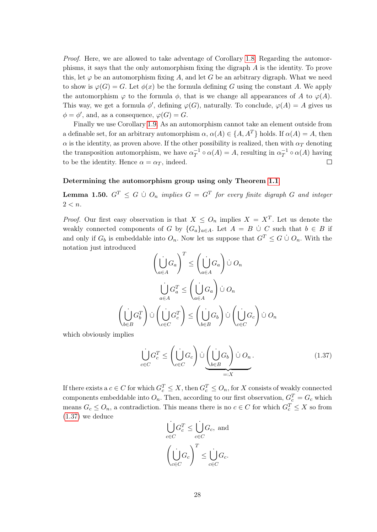Proof. Here, we are allowed to take adventage of Corollary [1.8.](#page-13-1) Regarding the automorphisms, it says that the only automorphism fixing the digraph A is the identity. To prove this, let  $\varphi$  be an automorphism fixing A, and let G be an arbitrary digraph. What we need to show is  $\varphi(G) = G$ . Let  $\phi(x)$  be the formula defining G using the constant A. We apply the automorphism  $\varphi$  to the formula  $\phi$ , that is we change all appearances of A to  $\varphi(A)$ . This way, we get a formula  $\phi'$ , defining  $\varphi(G)$ , naturally. To conclude,  $\varphi(A) = A$  gives us  $\phi = \phi'$ , and, as a consequence,  $\varphi(G) = G$ .

Finally we use Corollary [1.9.](#page-13-3) As an automorphism cannot take an element outside from a definable set, for an arbitrary automorphism  $\alpha$ ,  $\alpha(A) \in \{A, A^T\}$  holds. If  $\alpha(A) = A$ , then  $\alpha$  is the identity, as proven above. If the other possibility is realized, then with  $\alpha_T$  denoting the transposition automorphism, we have  $\alpha_T^{-1}$  $T^{-1} \circ \alpha(A) = A$ , resulting in  $\alpha_T^{-1}$  $\overline{T}^1 \circ \alpha(A)$  having to be the identity. Hence  $\alpha = \alpha_T$ , indeed.

#### Determining the automorphism group using only Theorem [1.1](#page-8-2)

<span id="page-28-1"></span>**Lemma 1.50.**  $G^T \leq G \cup O_n$  implies  $G = G^T$  for every finite digraph G and integer  $2 < n$ .

*Proof.* Our first easy observation is that  $X \leq O_n$  implies  $X = X^T$ . Let us denote the weakly connected components of G by  ${G_a}_{a \in A}$ . Let  $A = B \cup C$  such that  $b \in B$  if and only if  $G_b$  is embeddable into  $O_n$ . Now let us suppose that  $G^T \leq G \cup O_n$ . With the notation just introduced

$$
\left(\bigcup_{a \in A} G_a\right)^T \le \left(\bigcup_{a \in A} G_a\right) \cup O_n
$$

$$
\bigcup_{a \in A} G_a^T \le \left(\bigcup_{a \in A} G_a\right) \cup O_n
$$

$$
\left(\bigcup_{b \in B} G_b^T\right) \cup \left(\bigcup_{c \in C} G_c^T\right) \le \left(\bigcup_{b \in B} G_b\right) \cup \left(\bigcup_{c \in C} G_c\right) \cup O_n
$$

which obviously implies

<span id="page-28-0"></span>
$$
\bigcup_{c \in C} G_c^T \le \left(\bigcup_{c \in C} G_c\right) \cup \underbrace{\left(\bigcup_{b \in B} G_b\right)}_{=:X} \cup O_n.
$$
\n(1.37)

If there exists a  $c \in C$  for which  $G_c^T \leq X$ , then  $G_c^T \leq O_n$ , for X consists of weakly connected components embeddable into  $O_n$ . Then, according to our first observation,  $G_c^T = G_c$  which means  $G_c \leq O_n$ , a contradiction. This means there is no  $c \in C$  for which  $G_c^T \leq X$  so from [\(1.37\)](#page-28-0) we deduce

$$
\bigcup_{c \in C}^{i} G_c^T \le \bigcup_{c \in C}^{i} G_c
$$
, and  

$$
\left(\bigcup_{c \in C}^{i} G_c\right)^T \le \bigcup_{c \in C}^{i} G_c
$$
.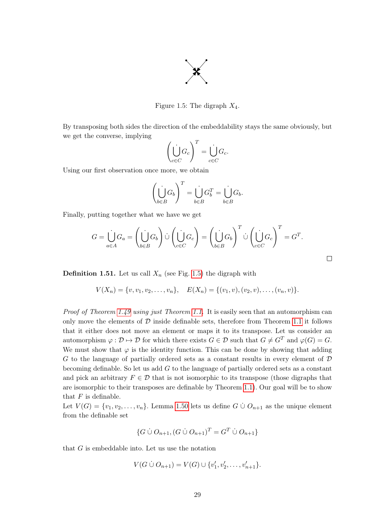

<span id="page-29-0"></span>Figure 1.5: The digraph  $X_4$ .

By transposing both sides the direction of the embeddability stays the same obviously, but we get the converse, implying

$$
\left(\bigcup_{c\in C} G_c\right)^T = \bigcup_{c\in C} G_c.
$$

Using our first observation once more, we obtain

$$
\left(\bigcup_{b\in B} G_b\right)^T = \bigcup_{b\in B} G_b^T = \bigcup_{b\in B} G_b.
$$

Finally, putting together what we have we get

$$
G = \bigcup_{a \in A} G_a = \left(\bigcup_{b \in B} G_b\right) \cup \left(\bigcup_{c \in C} G_c\right) = \left(\bigcup_{b \in B} G_b\right)^T \cup \left(\bigcup_{c \in C} G_c\right)^T = G^T.
$$

 $\Box$ 

**Definition 1.51.** Let us call  $X_n$  (see Fig. [1.5\)](#page-29-0) the digraph with

$$
V(X_n) = \{v, v_1, v_2, \dots, v_n\}, \quad E(X_n) = \{(v_1, v), (v_2, v), \dots, (v_n, v)\}.
$$

Proof of Theorem [1.49](#page-27-2) using just Theorem [1.1.](#page-8-2) It is easily seen that an automorphism can only move the elements of  $\mathcal D$  inside definable sets, therefore from Theorem [1.1](#page-8-2) it follows that it either does not move an element or maps it to its transpose. Let us consider an automorphism  $\varphi : \mathcal{D} \mapsto \mathcal{D}$  for which there exists  $G \in \mathcal{D}$  such that  $G \neq G^T$  and  $\varphi(G) = G$ . We must show that  $\varphi$  is the identity function. This can be done by showing that adding G to the language of partially ordered sets as a constant results in every element of  $D$ becoming definable. So let us add G to the language of partially ordered sets as a constant and pick an arbitrary  $F \in \mathcal{D}$  that is not isomorphic to its transpose (those digraphs that are isomorphic to their transposes are definable by Theorem [1.1\)](#page-8-2). Our goal will be to show that  $F$  is definable.

Let  $V(G) = \{v_1, v_2, \ldots, v_n\}$ . Lemma [1.50](#page-28-1) lets us define  $G \cup O_{n+1}$  as the unique element from the definable set

$$
\{G \cup O_{n+1}, (G \cup O_{n+1})^T = G^T \cup O_{n+1}\}
$$

that G is embeddable into. Let us use the notation

$$
V(G \mathbin{\dot{\cup}} O_{n+1}) = V(G) \cup \{v'_1, v'_2, \dots, v'_{n+1}\}.
$$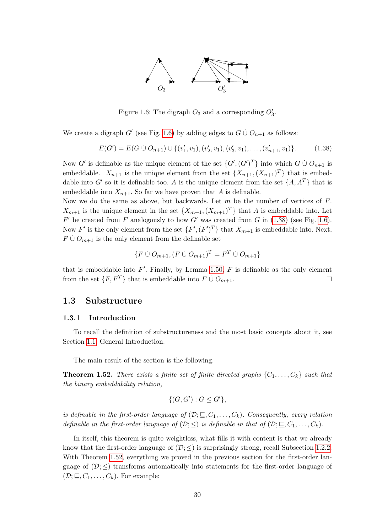

<span id="page-30-3"></span>Figure 1.6: The digraph  $O_3$  and a corresponding  $O'_3$ .

We create a digraph G' (see Fig. [1.6\)](#page-30-3) by adding edges to  $G \cup O_{n+1}$  as follows:

<span id="page-30-4"></span>
$$
E(G') = E(G \cup O_{n+1}) \cup \{(v'_1, v_1), (v'_2, v_1), (v'_3, v_1), \dots, (v'_{n+1}, v_1)\}.
$$
 (1.38)

Now G' is definable as the unique element of the set  $\{G', (G')^T\}$  into which  $G \cup O_{n+1}$  is embeddable.  $X_{n+1}$  is the unique element from the set  $\{X_{n+1}, (X_{n+1})^T\}$  that is embeddable into G' so it is definable too. A is the unique element from the set  $\{A, A^T\}$  that is embeddable into  $X_{n+1}$ . So far we have proven that A is definable.

Now we do the same as above, but backwards. Let  $m$  be the number of vertices of  $F$ .  $X_{m+1}$  is the unique element in the set  $\{X_{m+1}, (X_{m+1})^T\}$  that A is embeddable into. Let  $F'$  be created from F analogously to how G' was created from G in [\(1.38\)](#page-30-4) (see Fig. [1.6\)](#page-30-3). Now F' is the only element from the set  $\{F', (F')^T\}$  that  $X_{m+1}$  is embeddable into. Next,  $F \cup O_{m+1}$  is the only element from the definable set

$$
\{F \mathrel{\dot{\cup}} O_{m+1}, (F \mathrel{\dot{\cup}} O_{m+1})^T = F^T \mathrel{\dot{\cup}} O_{m+1}\}
$$

that is embeddable into  $F'$ . Finally, by Lemma [1.50,](#page-28-1)  $F$  is definable as the only element from the set  $\{F, F^T\}$  that is embeddable into  $F \cup O_{m+1}$ .  $\Box$ 

#### <span id="page-30-0"></span>1.3 Substructure

#### <span id="page-30-1"></span>1.3.1 Introduction

To recall the definition of substructureness and the most basic concepts about it, see Section [1.1,](#page-7-1) General Introduction.

The main result of the section is the following.

<span id="page-30-2"></span>**Theorem 1.52.** There exists a finite set of finite directed graphs  $\{C_1, \ldots, C_k\}$  such that the binary embeddability relation,

$$
\{ (G, G') : G \le G' \},\
$$

is definable in the first-order language of  $(\mathcal{D}; \subseteq, C_1, \ldots, C_k)$ . Consequently, every relation definable in the first-order language of  $(\mathcal{D}; \leq)$  is definable in that of  $(\mathcal{D}; \subseteq, C_1, \ldots, C_k)$ .

In itself, this theorem is quite weightless, what fills it with content is that we already know that the first-order language of  $(\mathcal{D}; \leq)$  is surprisingly strong, recall Subsection [1.2.2.](#page-9-0) With Theorem [1.52,](#page-30-2) everything we proved in the previous section for the first-order language of  $(\mathcal{D}; \leq)$  transforms automatically into statements for the first-order language of  $(\mathcal{D}; \sqsubseteq, C_1, \ldots, C_k)$ . For example: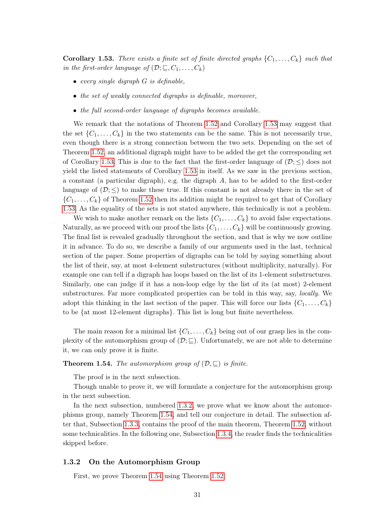<span id="page-31-1"></span>**Corollary 1.53.** There exists a finite set of finite directed graphs  $\{C_1, \ldots, C_k\}$  such that in the first-order language of  $(\mathcal{D}; \sqsubseteq, C_1, \ldots, C_k)$ 

- $\bullet$  every single digraph  $G$  is definable,
- the set of weakly connected digraphs is definable, moreover,
- the full second-order language of digraphs becomes available.

We remark that the notations of Theorem [1.52](#page-30-2) and Corollary [1.53](#page-31-1) may suggest that the set  $\{C_1, \ldots, C_k\}$  in the two statements can be the same. This is not necessarily true, even though there is a strong connection between the two sets. Depending on the set of Theorem [1.52,](#page-30-2) an additional digraph might have to be added the get the corresponding set of Corollary [1.53.](#page-31-1) This is due to the fact that the first-order language of  $(\mathcal{D}; \leq)$  does not yield the listed statements of Corollary [1.53](#page-31-1) in itself. As we saw in the previous section, a constant (a particular digraph), e.g. the digraph A, has to be added to the first-order language of  $(\mathcal{D}; \leq)$  to make these true. If this constant is not already there in the set of  $\{C_1, \ldots, C_k\}$  of Theorem [1.52](#page-30-2) then its addition might be required to get that of Corollary [1.53.](#page-31-1) As the equality of the sets is not stated anywhere, this technically is not a problem.

We wish to make another remark on the lists  $\{C_1, \ldots, C_k\}$  to avoid false expectations. Naturally, as we proceed with our proof the lists  $\{C_1, \ldots, C_k\}$  will be continuously growing. The final list is revealed gradually throughout the section, and that is why we now outline it in advance. To do so, we describe a family of our arguments used in the last, technical section of the paper. Some properties of digraphs can be told by saying something about the list of their, say, at most 4-element substructures (without multiplicity, naturally). For example one can tell if a digraph has loops based on the list of its 1-element substructures. Similarly, one can judge if it has a non-loop edge by the list of its (at most) 2-element substructures. Far more complicated properties can be told in this way, say, *locally*. We adopt this thinking in the last section of the paper. This will force our lists  $\{C_1, \ldots, C_k\}$ to be {at most 12-element digraphs}. This list is long but finite nevertheless.

The main reason for a minimal list  $\{C_1, \ldots, C_k\}$  being out of our grasp lies in the complexity of the automorphism group of  $(\mathcal{D}; \underline{\sqsubseteq})$ . Unfortunately, we are not able to determine it, we can only prove it is finite.

#### <span id="page-31-2"></span>**Theorem 1.54.** The automorphism group of  $(\mathcal{D}, \sqsubseteq)$  is finite.

The proof is in the next subsection.

Though unable to prove it, we will formulate a conjecture for the automorphism group in the next subsection.

In the next subsection, numbered [1.3.2,](#page-31-0) we prove what we know about the automorphisms group, namely Theorem [1.54,](#page-31-2) and tell our conjecture in detail. The subsection after that, Subsection [1.3.3,](#page-34-0) contains the proof of the main theorem, Theorem [1.52,](#page-30-2) without some technicalities. In the following one, Subsection [1.3.4,](#page-45-0) the reader finds the technicalities skipped before.

#### <span id="page-31-0"></span>1.3.2 On the Automorphism Group

First, we prove Theorem [1.54](#page-31-2) using Theorem [1.52.](#page-30-2)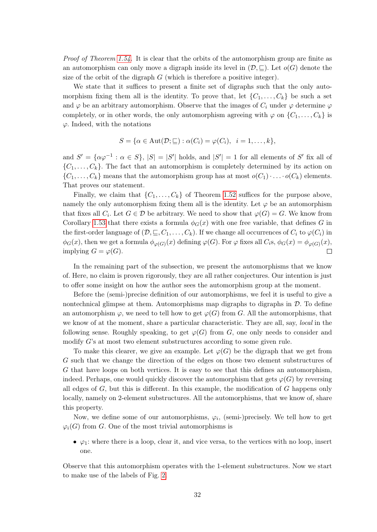Proof of Theorem [1.54.](#page-31-2) It is clear that the orbits of the automorphism group are finite as an automorphism can only move a digraph inside its level in  $(\mathcal{D}, \subseteq)$ . Let  $o(G)$  denote the size of the orbit of the digraph  $G$  (which is therefore a positive integer).

We state that it suffices to present a finite set of digraphs such that the only automorphism fixing them all is the identity. To prove that, let  $\{C_1, \ldots, C_k\}$  be such a set and  $\varphi$  be an arbitrary automorphism. Observe that the images of  $C_i$  under  $\varphi$  determine  $\varphi$ completely, or in other words, the only automorphism agreeing with  $\varphi$  on  $\{C_1, \ldots, C_k\}$  is  $\varphi$ . Indeed, with the notations

$$
S = \{ \alpha \in \text{Aut}(\mathcal{D}; \sqsubseteq) : \alpha(C_i) = \varphi(C_i), \ \ i = 1, \dots, k \},\
$$

and  $S' = {\alpha\varphi^{-1} : \alpha \in S}, |S| = |S'|$  holds, and  $|S'| = 1$  for all elements of S' fix all of  $\{C_1, \ldots, C_k\}$ . The fact that an automorphism is completely determined by its action on  $\{C_1,\ldots,C_k\}$  means that the automorphism group has at most  $o(C_1)\cdot\ldots\cdot o(C_k)$  elements. That proves our statement.

Finally, we claim that  $\{C_1, \ldots, C_k\}$  of Theorem [1.52](#page-30-2) suffices for the purpose above, namely the only automorphism fixing them all is the identity. Let  $\varphi$  be an automorphism that fixes all  $C_i$ . Let  $G \in \mathcal{D}$  be arbitrary. We need to show that  $\varphi(G) = G$ . We know from Corollary [1.53](#page-31-1) that there exists a formula  $\phi_G(x)$  with one free variable, that defines G in the first-order language of  $(\mathcal{D}, \subseteq, C_1, \ldots, C_k)$ . If we change all occurrences of  $C_i$  to  $\varphi(C_i)$  in  $\phi_G(x)$ , then we get a formula  $\phi_{\varphi(G)}(x)$  defining  $\varphi(G)$ . For  $\varphi$  fixes all  $C_i$ s,  $\phi_G(x) = \phi_{\varphi(G)}(x)$ , implying  $G = \varphi(G)$ .  $\Box$ 

In the remaining part of the subsection, we present the automorphisms that we know of. Here, no claim is proven rigorously, they are all rather conjectures. Our intention is just to offer some insight on how the author sees the automorphism group at the moment.

Before the (semi-)precise definition of our automorphisms, we feel it is useful to give a nontechnical glimpse at them. Automorphisms map digraphs to digraphs in  $\mathcal{D}$ . To define an automorphism  $\varphi$ , we need to tell how to get  $\varphi(G)$  from G. All the automorphisms, that we know of at the moment, share a particular characteristic. They are all, say, *local* in the following sense. Roughly speaking, to get  $\varphi(G)$  from G, one only needs to consider and modify G's at most two element substructures according to some given rule.

To make this clearer, we give an example. Let  $\varphi(G)$  be the digraph that we get from G such that we change the direction of the edges on those two element substructures of G that have loops on both vertices. It is easy to see that this defines an automorphism, indeed. Perhaps, one would quickly discover the automorphism that gets  $\varphi(G)$  by reversing all edges of  $G$ , but this is different. In this example, the modification of  $G$  happens only locally, namely on 2-element substructures. All the automorphisms, that we know of, share this property.

Now, we define some of our automorphisms,  $\varphi_i$ , (semi-)precisely. We tell how to get  $\varphi_i(G)$  from G. One of the most trivial automorphisms is

•  $\varphi_1$ : where there is a loop, clear it, and vice versa, to the vertices with no loop, insert one.

Observe that this automorphism operates with the 1-element substructures. Now we start to make use of the labels of Fig. [2.](#page-4-1)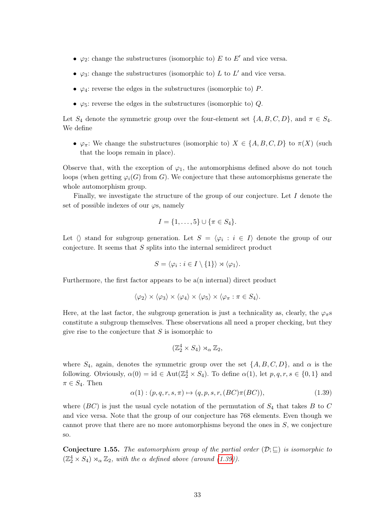- $\varphi_2$ : change the substructures (isomorphic to) E to E' and vice versa.
- $\varphi_3$ : change the substructures (isomorphic to) L to L' and vice versa.
- $\varphi_4$ : reverse the edges in the substructures (isomorphic to) P.
- $\varphi_5$ : reverse the edges in the substructures (isomorphic to) Q.

Let  $S_4$  denote the symmetric group over the four-element set  $\{A, B, C, D\}$ , and  $\pi \in S_4$ . We define

•  $\varphi_{\pi}$ : We change the substructures (isomorphic to)  $X \in \{A, B, C, D\}$  to  $\pi(X)$  (such that the loops remain in place).

Observe that, with the exception of  $\varphi_1$ , the automorphisms defined above do not touch loops (when getting  $\varphi_i(G)$  from G). We conjecture that these automorphisms generate the whole automorphism group.

Finally, we investigate the structure of the group of our conjecture. Let  $I$  denote the set of possible indexes of our  $\varphi$ s, namely

$$
I = \{1, \ldots, 5\} \cup \{\pi \in S_4\}.
$$

Let  $\langle \rangle$  stand for subgroup generation. Let  $S = \langle \varphi_i : i \in I \rangle$  denote the group of our conjecture. It seems that S splits into the internal semidirect product

$$
S = \langle \varphi_i : i \in I \setminus \{1\} \rangle \rtimes \langle \varphi_1 \rangle.
$$

Furthermore, the first factor appears to be a(n internal) direct product

$$
\langle \varphi_2 \rangle \times \langle \varphi_3 \rangle \times \langle \varphi_4 \rangle \times \langle \varphi_5 \rangle \times \langle \varphi_\pi : \pi \in S_4 \rangle.
$$

Here, at the last factor, the subgroup generation is just a technicality as, clearly, the  $\varphi_{\pi}$ s constitute a subgroup themselves. These observations all need a proper checking, but they give rise to the conjecture that  $S$  is isomorphic to

$$
(\mathbb{Z}_2^4 \times S_4) \rtimes_{\alpha} \mathbb{Z}_2,
$$

where  $S_4$ , again, denotes the symmetric group over the set  $\{A, B, C, D\}$ , and  $\alpha$  is the following. Obviously,  $\alpha(0) = id \in Aut(\mathbb{Z}_2^4 \times S_4)$ . To define  $\alpha(1)$ , let  $p, q, r, s \in \{0, 1\}$  and  $\pi \in S_4$ . Then

<span id="page-33-0"></span>
$$
\alpha(1) : (p, q, r, s, \pi) \mapsto (q, p, s, r, (BC)\pi(BC)),
$$
\n(1.39)

where (BC) is just the usual cycle notation of the permutation of  $S_4$  that takes B to C and vice versa. Note that the group of our conjecture has 768 elements. Even though we cannot prove that there are no more automorphisms beyond the ones in  $S$ , we conjecture so.

**Conjecture 1.55.** The automorphism group of the partial order  $(\mathcal{D}; \sqsubseteq)$  is isomorphic to  $(\mathbb{Z}_2^4 \times S_4) \rtimes_{\alpha} \mathbb{Z}_2$ , with the  $\alpha$  defined above (around [\(1.39\)](#page-33-0)).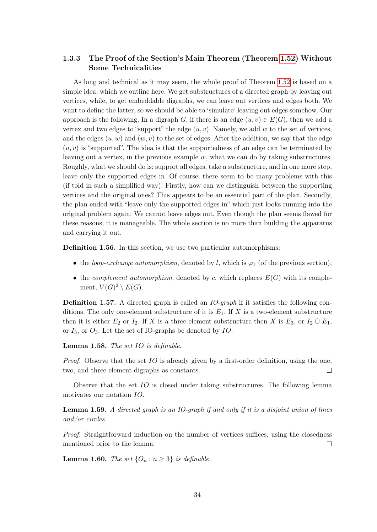#### <span id="page-34-0"></span>1.3.3 The Proof of the Section's Main Theorem (Theorem [1.52\)](#page-30-2) Without Some Technicalities

As long and technical as it may seem, the whole proof of Theorem [1.52](#page-30-2) is based on a simple idea, which we outline here. We get substructures of a directed graph by leaving out vertices, while, to get embeddable digraphs, we can leave out vertices and edges both. We want to define the latter, so we should be able to 'simulate' leaving out edges somehow. Our approach is the following. In a digraph G, if there is an edge  $(u, v) \in E(G)$ , then we add a vertex and two edges to "support" the edge  $(u, v)$ . Namely, we add w to the set of vertices, and the edges  $(u, w)$  and  $(w, v)$  to the set of edges. After the addition, we say that the edge  $(u, v)$  is "supported". The idea is that the supportedness of an edge can be terminated by leaving out a vertex, in the previous example  $w$ , what we can do by taking substructures. Roughly, what we should do is: support all edges, take a substructure, and in one more step, leave only the supported edges in. Of course, there seem to be many problems with this (if told in such a simplified way). Firstly, how can we distinguish between the supporting vertices and the original ones? This appears to be an essential part of the plan. Secondly, the plan ended with "leave only the supported edges in" which just looks running into the original problem again: We cannot leave edges out. Even though the plan seems flawed for these reasons, it is manageable. The whole section is no more than building the apparatus and carrying it out.

<span id="page-34-1"></span>Definition 1.56. In this section, we use two particular automorphisms:

- the loop-exchange automorphism, denoted by l, which is  $\varphi_1$  (of the previous section),
- the *complement automorphism*, denoted by c, which replaces  $E(G)$  with its complement,  $V(G)^2 \setminus E(G)$ .

Definition 1.57. A directed graph is called an *IO-graph* if it satisfies the following conditions. The only one-element substructure of it is  $E_1$ . If X is a two-element substructure then it is either  $E_2$  or  $I_2$ . If X is a three-element substructure then X is  $E_3$ , or  $I_2 \cup E_1$ , or  $I_3$ , or  $O_3$ . Let the set of IO-graphs be denoted by IO.

Lemma 1.58. The set IO is definable.

*Proof.* Observe that the set  $IO$  is already given by a first-order definition, using the one, two, and three element digraphs as constants.  $\Box$ 

Observe that the set IO is closed under taking substructures. The following lemma motivates our notation IO.

Lemma 1.59. A directed graph is an IO-graph if and only if it is a disjoint union of lines and/or circles.

Proof. Straightforward induction on the number of vertices suffices, using the closedness mentioned prior to the lemma.  $\Box$ 

**Lemma 1.60.** The set  $\{O_n : n \geq 3\}$  is definable.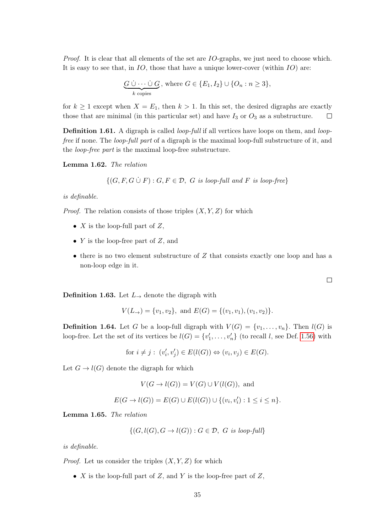Proof. It is clear that all elements of the set are IO-graphs, we just need to choose which. It is easy to see that, in  $IO$ , those that have a unique lower-cover (within  $IO$ ) are:

$$
\underbrace{G \cup \cdots \cup G}_{k \text{ copies}}, \text{ where } G \in \{E_1, I_2\} \cup \{O_n : n \geq 3\},
$$

for  $k \geq 1$  except when  $X = E_1$ , then  $k > 1$ . In this set, the desired digraphs are exactly those that are minimal (in this particular set) and have  $I_3$  or  $O_3$  as a substructure.  $\Box$ 

**Definition 1.61.** A digraph is called *loop-full* if all vertices have loops on them, and *loop*free if none. The loop-full part of a digraph is the maximal loop-full substructure of it, and the loop-free part is the maximal loop-free substructure.

Lemma 1.62. The relation

$$
\{(G, F, G \cup F) : G, F \in \mathcal{D}, G \text{ is loop-full and } F \text{ is loop-free}\}\
$$

is definable.

*Proof.* The relation consists of those triples  $(X, Y, Z)$  for which

- $X$  is the loop-full part of  $Z$ ,
- $Y$  is the loop-free part of  $Z$ , and
- $\bullet$  there is no two element substructure of  $Z$  that consists exactly one loop and has a non-loop edge in it.

**Definition 1.63.** Let  $L_{\rightarrow}$  denote the digraph with

$$
V(L_{\rightarrow}) = \{v_1, v_2\}, \text{ and } E(G) = \{(v_1, v_1), (v_1, v_2)\}.
$$

**Definition 1.64.** Let G be a loop-full digraph with  $V(G) = \{v_1, \ldots, v_n\}$ . Then  $l(G)$  is loop-free. Let the set of its vertices be  $l(G) = \{v'_1, \ldots, v'_n\}$  (to recall *l*, see Def. [1.56\)](#page-34-1) with

for 
$$
i \neq j
$$
:  $(v'_i, v'_j) \in E(l(G)) \Leftrightarrow (v_i, v_j) \in E(G)$ .

Let  $G \to l(G)$  denote the digraph for which

$$
V(G \to l(G)) = V(G) \cup V(l(G)), \text{ and}
$$

$$
E(G \to l(G)) = E(G) \cup E(l(G)) \cup \{(v_i, v'_i) : 1 \le i \le n\}.
$$

Lemma 1.65. The relation

$$
\{(G, l(G), G \to l(G)) : G \in \mathcal{D}, G \text{ is loop-full}\}\
$$

is definable.

*Proof.* Let us consider the triples  $(X, Y, Z)$  for which

•  $X$  is the loop-full part of  $Z$ , and  $Y$  is the loop-free part of  $Z$ ,

 $\Box$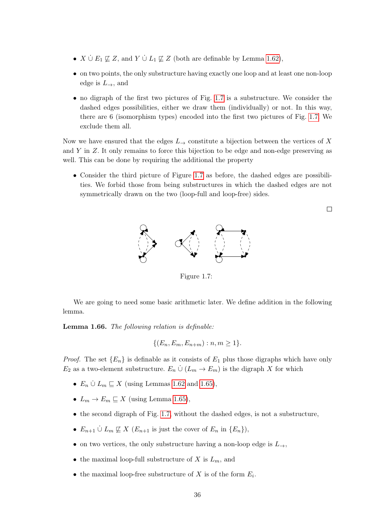- $X \cup E_1 \not\sqsubseteq Z$ , and  $Y \cup L_1 \not\sqsubseteq Z$  (both are definable by Lemma [1.62\)](#page-35-0),
- on two points, the only substructure having exactly one loop and at least one non-loop edge is  $L_{\rightarrow}$ , and
- no digraph of the first two pictures of Fig. [1.7](#page-36-0) is a substructure. We consider the dashed edges possibilities, either we draw them (individually) or not. In this way, there are 6 (isomorphism types) encoded into the first two pictures of Fig. [1.7.](#page-36-0) We exclude them all.

Now we have ensured that the edges  $L_{\rightarrow}$  constitute a bijection between the vertices of X and  $Y$  in  $Z$ . It only remains to force this bijection to be edge and non-edge preserving as well. This can be done by requiring the additional the property

• Consider the third picture of Figure [1.7](#page-36-0) as before, the dashed edges are possibilities. We forbid those from being substructures in which the dashed edges are not symmetrically drawn on the two (loop-full and loop-free) sides.



<span id="page-36-0"></span>Figure 1.7:

We are going to need some basic arithmetic later. We define addition in the following lemma.

<span id="page-36-1"></span>Lemma 1.66. The following relation is definable:

$$
\{(E_n, E_m, E_{n+m}) : n, m \ge 1\}.
$$

*Proof.* The set  ${E_n}$  is definable as it consists of  $E_1$  plus those digraphs which have only  $E_2$  as a two-element substructure.  $E_n \n\dot{\cup} (L_m \to E_m)$  is the digraph X for which

- $E_n \n\dot{\cup} L_m \sqsubseteq X$  (using Lemmas [1.62](#page-35-0) and [1.65\)](#page-35-1),
- $L_m \to E_m \sqsubseteq X$  (using Lemma [1.65\)](#page-35-1),
- the second digraph of Fig. [1.7,](#page-36-0) without the dashed edges, is not a substructure,
- $E_{n+1} \nightharpoonup L_m \nightharpoonup X$  ( $E_{n+1}$  is just the cover of  $E_n$  in  $\{E_n\}$ ),
- on two vertices, the only substructure having a non-loop edge is  $L_{\rightarrow}$ ,
- the maximal loop-full substructure of X is  $L_m$ , and
- the maximal loop-free substructure of  $X$  is of the form  $E_i$ .

 $\Box$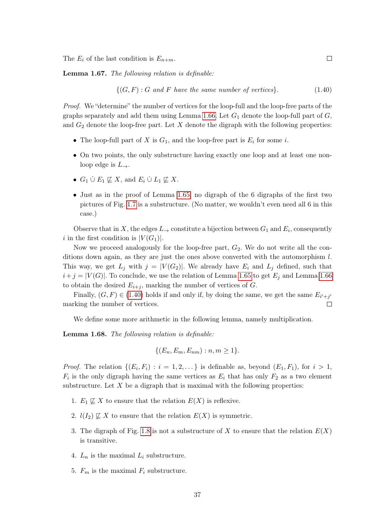The  $E_i$  of the last condition is  $E_{n+m}$ .

<span id="page-37-1"></span>Lemma 1.67. The following relation is definable:

<span id="page-37-0"></span>
$$
\{(G, F) : G \text{ and } F \text{ have the same number of vertices}\}.
$$
 (1.40)

Proof. We "determine" the number of vertices for the loop-full and the loop-free parts of the graphs separately and add them using Lemma [1.66.](#page-36-1) Let  $G_1$  denote the loop-full part of  $G$ , and  $G_2$  denote the loop-free part. Let X denote the digraph with the following properties:

- The loop-full part of X is  $G_1$ , and the loop-free part is  $E_i$  for some i.
- On two points, the only substructure having exactly one loop and at least one nonloop edge is  $L_{\rightarrow}$ .
- $G_1 \cup E_1 \not\sqsubseteq X$ , and  $E_i \cup L_1 \not\sqsubseteq X$ .
- Just as in the proof of Lemma [1.65,](#page-35-1) no digraph of the 6 digraphs of the first two pictures of Fig. [1.7](#page-36-0) is a substructure. (No matter, we wouldn't even need all 6 in this case.)

Observe that in X, the edges  $L_{\rightarrow}$  constitute a bijection between  $G_1$  and  $E_i$ , consequently i in the first condition is  $|V(G_1)|$ .

Now we proceed analogously for the loop-free part,  $G_2$ . We do not write all the conditions down again, as they are just the ones above converted with the automorphism l. This way, we get  $L_j$  with  $j = |V(G_2)|$ . We already have  $E_i$  and  $L_j$  defined, such that  $i+j = |V(G)|$ . To conclude, we use the relation of Lemma [1.65](#page-35-1) to get  $E_i$  and Lemma [1.66](#page-36-1) to obtain the desired  $E_{i+j}$ , marking the number of vertices of G.

Finally,  $(G, F) \in (1.40)$  $(G, F) \in (1.40)$  holds if and only if, by doing the same, we get the same  $E_{i'+j'}$ marking the number of vertices.  $\Box$ 

We define some more arithmetic in the following lemma, namely multiplication.

Lemma 1.68. The following relation is definable:

$$
\{(E_n, E_m, E_{nm}) : n, m \ge 1\}.
$$

*Proof.* The relation  $\{(E_i, F_i) : i = 1, 2, ...\}$  is definable as, beyond  $(E_1, F_1)$ , for  $i > 1$ ,  $F_i$  is the only digraph having the same vertices as  $E_i$  that has only  $F_2$  as a two element substructure. Let  $X$  be a digraph that is maximal with the following properties:

- 1.  $E_1 \not\sqsubseteq X$  to ensure that the relation  $E(X)$  is reflexive.
- 2.  $l(I_2) \not\sqsubseteq X$  to ensure that the relation  $E(X)$  is symmetric.
- 3. The digraph of Fig. [1.8](#page-38-0) is not a substructure of X to ensure that the relation  $E(X)$ is transitive.
- 4.  $L_n$  is the maximal  $L_i$  substructure.
- 5.  $F_m$  is the maximal  $F_i$  substructure.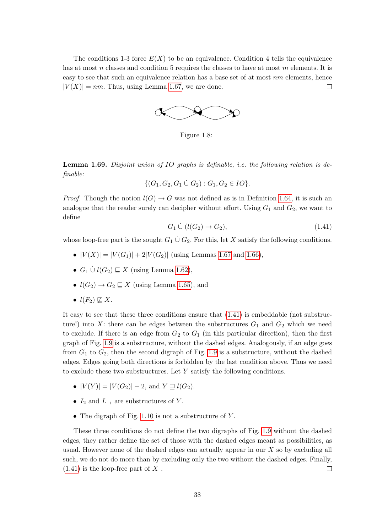The conditions 1-3 force  $E(X)$  to be an equivalence. Condition 4 tells the equivalence has at most n classes and condition 5 requires the classes to have at most m elements. It is easy to see that such an equivalence relation has a base set of at most  $nm$  elements, hence  $|V(X)| = nm$ . Thus, using Lemma [1.67,](#page-37-1) we are done.  $\Box$ 



<span id="page-38-0"></span>Figure 1.8:

Lemma 1.69. Disjoint union of IO graphs is definable, *i.e.* the following relation is definable:

$$
\{(G_1, G_2, G_1 \cup G_2) : G_1, G_2 \in IO\}.
$$

*Proof.* Though the notion  $l(G) \to G$  was not defined as is in Definition [1.64,](#page-35-2) it is such an analogue that the reader surely can decipher without effort. Using  $G_1$  and  $G_2$ , we want to define

<span id="page-38-1"></span>
$$
G_1 \mathcal{Q} \left( l(G_2) \to G_2 \right), \tag{1.41}
$$

whose loop-free part is the sought  $G_1 \cup G_2$ . For this, let X satisfy the following conditions.

- $|V(X)| = |V(G_1)| + 2|V(G_2)|$  (using Lemmas [1.67](#page-37-1) and [1.66\)](#page-36-1),
- $G_1 \cup l(G_2) \sqsubseteq X$  (using Lemma [1.62\)](#page-35-0),
- $l(G_2) \rightarrow G_2 \sqsubseteq X$  (using Lemma [1.65\)](#page-35-1), and
- $l(F_2) \not\sqsubseteq X$ .

It easy to see that these three conditions ensure that [\(1.41\)](#page-38-1) is embeddable (not substructure!) into X: there can be edges between the substructures  $G_1$  and  $G_2$  which we need to exclude. If there is an edge from  $G_2$  to  $G_1$  (in this particular direction), then the first graph of Fig. [1.9](#page-39-0) is a substructure, without the dashed edges. Analogously, if an edge goes from  $G_1$  to  $G_2$ , then the second digraph of Fig. [1.9](#page-39-0) is a substructure, without the dashed edges. Edges going both directions is forbidden by the last condition above. Thus we need to exclude these two substructures. Let Y satisfy the following conditions.

- $|V(Y)| = |V(G_2)| + 2$ , and  $Y \supseteq l(G_2)$ .
- $I_2$  and  $L_{\rightarrow}$  are substructures of Y.
- The digraph of Fig. [1.10](#page-39-1) is not a substructure of  $Y$ .

These three conditions do not define the two digraphs of Fig. [1.9](#page-39-0) without the dashed edges, they rather define the set of those with the dashed edges meant as possibilities, as usual. However none of the dashed edges can actually appear in our  $X$  so by excluding all such, we do not do more than by excluding only the two without the dashed edges. Finally,  $(1.41)$  is the loop-free part of X.  $\Box$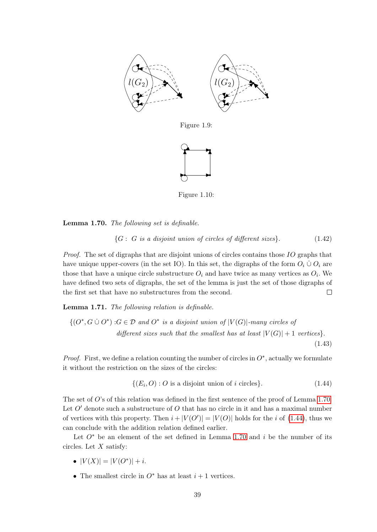

<span id="page-39-0"></span>Figure 1.9:



<span id="page-39-1"></span>Figure 1.10:

<span id="page-39-2"></span>Lemma 1.70. The following set is definable.

<span id="page-39-4"></span>
$$
{G : G is a disjoint union of circles of different sizes}.
$$
 (1.42)

Proof. The set of digraphs that are disjoint unions of circles contains those IO graphs that have unique upper-covers (in the set IO). In this set, the digraphs of the form  $O_i \cup O_i$  are those that have a unique circle substructure  $O_i$  and have twice as many vertices as  $O_i$ . We have defined two sets of digraphs, the set of the lemma is just the set of those digraphs of the first set that have no substructures from the second.  $\Box$ 

Lemma 1.71. The following relation is definable.

<span id="page-39-5"></span>
$$
\{(O^*, G \cup O^*) : G \in \mathcal{D} \text{ and } O^* \text{ is a disjoint union of } |V(G)|\text{-many circles of different sizes such that the smallest has at least } |V(G)| + 1 \text{ vertices} \}.
$$
\n(1.43)

*Proof.* First, we define a relation counting the number of circles in  $O^*$ , actually we formulate it without the restriction on the sizes of the circles:

<span id="page-39-3"></span>
$$
\{(E_i, O) : O \text{ is a disjoint union of } i \text{ circles}\}. \tag{1.44}
$$

The set of  $O$ 's of this relation was defined in the first sentence of the proof of Lemma [1.70.](#page-39-2) Let  $O'$  denote such a substructure of  $O$  that has no circle in it and has a maximal number of vertices with this property. Then  $i+|V(O')|=|V(O)|$  holds for the i of [\(1.44\)](#page-39-3), thus we can conclude with the addition relation defined earlier.

Let  $O^*$  be an element of the set defined in Lemma [1.70](#page-39-2) and i be the number of its circles. Let  $X$  satisfy:

- $|V(X)| = |V(O^*)| + i$ .
- The smallest circle in  $O^*$  has at least  $i + 1$  vertices.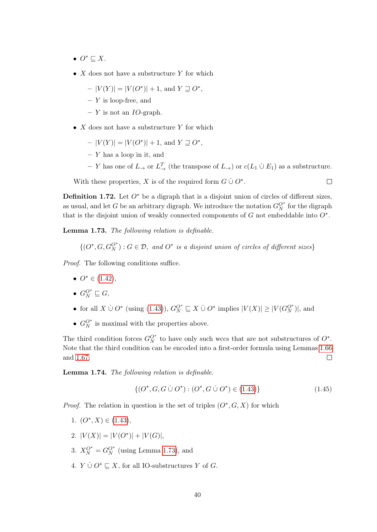- $O^* \sqsubseteq X$ .
- $X$  does not have a substructure  $Y$  for which

$$
-|V(Y)| = |V(O^*)| + 1, \text{ and } Y \sqsupseteq O^*,
$$

- $Y$  is loop-free, and
- $Y$  is not an *IO*-graph.
- $X$  does not have a substructure Y for which
	- $|V(Y)| = |V(O^*)| + 1$ , and  $Y \supseteq O^*$ ,
	- $-$  Y has a loop in it, and
	- $-$  Y has one of  $L_→$  or  $L_→$  (the transpose of  $L→$ ) or  $c(L_1 \cup E_1)$  as a substructure.

 $\Box$ 

With these properties, X is of the required form  $G \cup O^*$ .

<span id="page-40-6"></span>**Definition 1.72.** Let  $O^*$  be a digraph that is a disjoint union of circles of different sizes, as usual, and let G be an arbitrary digraph. We introduce the notation  $G_N^{O^*}$  for the digraph that is the disjoint union of weakly connected components of  $G$  not embeddable into  $O^*$ .

<span id="page-40-0"></span>Lemma 1.73. The following relation is definable.

$$
\{(O^*, G, G_N^{O^*}) : G \in \mathcal{D}, \text{ and } O^* \text{ is a disjoint union of circles of different sizes}\}\
$$

Proof. The following conditions suffice.

- $O^* \in (1.42)$  $O^* \in (1.42)$ ,
- $G_N^{O^*} \sqsubseteq G$ ,
- for all  $X \cup O^*$  (using [\(1.43\)](#page-39-5)),  $G_N^{O^*} \sqsubseteq X \cup O^*$  implies  $|V(X)| \geq |V(G_N^{O^*})|$ , and
- $G_N^{O^*}$  is maximal with the properties above.

The third condition forces  $G_N^{O^*}$  to have only such wccs that are not substructures of  $O^*$ . Note that the third condition can be encoded into a first-order formula using Lemmas [1.66](#page-36-1) and [1.67.](#page-37-1)  $\Box$ 

Lemma 1.74. The following relation is definable.

<span id="page-40-5"></span>
$$
\{(O^*, G, G \cup O^*): (O^*, G \cup O^*) \in (1.43)\}\tag{1.45}
$$

*Proof.* The relation in question is the set of triples  $(O^*, G, X)$  for which

- <span id="page-40-1"></span>1.  $(O^*, X) \in (1.43),$  $(O^*, X) \in (1.43),$  $(O^*, X) \in (1.43),$
- <span id="page-40-2"></span>2.  $|V(X)| = |V(O^*)| + |V(G)|$ ,
- <span id="page-40-3"></span>3.  $X_N^{O^*} = G_N^{O^*}$  (using Lemma [1.73\)](#page-40-0), and
- <span id="page-40-4"></span>4.  $Y \cup O^* \sqsubseteq X$ , for all IO-substructures Y of G.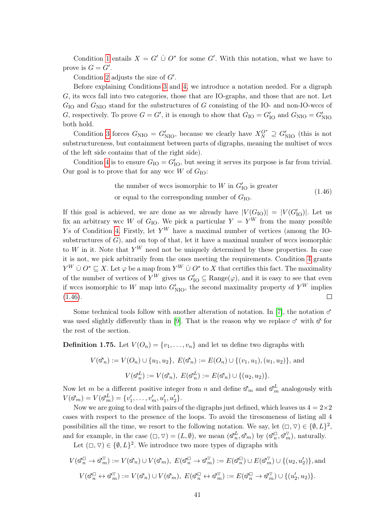Condition [1](#page-40-1) entails  $X = G' \cup O^*$  for some G'. With this notation, what we have to prove is  $G = G'$ .

Condition [2](#page-40-2) adjusts the size of  $G'$ .

Before explaining Conditions [3](#page-40-3) and [4,](#page-40-4) we introduce a notation needed. For a digraph G, its wccs fall into two categories, those that are IO-graphs, and those that are not. Let  $G_{\text{IO}}$  and  $G_{\text{NIO}}$  stand for the substructures of G consisting of the IO- and non-IO-wccs of G, respectively. To prove  $G = G'$ , it is enough to show that  $G_{IO} = G'_{IO}$  and  $G_{\rm NIO} = G'_{\rm NIO}$ both hold.

Condition [3](#page-40-3) forces  $G_{\text{NIO}} = G'_{\text{NIO}}$ , because we clearly have  $X_N^{O^*} \supseteq G'_{\text{NIO}}$  (this is not substructureness, but containment between parts of digraphs, meaning the multiset of wccs of the left side contains that of the right side).

Condition [4](#page-40-4) is to ensure  $G_{IO} = G'_{IO}$ , but seeing it serves its purpose is far from trivial. Our goal is to prove that for any wcc  $W$  of  $G_{IO}$ :

the number of wccs isomorphic to 
$$
W
$$
 in  $G'_{IO}$  is greater  
or equal to the corresponding number of  $G_{IO}$ .  
(1.46)

<span id="page-41-0"></span>If this goal is achieved, we are done as we already have  $|V(G_{\text{IO}})| = |V(G'_{\text{IO}})|$ . Let us fix an arbitrary wcc W of G<sub>IO</sub>. We pick a particular  $Y = Y^W$  from the many possible Ys of Condition [4.](#page-40-4) Firstly, let  $Y^W$  have a maximal number of vertices (among the IOsubstructures of  $G$ ), and on top of that, let it have a maximal number of wccs isomorphic to W in it. Note that  $Y^W$  need not be uniquely determined by these properties. In case it is not, we pick arbitrarily from the ones meeting the requirements. Condition [4](#page-40-4) grants  $Y^W \mathbin{\dot{\cup}} O^* \sqsubseteq X$ . Let  $\varphi$  be a map from  $Y^W \mathbin{\dot{\cup}} O^*$  to X that certifies this fact. The maximality of the number of vertices of  $Y^W$  gives us  $G'_{1O} \subseteq \text{Range}(\varphi)$ , and it is easy to see that even if wccs isomorphic to W map into  $G'_{\text{NIO}}$ , the second maximality property of  $Y^W$  implies  $\Box$  $(1.46).$  $(1.46).$ 

Some technical tools follow with another alteration of notation. In [\[7\]](#page-73-0), the notation  $\sigma$ was used slightly differently than in [\[9\]](#page-73-1). That is the reason why we replace  $\sigma$  with  $\delta$  for the rest of the section.

<span id="page-41-1"></span>**Definition 1.75.** Let  $V(O_n) = \{v_1, \ldots, v_n\}$  and let us define two digraphs with

$$
V(\mathfrak{S}_n) := V(O_n) \cup \{u_1, u_2\}, \ E(\mathfrak{S}_n) := E(O_n) \cup \{(v_1, u_1), (u_1, u_2)\}, \text{ and}
$$

$$
V(\mathfrak{S}_n^L) := V(\mathfrak{S}_n), \ E(\mathfrak{S}_n^L) := E(\mathfrak{S}_n) \cup \{(u_2, u_2)\}.
$$

Now let m be a different positive integer from n and define  $\mathcal{S}_m$  and  $\mathcal{S}_m^L$  analogously with  $V(\vec{\infty}_m) = V(\vec{\infty}_m^L) = \{v'_1, \ldots, v'_m, u'_1, u'_2\}.$ 

Now we are going to deal with pairs of the digraphs just defined, which leaves us  $4 = 2 \times 2$ cases with respect to the presence of the loops. To avoid the tiresomeness of listing all 4 possibilities all the time, we resort to the following notation. We say, let  $(\Box, \nabla) \in \{\emptyset, L\}^2$ , and for example, in the case  $(\Box, \nabla) = (L, \emptyset)$ , we mean  $(\mathcal{S}_n^L, \mathcal{S}_m)$  by  $(\mathcal{S}_n^{\Box}, \mathcal{S}_m^{\nabla})$ , naturally.

Let  $(\Box, \triangledown) \in \{\emptyset, L\}^2$ . We introduce two more types of digraphs with

$$
V(\mathfrak{S}_n^{\square} \to \mathfrak{S}_m^{\nabla}) := V(\mathfrak{S}_n) \cup V(\mathfrak{S}_m), \ E(\mathfrak{S}_n^{\square} \to \mathfrak{S}_m^{\nabla}) := E(\mathfrak{S}_n^{\square}) \cup E(\mathfrak{S}_m^{\nabla}) \cup \{(u_2, u_2')\},\
$$
and
$$
V(\mathfrak{S}_n^{\square} \leftrightarrow \mathfrak{S}_m^{\nabla}) := V(\mathfrak{S}_n) \cup V(\mathfrak{S}_m), \ E(\mathfrak{S}_n^{\square} \leftrightarrow \mathfrak{S}_m^{\nabla}) := E(\mathfrak{S}_n^{\square} \to \mathfrak{S}_m^{\nabla}) \cup \{(u_2', u_2)\}.
$$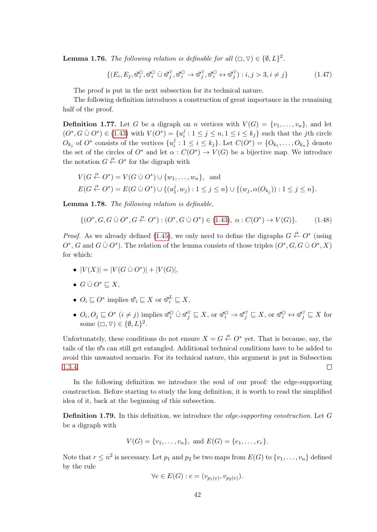<span id="page-42-2"></span>**Lemma 1.76.** The following relation is definable for all  $(\Box, \triangledown) \in \{\emptyset, L\}^2$ .

$$
\{(E_i, E_j, \vec{\sigma}_i^{\square}, \vec{\sigma}_i^{\square} \cup \vec{\sigma}_j^{\triangledown}, \vec{\sigma}_i^{\square} \rightarrow \vec{\sigma}_j^{\triangledown}, \vec{\sigma}_i^{\square} \leftrightarrow \vec{\sigma}_j^{\triangledown}) : i, j > 3, i \neq j\}
$$
(1.47)

The proof is put in the next subsection for its technical nature.

The following definition introduces a construction of great importance in the remaining half of the proof.

<span id="page-42-4"></span>**Definition 1.77.** Let G be a digraph on n vertices with  $V(G) = \{v_1, \ldots, v_n\}$ , and let  $(O^*, G \cup O^*) \in (1.43)$  $(O^*, G \cup O^*) \in (1.43)$  with  $V(O^*) = \{u_i^j\}$  $i_j : 1 \leq j \leq n, 1 \leq i \leq k_j$  such that the jth circle  $O_{k_j}$  of  $O^*$  consists of the vertices  $\{u_i^j\}$  $i_i^j : 1 \leq i \leq k_j$ . Let  $C(O^*) = \{O_{k_1}, \ldots, O_{k_n}\}\$  denote the set of the circles of  $O^*$  and let  $\alpha: C(O^*) \to V(G)$  be a bijective map. We introduce the notation  $G \stackrel{\alpha}{\leftarrow} O^*$  for the digraph with

$$
V(G \xleftarrow{\alpha} O^*) = V(G \cup O^*) \cup \{w_1, \dots, w_n\}, \text{ and}
$$
  
 
$$
E(G \xleftarrow{\alpha} O^*) = E(G \cup O^*) \cup \{(u_1^j, w_j) : 1 \le j \le n\} \cup \{(w_j, \alpha(O_{k_j})) : 1 \le j \le n\}.
$$

<span id="page-42-3"></span>Lemma 1.78. The following relation is definable.

<span id="page-42-0"></span>
$$
\{ (O^*, G, G \cup O^*, G \xleftarrow{\alpha} O^*) : (O^*, G \cup O^*) \in (1.43), \ \alpha : C(O^*) \to V(G) \}. \tag{1.48}
$$

*Proof.* As we already defined [\(1.45\)](#page-40-5), we only need to define the digraphs  $G \stackrel{\alpha}{\leftarrow} O^*$  (using  $O^*$ , G and  $G \cup O^*$ ). The relation of the lemma consists of those triples  $(O^*, G, G \cup O^*, X)$ for which:

- $|V(X)| = |V(G \cup O^*)| + |V(G)|$ ,
- $G \cup O^* \sqsubseteq X$ ,
- $O_i \sqsubseteq O^*$  implies  $\mathfrak{S}_i \sqsubseteq X$  or  $\mathfrak{S}_i^L \sqsubseteq X$ ,
- $O_i, O_j \sqsubseteq O^*$   $(i \neq j)$  implies  $\mathfrak{S}_i^{\square} \cup \mathfrak{S}_j^{\triangledown} \sqsubseteq X$ , or  $\mathfrak{S}_i^{\square} \to \mathfrak{S}_j^{\triangledown} \sqsubseteq X$ , or  $\mathfrak{S}_i^{\square} \leftrightarrow \mathfrak{S}_j^{\triangledown} \sqsubseteq X$  for some  $(\Box, \triangledown) \in \{\emptyset, L\}^2$ .

Unfortunately, these conditions do not ensure  $X = G \stackrel{\alpha}{\leftarrow} O^*$  yet. That is because, say, the tails of the  $\mathcal{S}_s$  can still get entangled. Additional technical conditions have to be added to avoid this unwanted scenario. For its technical nature, this argument is put in Subsection [1.3.4.](#page-45-0)  $\Box$ 

In the following definition we introduce the soul of our proof: the edge-supporting construction. Before starting to study the long definition, it is worth to read the simplified idea of it, back at the beginning of this subsection.

<span id="page-42-1"></span>Definition 1.79. In this definition, we introduce the *edge-supporting construction*. Let G be a digraph with

$$
V(G) = \{v_1, \ldots, v_n\}, \text{ and } E(G) = \{e_1, \ldots, e_r\}.
$$

Note that  $r \leq n^2$  is necessary. Let  $p_1$  and  $p_2$  be two maps from  $E(G)$  to  $\{v_1, \ldots, v_n\}$  defined by the rule

$$
\forall e \in E(G) : e = (v_{p_1(e)}, v_{p_2(e)}).
$$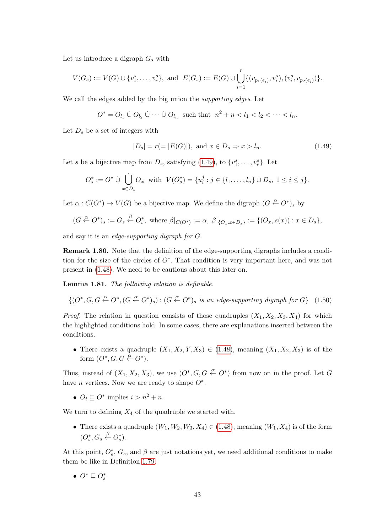Let us introduce a digraph  $G_s$  with

$$
V(G_s) := V(G) \cup \{v_1^s, \ldots, v_r^s\}, \text{ and } E(G_s) := E(G) \cup \bigcup_{i=1}^r \{(v_{p_1(e_i)}, v_i^s), (v_i^s, v_{p_2(e_i)})\}.
$$

We call the edges added by the big union the supporting edges. Let

$$
O^* = O_{l_1} \mathrel{\dot{\cup}} O_{l_2} \mathrel{\dot{\cup}} \cdots \mathrel{\dot{\cup}} O_{l_n} \text{ such that } n^2 + n < l_1 < l_2 < \cdots < l_n.
$$

Let  $D_s$  be a set of integers with

<span id="page-43-0"></span>
$$
|D_s| = r (= |E(G)|), \text{ and } x \in D_s \Rightarrow x > l_n.
$$
 (1.49)

Let s be a bijective map from  $D_s$ , satisfying  $(1.49)$ , to  $\{v_1^s, \ldots, v_r^s\}$ . Let

$$
O_s^* := O^* \cup \bigcup_{x \in D_s} O_x \text{ with } V(O_s^*) = \{u_i^j : j \in \{l_1, \dots, l_n\} \cup D_s, 1 \le i \le j\}.
$$

Let  $\alpha: C(O^*) \to V(G)$  be a bijective map. We define the digraph  $(G \stackrel{\alpha}{\leftarrow} O^*)_s$  by

$$
(G \stackrel{\alpha}{\leftarrow} O^*)_s := G_s \stackrel{\beta}{\leftarrow} O_s^*
$$
, where  $\beta|_{C(O^*)} := \alpha$ ,  $\beta|_{\{O_x : x \in D_s\}} := \{(O_x, s(x)) : x \in D_s\}$ ,

and say it is an edge-supporting digraph for G.

Remark 1.80. Note that the definition of the edge-supporting digraphs includes a condition for the size of the circles of  $O^*$ . That condition is very important here, and was not present in [\(1.48\)](#page-42-0). We need to be cautious about this later on.

Lemma 1.81. The following relation is definable.

<span id="page-43-1"></span>
$$
\{(O^*, G, G \xleftarrow{\alpha} O^*, (G \xleftarrow{\alpha} O^*)_s) : (G \xleftarrow{\alpha} O^*)_s \text{ is an edge-supporting digraph for } G\} \quad (1.50)
$$

*Proof.* The relation in question consists of those quadruples  $(X_1, X_2, X_3, X_4)$  for which the highlighted conditions hold. In some cases, there are explanations inserted between the conditions.

• There exists a quadruple  $(X_1, X_2, Y, X_3) \in (1.48)$  $(X_1, X_2, Y, X_3) \in (1.48)$ , meaning  $(X_1, X_2, X_3)$  is of the form  $(O^*, G, G \xleftarrow{\alpha} O^*).$ 

Thus, instead of  $(X_1, X_2, X_3)$ , we use  $(O^*, G, G \stackrel{\alpha}{\leftarrow} O^*)$  from now on in the proof. Let G have *n* vertices. Now we are ready to shape  $O^*$ .

•  $O_i \sqsubseteq O^*$  implies  $i > n^2 + n$ .

We turn to defining  $X_4$  of the quadruple we started with.

• There exists a quadruple  $(W_1, W_2, W_3, X_4) \in (1.48)$  $(W_1, W_2, W_3, X_4) \in (1.48)$ , meaning  $(W_1, X_4)$  is of the form  $(O_s^*, G_s \overset{\beta}{\leftarrow} O_s^*)$ .

At this point,  $O_s^*$ ,  $G_s$ , and  $\beta$  are just notations yet, we need additional conditions to make them be like in Definition [1.79.](#page-42-1)

•  $O^* \sqsubseteq O_s^*$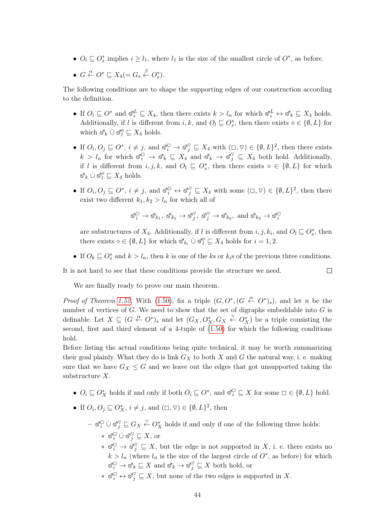•  $O_i \subseteq O_s^*$  implies  $i \geq l_1$ , where  $l_1$  is the size of the smallest circle of  $O^*$ , as before.

• 
$$
G \stackrel{\alpha}{\leftarrow} O^* \sqsubseteq X_4 (= G_s \stackrel{\beta}{\leftarrow} O_s^*).
$$

The following conditions are to shape the supporting edges of our construction according to the definition.

- If  $O_i \sqsubseteq O^*$  and  $\mathcal{A}_i^L \sqsubseteq X_4$ , then there exists  $k > l_n$  for which  $\mathcal{A}_i^L \leftrightarrow \mathcal{A}_k \sqsubseteq X_4$  holds. Additionally, if l is different from  $i, k$ , and  $O_l \subseteq O_s^*$ , then there exists  $\diamond \in \{\emptyset, L\}$  for which  $\mathcal{A}_k \cup \mathcal{A}_l^{\diamond} \sqsubseteq X_4$  holds.
- If  $O_i, O_j \sqsubseteq O^*, i \neq j$ , and  $\mathfrak{S}_i^{\square} \to \mathfrak{S}_j^{\triangledown} \sqsubseteq X_4$  with  $(\square, \triangledown) \in \{\emptyset, L\}^2$ , then there exists  $k > l_n$  for which  $\mathcal{S}_i^{\square} \to \mathcal{S}_k \subseteq X_4$  and  $\mathcal{S}_k \to \mathcal{S}_j^{\nabla} \subseteq X_4$  both hold. Additionally, if l is different from  $i, j, k$ , and  $O_l \subseteq O_s^*$ , then there exists  $\diamond \in \{\emptyset, L\}$  for which  $k \mathbin{\dot{\cup}} \mathfrak{S}_l^{\diamond} \sqsubseteq X_4$  holds.
- If  $O_i, O_j \sqsubseteq O^*, i \neq j$ , and  $\mathcal{S}_i^{\square} \leftrightarrow \mathcal{S}_j^{\nabla} \sqsubseteq X_4$  with some  $(\square, \triangledown) \in \{\emptyset, L\}^2$ , then there exist two different  $k_1, k_2 > l_n$  for which all of

$$
\mathcal{S}_i^{\square} \to \mathcal{S}_{k_1}, \ \mathcal{S}_{k_1} \to \mathcal{S}_j^{\nabla}, \ \mathcal{S}_j^{\nabla} \to \mathcal{S}_{k_2}, \text{ and } \mathcal{S}_{k_2} \to \mathcal{S}_i^{\square}
$$

are substructures of  $X_4$ . Additionally, if l is different from  $i, j, k_i$ , and  $O_l \sqsubseteq O_s^*$ , then there exists  $\diamond \in \{\emptyset, L\}$  for which  $\mathcal{S}_{k_i} \cup \mathcal{S}_l^{\diamond} \sqsubseteq X_4$  holds for  $i = 1, 2$ .

• If  $O_k \sqsubseteq O_s^*$  and  $k > l_n$ , then k is one of the ks or  $k_i$ s of the previous three conditions.

 $\Box$ 

It is not hard to see that these conditions provide the structure we need.

We are finally ready to prove our main theorem.

*Proof of Theorem [1.52.](#page-30-0)* With [\(1.50\)](#page-43-1), fix a triple  $(G, O^*, (G \stackrel{\alpha}{\leftarrow} O^*)_s)$ , and let n be the number of vertices of  $G$ . We need to show that the set of digraphs embeddable into  $G$  is definable. Let  $X \sqsubseteq (G \stackrel{\alpha}{\leftarrow} O^*)_s$  and let  $(G_X, O_X^*, G_X \stackrel{\gamma}{\leftarrow} O_X^*)$  be a triple consisting the second, first and third element of a 4-tuple of [\(1.50\)](#page-43-1) for which the following conditions hold.

Before listing the actual conditions being quite technical, it may be worth summarizing their goal plainly. What they do is link  $G_X$  to both X and G the natural way, i. e. making sure that we have  $G_X \leq G$  and we leave out the edges that got unsupported taking the substructure X.

- $O_i \sqsubseteq O_X^*$  holds if and only if both  $O_i \sqsubseteq O^*$ , and  $\mathbb{S}_i^{\square} \sqsubseteq X$  for some  $\square \in \{\emptyset, L\}$  hold.
- If  $O_i, O_j \sqsubseteq O_X^*, i \neq j$ , and  $(\Box, \triangledown) \in \{\emptyset, L\}^2$ , then
	- $-\otimes_i^{\square} \cup \otimes_j^{\triangledown} \subseteq G_X \overset{\gamma}{\leftarrow} O_X^*$  holds if and only if one of the following three holds: \*  $\check{\mathfrak{a}}_i^{\square} \dot{\cup} \check{\mathfrak{a}}_j^{\triangledown} \sqsubseteq X$ , or
		- $* \, \mathfrak{S}_i^{\square} \to \mathfrak{S}_j^{\nabla} \sqsubseteq X$ , but the edge is not supported in X, i. e. there exists no  $k > l_n$  (where  $l_n$  is the size of the largest circle of  $O^*$ , as before) for which  $\overline{\mathbb{C}}_i \to \overline{\mathfrak{S}}_k \sqsubseteq X$  and  $\overline{\mathfrak{S}}_k \to \overline{\mathfrak{S}}_j^{\nabla} \sqsubseteq X$  both hold, or
		- $* \ \mathfrak{S}_i^{\square} \leftrightarrow \mathfrak{S}_j^{\nabla} \sqsubseteq X$ , but none of the two edges is supported in X.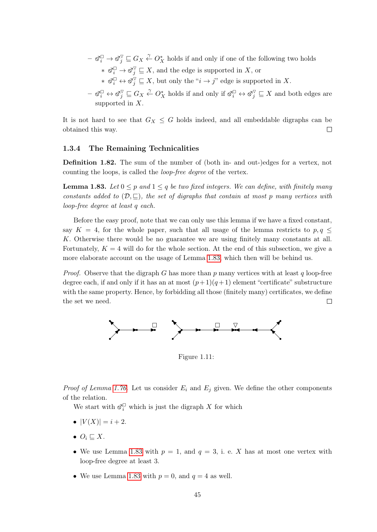- $-\otimes_i^{\square} \to \otimes_j^{\triangledown} \sqsubseteq G_X \overset{\gamma}{\leftarrow} O_X^*$  holds if and only if one of the following two holds  $* \mathfrak{S}_i^{\square} \to \mathfrak{S}_j^{\nabla} \sqsubseteq X$ , and the edge is supported in X, or
	- $* \ \mathfrak{S}_i^{\square} \leftrightarrow \mathfrak{S}_j^{\overline{\vee}} \sqsubseteq X$ , but only the " $i \to j$ " edge is supported in X.
- $-\otimes_i^{\square} \leftrightarrow \otimes_j^{\triangledown} \sqsubseteq G_X \stackrel{\gamma}{\leftarrow} O_X^*$  holds if and only if  $\otimes_i^{\square} \leftrightarrow \otimes_j^{\triangledown} \sqsubseteq X$  and both edges are supported in X.

It is not hard to see that  $G_X \leq G$  holds indeed, and all embeddable digraphs can be obtained this way.  $\Box$ 

#### <span id="page-45-0"></span>1.3.4 The Remaining Technicalities

Definition 1.82. The sum of the number of (both in- and out-)edges for a vertex, not counting the loops, is called the loop-free degree of the vertex.

<span id="page-45-1"></span>**Lemma 1.83.** Let  $0 \leq p$  and  $1 \leq q$  be two fixed integers. We can define, with finitely many constants added to  $(\mathcal{D}, \subseteq)$ , the set of digraphs that contain at most p many vertices with loop-free degree at least q each.

Before the easy proof, note that we can only use this lemma if we have a fixed constant, say  $K = 4$ , for the whole paper, such that all usage of the lemma restricts to  $p, q \leq$ K. Otherwise there would be no guarantee we are using finitely many constants at all. Fortunately,  $K = 4$  will do for the whole section. At the end of this subsection, we give a more elaborate account on the usage of Lemma [1.83,](#page-45-1) which then will be behind us.

*Proof.* Observe that the digraph G has more than p many vertices with at least q loop-free degree each, if and only if it has an at most  $(p+1)(q+1)$  element "certificate" substructure with the same property. Hence, by forbidding all those (finitely many) certificates, we define the set we need.  $\Box$ 



<span id="page-45-2"></span>Figure 1.11:

*Proof of Lemma [1.76.](#page-42-2)* Let us consider  $E_i$  and  $E_j$  given. We define the other components of the relation.

We start with  $\mathcal{S}_i^{\sqcup}$  which is just the digraph X for which

- $|V(X)| = i + 2$ .
- $O_i \sqsubseteq X$ .
- We use Lemma [1.83](#page-45-1) with  $p = 1$ , and  $q = 3$ , i. e. X has at most one vertex with loop-free degree at least 3.
- We use Lemma [1.83](#page-45-1) with  $p = 0$ , and  $q = 4$  as well.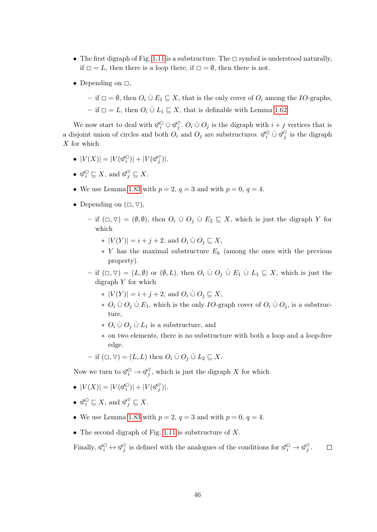- The first digraph of Fig. [1.11](#page-45-2) is a substructure. The  $\Box$  symbol is understood naturally, if  $\Box = L$ , then there is a loop there, if  $\Box = \emptyset$ , then there is not.
- Depending on  $\Box$ ,
	- if  $□ = ∅$ , then  $O_i ∪ E_1 ∑ X$ , that is the only cover of  $O_i$  among the *IO*-graphs,
	- if  $□ = L$ , then  $O_i$  ∪̀  $L_1 ⊆ X$ , that is definable with Lemma [1.62.](#page-35-0)

We now start to deal with  $\mathcal{A}_i^{\square} \cup \mathcal{S}_j^{\triangledown}$  $j^{\nabla}$ .  $O_i \cup O_j$  is the digraph with  $i + j$  vertices that is a disjoint union of circles and both  $O_i$  and  $O_j$  are substructures.  $\mathcal{S}_i^{\square}$   $\cup \mathcal{S}_j^{\triangledown}$  $j$  is the digraph  $X$  for which

- $|V(X)| = |V(\vec{\sigma}_i^{\Box})| + |V(\vec{\sigma}_j^{\nabla})|$  $_{j}^{\vee})|.$
- $\mathfrak{S}_i^{\square} \sqsubseteq X$ , and  $\mathfrak{S}_j^{\triangledown} \sqsubseteq X$ .
- We use Lemma [1.83](#page-45-1) with  $p = 2$ ,  $q = 3$  and with  $p = 0$ ,  $q = 4$ .
- Depending on  $(\Box, \nabla)$ ,
	- if ( $\Box$ ,  $\triangledown$ ) = ( $\emptyset$ ,  $\emptyset$ ), then  $O_i$  ∪̀  $O_j$  ∪̀  $E_2 \sqsubseteq X$ , which is just the digraph Y for which
		- $*$   $|V(Y)| = i + j + 2$ , and  $O_i \cup O_j \sqsubseteq X$ ,
		- $*$  Y has the maximal substructure  $E_k$  (among the ones with the previous property).
	- if  $(\Box, \nabla) = (L, \emptyset)$  or  $(\emptyset, L)$ , then  $O_i \cup O_j \cup E_1 \cup L_1 \sqsubseteq X$ , which is just the digraph  $Y$  for which
		- $*$   $|V(Y)| = i + j + 2$ , and  $O_i \cup O_j \sqsubseteq X$ ,
		- ∗  $O_i$   $\dot{\cup}$   $O_j$   $\dot{\cup}$   $E_1$ , which is the only *IO*-graph cover of  $O_i$   $\dot{\cup}$   $O_j$ , is a substructure,
		- ∗  $O_i$   $\dot{\cup} O_j$   $\dot{\cup} L_1$  is a substructure, and
		- ∗ on two elements, there is no substructure with both a loop and a loop-free edge.
	- if  $(\Box, \nabla) = (L, L)$  then  $O_i \cup O_j \cup L_2 \sqsubseteq X$ .

Now we turn to  $\mathcal{S}_i^{\square} \to \mathcal{S}_j^{\nabla}$ , which is just the digraph X for which

- $|V(X)| = |V(\vec{\sigma}_i^{\Box})| + |V(\vec{\sigma}_j^{\nabla})|$  $_{j}^{\vee})|.$
- $\mathfrak{S}_i^{\square} \sqsubseteq X$ , and  $\mathfrak{S}_j^{\triangledown} \sqsubseteq X$ .
- We use Lemma [1.83](#page-45-1) with  $p = 2$ ,  $q = 3$  and with  $p = 0$ ,  $q = 4$ .
- The second digraph of Fig. [1.11](#page-45-2) is substructure of  $X$ .

Finally,  $\mathfrak{S}_i^{\square} \leftrightarrow \mathfrak{S}_j^{\nabla}$  is defined with the analogues of the conditions for  $\mathfrak{S}_i^{\square} \to \mathfrak{S}_j^{\nabla}$ .  $\Box$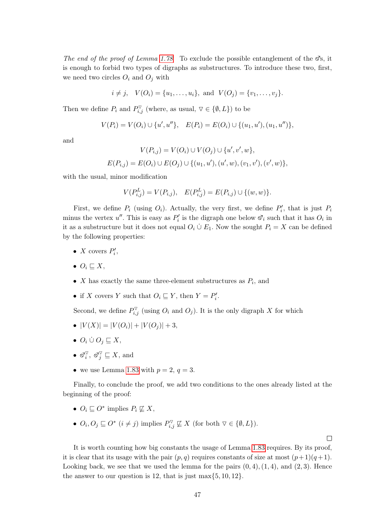The end of the proof of Lemma [1.78](#page-42-3) To exclude the possible entanglement of the  $\mathcal{S}_S$ , it is enough to forbid two types of digraphs as substructures. To introduce these two, first, we need two circles  $O_i$  and  $O_j$  with

 $i \neq j$ ,  $V(O_i) = \{u_1, \ldots, u_i\}$ , and  $V(O_j) = \{v_1, \ldots, v_j\}$ .

Then we define  $P_i$  and  $P_{i,j}^{\triangledown}$  (where, as usual,  $\triangledown \in \{\emptyset, L\}$ ) to be

$$
V(P_i) = V(O_i) \cup \{u', u''\}, \quad E(P_i) = E(O_i) \cup \{(u_1, u'), (u_1, u'')\},
$$

and

$$
V(P_{i,j}) = V(O_i) \cup V(O_j) \cup \{u', v', w\},
$$
  

$$
E(P_{i,j}) = E(O_i) \cup E(O_j) \cup \{(u_1, u'), (u', w), (v_1, v'), (v', w)\},
$$

with the usual, minor modification

$$
V(P_{i,j}^L) = V(P_{i,j}), \quad E(P_{i,j}^L) = E(P_{i,j}) \cup \{(w,w)\}.
$$

First, we define  $P_i$  (using  $O_i$ ). Actually, the very first, we define  $P'_i$ , that is just  $P_i$ minus the vertex  $u''$ . This is easy as  $P'_i$  is the digraph one below  $\mathcal{S}'_i$  such that it has  $O_i$  in it as a substructure but it does not equal  $O_i \cup E_1$ . Now the sought  $P_i = X$  can be defined by the following properties:

- X covers  $P'_i$ ,
- $\bullet \; O_i \sqsubseteq X,$
- $X$  has exactly the same three-element substructures as  $P_i$ , and
- if X covers Y such that  $O_i \sqsubseteq Y$ , then  $Y = P'_i$ .

Second, we define  $P_{i,j}^{\triangledown}$  (using  $O_i$  and  $O_j$ ). It is the only digraph X for which

- $|V(X)| = |V(O_i)| + |V(O_i)| + 3,$
- $O_i \cup O_j \sqsubseteq X$ ,
- $\bullet$   $\varnothing_i^{\triangledown}$  $\check{i}^{\triangledown}, \ \check{\mathbb{S}}^{\triangledown}_j \sqsubseteq X$ , and
- we use Lemma [1.83](#page-45-1) with  $p = 2, q = 3$ .

Finally, to conclude the proof, we add two conditions to the ones already listed at the beginning of the proof:

- $O_i \sqsubseteq O^*$  implies  $P_i \not\sqsubseteq X$ ,
- $O_i, O_j \sqsubseteq O^*$   $(i \neq j)$  implies  $P_{i,j}^{\triangledown} \not\sqsubseteq X$  (for both  $\triangledown \in \{\emptyset, L\}$ ).

 $\Box$ 

It is worth counting how big constants the usage of Lemma [1.83](#page-45-1) requires. By its proof, it is clear that its usage with the pair  $(p, q)$  requires constants of size at most  $(p+1)(q+1)$ . Looking back, we see that we used the lemma for the pairs  $(0, 4)$ ,  $(1, 4)$ , and  $(2, 3)$ . Hence the answer to our question is 12, that is just max $\{5, 10, 12\}$ .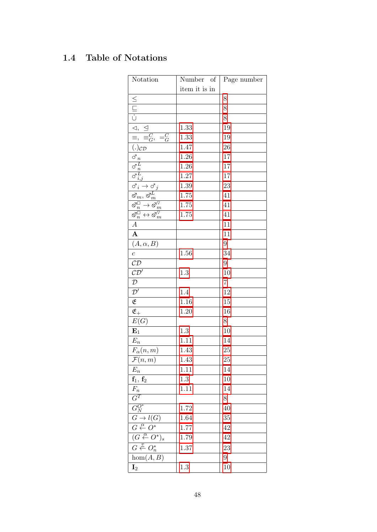# 1.4 Table of Notations

| Notation                                                                                                                                                                                                                                                                       | Number of     | Page number    |
|--------------------------------------------------------------------------------------------------------------------------------------------------------------------------------------------------------------------------------------------------------------------------------|---------------|----------------|
|                                                                                                                                                                                                                                                                                | item it is in |                |
|                                                                                                                                                                                                                                                                                |               | 8              |
|                                                                                                                                                                                                                                                                                |               | 8              |
|                                                                                                                                                                                                                                                                                |               | 8              |
| $\triangleq$                                                                                                                                                                                                                                                                   | 1.33          | 19             |
| $\frac{1}{\Xi, \Xi}$<br>$\frac{C}{G},$<br>$=\stackrel{C}{G}$                                                                                                                                                                                                                   | 1.33          | 19             |
| $\overline{(.)_{CD}}$                                                                                                                                                                                                                                                          | 1.47          | 26             |
| $\vec{\sigma_n}$                                                                                                                                                                                                                                                               | 1.26          | 17             |
|                                                                                                                                                                                                                                                                                | 1.26          | 17             |
| $\overline{\sigma^L_n}$<br>$\sigma^L_{i,j}$                                                                                                                                                                                                                                    | $1.27\,$      | 17             |
| $\overrightarrow{S}_i \rightarrow \overrightarrow{S}_j$ $\overrightarrow{S}_m, \overrightarrow{S}_m^L$ $\overrightarrow{S}_n^{\square} \rightarrow \overrightarrow{S}_m^{\triangledown}$ $\overrightarrow{S}_n^{\square} \leftrightarrow \overrightarrow{S}_m^{\triangledown}$ | 1.39          | 23             |
|                                                                                                                                                                                                                                                                                | 1.75          | 41             |
|                                                                                                                                                                                                                                                                                | 1.75          | 41             |
|                                                                                                                                                                                                                                                                                | 1.75          | 41             |
| $\overline{A}$                                                                                                                                                                                                                                                                 |               | 11             |
| $\overline{\mathbf{A}}$                                                                                                                                                                                                                                                        |               | 11             |
| $(A, \alpha, B)$                                                                                                                                                                                                                                                               |               | 9              |
| $\boldsymbol{c}$                                                                                                                                                                                                                                                               | 1.56          | 34             |
| CD                                                                                                                                                                                                                                                                             |               | 9              |
| CD'                                                                                                                                                                                                                                                                            | 1.3           | 10             |
| $\mathcal{D}$                                                                                                                                                                                                                                                                  |               | $\overline{7}$ |
| $\overline{\mathcal{D}'}$                                                                                                                                                                                                                                                      | 1.4           | 12             |
| $\overline{\mathfrak{E}}$                                                                                                                                                                                                                                                      | 1.16          | 15             |
| $\overline{\mathfrak{E}_+}$                                                                                                                                                                                                                                                    | 1.20          | 16             |
| $\overline{E(G)}$                                                                                                                                                                                                                                                              |               | 8              |
| ${\bf E}_1$                                                                                                                                                                                                                                                                    | $1.3\,$       | 10             |
| $E_n$                                                                                                                                                                                                                                                                          | 1.11          | 14             |
| $F_{\alpha}(n,m)$                                                                                                                                                                                                                                                              | 1.43          | 25             |
| $\mathcal{F}(n,m)$                                                                                                                                                                                                                                                             | 1.43          | 25             |
| $E_n$                                                                                                                                                                                                                                                                          | 1.11          | 14             |
| $\mathbf{f}_1, \, \mathbf{f}_2$                                                                                                                                                                                                                                                | $1.3\,$       | 10             |
| $F_n$                                                                                                                                                                                                                                                                          | 1.11          | 14             |
| $\frac{G^T}{G_N^{O^*}}$                                                                                                                                                                                                                                                        |               | 8              |
|                                                                                                                                                                                                                                                                                | $1.72\,$      | 40             |
| $G \to l(G)$                                                                                                                                                                                                                                                                   | 1.64          | 35             |
| $G \stackrel{\alpha}{\leftarrow} O^*$                                                                                                                                                                                                                                          | 1.77          | 42             |
| $\overline{(G \stackrel{\alpha}{\leftarrow} O^*)_s}$                                                                                                                                                                                                                           | 1.79          | 42             |
| $G \stackrel{v}{\leftarrow} O_n^*$                                                                                                                                                                                                                                             | 1.37          | 23             |
| hom(A, B)                                                                                                                                                                                                                                                                      |               | 9              |
| $\mathbf{I}_2$                                                                                                                                                                                                                                                                 | 1.3           | 10             |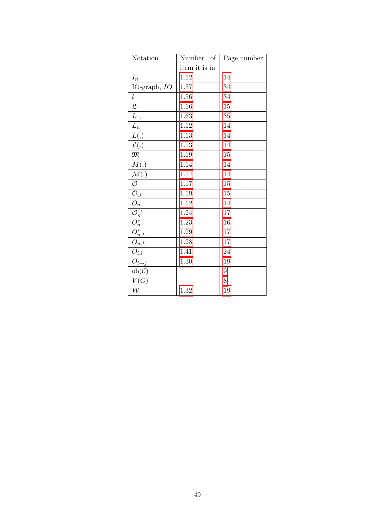| Notation                                                                                                                             | Number of     | Page number |
|--------------------------------------------------------------------------------------------------------------------------------------|---------------|-------------|
|                                                                                                                                      | item it is in |             |
| $I_n$                                                                                                                                | 1.12          | 14          |
| IO-graph, IO                                                                                                                         | $1.57\,$      | 34          |
| l                                                                                                                                    | $1.56\,$      | 34          |
| $\mathfrak{L}$                                                                                                                       | 1.16          | 15          |
| $\overline{L}_{\rightarrow}$                                                                                                         | 1.63          | 35          |
| $\frac{L_n}{L(.)}$                                                                                                                   | 1.12          | 14          |
|                                                                                                                                      | $1.13\,$      | 14          |
| $\mathcal{L}(.)$                                                                                                                     | $1.13\,$      | 14          |
| M                                                                                                                                    | 1.19          | 15          |
| M(.)                                                                                                                                 | 1.14          | 14          |
| $\overline{\mathcal{M}}(.)$                                                                                                          | 1.14          | 14          |
| $\overline{\mathcal{O}}$                                                                                                             | 1.17          | 15          |
| $\mathcal{O}_{\cup}$                                                                                                                 | 1.19          | 15          |
| $\overline{O_n}$                                                                                                                     | $1.12\,$      | 14          |
|                                                                                                                                      | 1.24          | 17          |
|                                                                                                                                      | 1.23          | 16          |
| $\overline{\frac{\mathcal{O}_n^{\rightarrow}}{\mathcal{O}_n^*}}$<br>$\overline{\mathcal{O}_n^*}$<br>$\overline{\mathcal{O}_{n,L}^*}$ | $1.29\,$      | 17          |
|                                                                                                                                      | 1.28          | 17          |
| $\overline{O}_{i,\underline{i}}$                                                                                                     | 1.41          | 24          |
| $O_{i\rightarrow j}$                                                                                                                 | 1.30          | 19          |
| $ob(\mathcal{C})$                                                                                                                    |               | 9           |
| V(G)                                                                                                                                 |               | 8           |
| $\mathcal{W}$                                                                                                                        | 1.32          | 19          |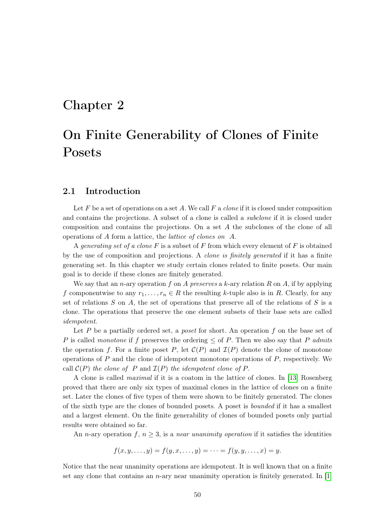## Chapter 2

# On Finite Generability of Clones of Finite Posets

### 2.1 Introduction

Let F be a set of operations on a set A. We call F a *clone* if it is closed under composition and contains the projections. A subset of a clone is called a *subclone* if it is closed under composition and contains the projections. On a set A the subclones of the clone of all operations of A form a lattice, the lattice of clones on A.

A generating set of a clone F is a subset of F from which every element of F is obtained by the use of composition and projections. A clone is finitely generated if it has a finite generating set. In this chapter we study certain clones related to finite posets. Our main goal is to decide if these clones are finitely generated.

We say that an *n*-ary operation f on A preserves a k-ary relation R on A, if by applying f componentwise to any  $r_1, \ldots, r_n \in R$  the resulting k-tuple also is in R. Clearly, for any set of relations  $S$  on  $A$ , the set of operations that preserve all of the relations of  $S$  is a clone. The operations that preserve the one element subsets of their base sets are called idempotent.

Let  $P$  be a partially ordered set, a *poset* for short. An operation  $f$  on the base set of P is called monotone if f preserves the ordering  $\leq$  of P. Then we also say that P admits the operation f. For a finite poset P, let  $\mathcal{C}(P)$  and  $\mathcal{I}(P)$  denote the clone of monotone operations of  $P$  and the clone of idempotent monotone operations of  $P$ , respectively. We call  $\mathcal{C}(P)$  the clone of P and  $\mathcal{I}(P)$  the idempotent clone of P.

A clone is called maximal if it is a coatom in the lattice of clones. In [\[13\]](#page-73-2) Rosenberg proved that there are only six types of maximal clones in the lattice of clones on a finite set. Later the clones of five types of them were shown to be finitely generated. The clones of the sixth type are the clones of bounded posets. A poset is bounded if it has a smallest and a largest element. On the finite generability of clones of bounded posets only partial results were obtained so far.

An n-ary operation f,  $n \geq 3$ , is a near unanimity operation if it satisfies the identities

$$
f(x, y, \dots, y) = f(y, x, \dots, y) = \dots = f(y, y, \dots, x) = y.
$$

Notice that the near unanimity operations are idempotent. It is well known that on a finite set any clone that contains an n-ary near unanimity operation is finitely generated. In  $[1]$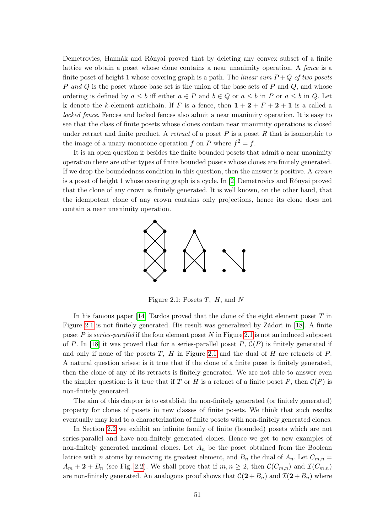Demetrovics, Hannák and Rónyai proved that by deleting any convex subset of a finite lattice we obtain a poset whose clone contains a near unanimity operation. A fence is a finite poset of height 1 whose covering graph is a path. The *linear sum*  $P+Q$  *of two posets* P and Q is the poset whose base set is the union of the base sets of P and Q, and whose ordering is defined by  $a \leq b$  iff either  $a \in P$  and  $b \in Q$  or  $a \leq b$  in P or  $a \leq b$  in Q. Let **k** denote the k-element antichain. If F is a fence, then  $1+2+F+2+1$  is a called a locked fence. Fences and locked fences also admit a near unanimity operation. It is easy to see that the class of finite posets whose clones contain near unanimity operations is closed under retract and finite product. A *retract* of a poset  $P$  is a poset  $R$  that is isomorphic to the image of a unary monotone operation f on P where  $f^2 = f$ .

It is an open question if besides the finite bounded posets that admit a near unanimity operation there are other types of finite bounded posets whose clones are finitely generated. If we drop the boundedness condition in this question, then the answer is positive. A crown is a poset of height 1 whose covering graph is a cycle. In [\[2\]](#page-73-4) Demetrovics and Rónyai proved that the clone of any crown is finitely generated. It is well known, on the other hand, that the idempotent clone of any crown contains only projections, hence its clone does not contain a near unanimity operation.



<span id="page-51-0"></span>Figure 2.1: Posets  $T$ ,  $H$ , and  $N$ 

In his famous paper  $[14]$  Tardos proved that the clone of the eight element poset T in Figure [2.1](#page-51-0) is not finitely generated. His result was generalized by Zádori in [\[18\]](#page-74-1). A finite poset P is series-parallel if the four element poset  $N$  in Figure [2.1](#page-51-0) is not an induced subposet of P. In [\[18\]](#page-74-1) it was proved that for a series-parallel poset P,  $\mathcal{C}(P)$  is finitely generated if and only if none of the posets  $T$ ,  $H$  in Figure [2.1](#page-51-0) and the dual of  $H$  are retracts of  $P$ . A natural question arises: is it true that if the clone of a finite poset is finitely generated, then the clone of any of its retracts is finitely generated. We are not able to answer even the simpler question: is it true that if T or H is a retract of a finite poset P, then  $\mathcal{C}(P)$  is non-finitely generated.

The aim of this chapter is to establish the non-finitely generated (or finitely generated) property for clones of posets in new classes of finite posets. We think that such results eventually may lead to a characterization of finite posets with non-finitely generated clones.

In Section [2.2](#page-52-0) we exhibit an infinite family of finite (bounded) posets which are not series-parallel and have non-finitely generated clones. Hence we get to new examples of non-finitely generated maximal clones. Let  $A_n$  be the poset obtained from the Boolean lattice with *n* atoms by removing its greatest element, and  $B_n$  the dual of  $A_n$ . Let  $C_{m,n}$  $A_m + 2 + B_n$  (see Fig. [2.2\)](#page-52-1). We shall prove that if  $m, n \geq 2$ , then  $\mathcal{C}(C_{m,n})$  and  $\mathcal{I}(C_{m,n})$ are non-finitely generated. An analogous proof shows that  $\mathcal{C}(2+B_n)$  and  $\mathcal{I}(2+B_n)$  where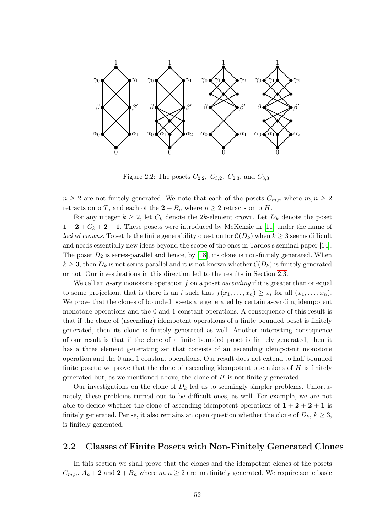

<span id="page-52-1"></span>Figure 2.2: The posets  $C_{2,2}$ ,  $C_{3,2}$ ,  $C_{2,3}$ , and  $C_{3,3}$ 

 $n \geq 2$  are not finitely generated. We note that each of the posets  $C_{m,n}$  where  $m, n \geq 2$ retracts onto T, and each of the  $2 + B_n$  where  $n \geq 2$  retracts onto H.

For any integer  $k \geq 2$ , let  $C_k$  denote the 2k-element crown. Let  $D_k$  denote the poset  $1+2+C_k+2+1$ . These posets were introduced by McKenzie in [\[11\]](#page-73-5) under the name of locked crowns. To settle the finite generability question for  $\mathcal{C}(D_k)$  when  $k \geq 3$  seems difficult and needs essentially new ideas beyond the scope of the ones in Tardos's seminal paper [\[14\]](#page-74-0). The poset  $D_2$  is series-parallel and hence, by [\[18\]](#page-74-1), its clone is non-finitely generated. When  $k \geq 3$ , then  $D_k$  is not series-parallel and it is not known whether  $\mathcal{C}(D_k)$  is finitely generated or not. Our investigations in this direction led to the results in Section [2.3.](#page-58-0)

We call an n-ary monotone operation f on a poset *ascending* if it is greater than or equal to some projection, that is there is an i such that  $f(x_1, \ldots, x_n) \geq x_i$  for all  $(x_1, \ldots, x_n)$ . We prove that the clones of bounded posets are generated by certain ascending idempotent monotone operations and the 0 and 1 constant operations. A consequence of this result is that if the clone of (ascending) idempotent operations of a finite bounded poset is finitely generated, then its clone is finitely generated as well. Another interesting consequence of our result is that if the clone of a finite bounded poset is finitely generated, then it has a three element generating set that consists of an ascending idempotent monotone operation and the 0 and 1 constant operations. Our result does not extend to half bounded finite posets: we prove that the clone of ascending idempotent operations of  $H$  is finitely generated but, as we mentioned above, the clone of  $H$  is not finitely generated.

Our investigations on the clone of  $D_k$  led us to seemingly simpler problems. Unfortunately, these problems turned out to be difficult ones, as well. For example, we are not able to decide whether the clone of ascending idempotent operations of  $1 + 2 + 2 + 1$  is finitely generated. Per se, it also remains an open question whether the clone of  $D_k$ ,  $k \geq 3$ , is finitely generated.

### <span id="page-52-0"></span>2.2 Classes of Finite Posets with Non-Finitely Generated Clones

In this section we shall prove that the clones and the idempotent clones of the posets  $C_{m,n}$ ,  $A_n + 2$  and  $2 + B_n$  where  $m, n \geq 2$  are not finitely generated. We require some basic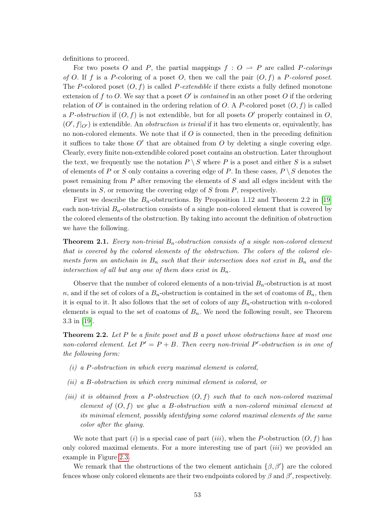definitions to proceed.

For two posets O and P, the partial mappings  $f : O \to P$  are called P-colorings of O. If f is a P-coloring of a poset O, then we call the pair  $(O, f)$  a P-colored poset. The P-colored poset  $(O, f)$  is called P-extendible if there exists a fully defined monotone extension of f to O. We say that a poset O' is *contained* in an other poset O if the ordering relation of O' is contained in the ordering relation of O. A P-colored poset  $(0, f)$  is called a P-obstruction if  $(O, f)$  is not extendible, but for all posets O' properly contained in O,  $(O', f|_{O'})$  is extendible. An *obstruction is trivial* if it has two elements or, equivalently, has no non-colored elements. We note that if  $O$  is connected, then in the preceding definition it suffices to take those  $O'$  that are obtained from  $O$  by deleting a single covering edge. Clearly, every finite non-extendible colored poset contains an obstruction. Later throughout the text, we frequently use the notation  $P \setminus S$  where P is a poset and either S is a subset of elements of P or S only contains a covering edge of P. In these cases,  $P \setminus S$  denotes the poset remaining from  $P$  after removing the elements of  $S$  and all edges incident with the elements in  $S$ , or removing the covering edge of  $S$  from  $P$ , respectively.

First we describe the  $B_n$ -obstructions. By Proposition 1.12 and Theorem 2.2 in [\[19\]](#page-74-2) each non-trivial  $B_n$ -obstruction consists of a single non-colored element that is covered by the colored elements of the obstruction. By taking into account the definition of obstruction we have the following.

<span id="page-53-1"></span>**Theorem 2.1.** Every non-trivial  $B_n$ -obstruction consists of a single non-colored element that is covered by the colored elements of the obstruction. The colors of the colored elements form an antichain in  $B_n$  such that their intersection does not exist in  $B_n$  and the intersection of all but any one of them does exist in  $B_n$ .

Observe that the number of colored elements of a non-trivial  $B_n$ -obstruction is at most n, and if the set of colors of a  $B_n$ -obstruction is contained in the set of coatoms of  $B_n$ , then it is equal to it. It also follows that the set of colors of any  $B_n$ -obstruction with n-colored elements is equal to the set of coatoms of  $B_n$ . We need the following result, see Theorem 3.3 in [\[19\]](#page-74-2).

<span id="page-53-0"></span>**Theorem 2.2.** Let P be a finite poset and B a poset whose obstructions have at most one non-colored element. Let  $P' = P + B$ . Then every non-trivial P'-obstruction is in one of the following form:

- $(i)$  a P-obstruction in which every maximal element is colored,
- (ii) a B-obstruction in which every minimal element is colored, or
- (iii) it is obtained from a P-obstruction  $(O, f)$  such that to each non-colored maximal element of  $(O, f)$  we glue a B-obstruction with a non-colored minimal element at its minimal element, possibly identifying some colored maximal elements of the same color after the gluing.

We note that part (i) is a special case of part (iii), when the P-obstruction  $(O, f)$  has only colored maximal elements. For a more interesting use of part *(iii)* we provided an example in Figure [2.3.](#page-54-0)

We remark that the obstructions of the two element antichain  $\{\beta, \beta'\}$  are the colored fences whose only colored elements are their two endpoints colored by  $\beta$  and  $\beta'$ , respectively.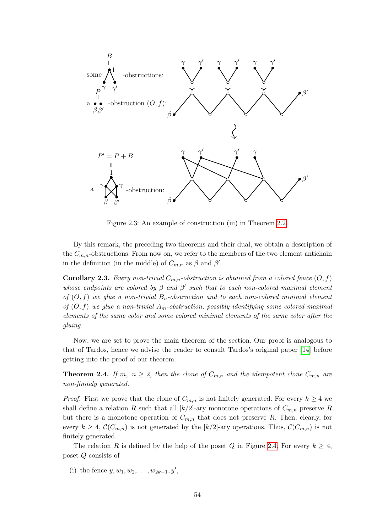

<span id="page-54-0"></span>Figure 2.3: An example of construction (iii) in Theorem [2.2](#page-53-0)

By this remark, the preceding two theorems and their dual, we obtain a description of the  $C_{m,n}$ -obstructions. From now on, we refer to the members of the two element antichain in the definition (in the middle) of  $C_{m,n}$  as  $\beta$  and  $\beta'$ .

<span id="page-54-1"></span>**Corollary 2.3.** Every non-trivial  $C_{m,n}$ -obstruction is obtained from a colored fence  $(O, f)$ whose endpoints are colored by  $\beta$  and  $\beta'$  such that to each non-colored maximal element of  $(O, f)$  we glue a non-trivial  $B_n$ -obstruction and to each non-colored minimal element of  $(O, f)$  we glue a non-trivial  $A_m$ -obstruction, possibly identifying some colored maximal elements of the same color and some colored minimal elements of the same color after the gluing.

Now, we are set to prove the main theorem of the section. Our proof is analogous to that of Tardos, hence we advise the reader to consult Tardos's original paper [\[14\]](#page-74-0) before getting into the proof of our theorem.

<span id="page-54-2"></span>**Theorem 2.4.** If m,  $n \geq 2$ , then the clone of  $C_{m,n}$  and the idempotent clone  $C_{m,n}$  are non-finitely generated.

*Proof.* First we prove that the clone of  $C_{m,n}$  is not finitely generated. For every  $k \geq 4$  we shall define a relation R such that all  $\lfloor k/2 \rfloor$ -ary monotone operations of  $C_{m,n}$  preserve R but there is a monotone operation of  $C_{m,n}$  that does not preserve R. Then, clearly, for every  $k \geq 4$ ,  $\mathcal{C}(C_{m,n})$  is not generated by the  $[k/2]$ -ary operations. Thus,  $\mathcal{C}(C_{m,n})$  is not finitely generated.

The relation R is defined by the help of the poset Q in Figure [2.4.](#page-55-0) For every  $k \geq 4$ , poset Q consists of

(i) the fence  $y, w_1, w_2, \ldots, w_{2k-1}, y'$ ,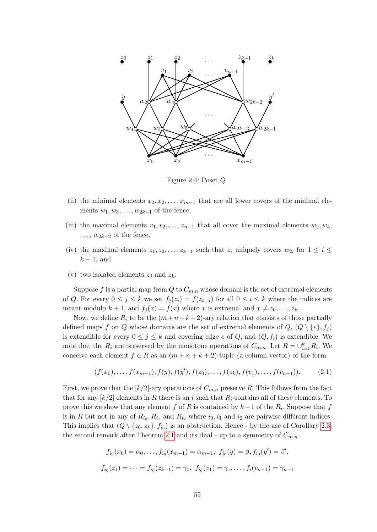

<span id="page-55-0"></span>Figure 2.4: Poset Q

- (ii) the minimal elements  $x_0, x_2, \ldots, x_{m-1}$  that are all lower covers of the minimal elements  $w_1, w_3, \ldots, w_{2k-1}$  of the fence,
- (iii) the maximal elements  $v_1, v_2, \ldots, v_{n-1}$  that all cover the maximal elements  $w_2, w_4$ ,  $\ldots$ ,  $w_{2k-2}$  of the fence,
- (iv) the maximal elements  $z_1, z_2, \ldots, z_{k-1}$  such that  $z_i$  uniquely covers  $w_{2i}$  for  $1 \leq i \leq$  $k-1$ , and
- (v) two isolated elements  $z_0$  and  $z_k$ .

Suppose f is a partial map from Q to  $C_{m,n}$  whose domain is the set of extremal elements of Q. For every  $0 \leq j \leq k$  we set  $f_j(z_i) = f(z_{i+j})$  for all  $0 \leq i \leq k$  where the indices are meant modulo  $k + 1$ , and  $f_i(x) = f(x)$  where x is extremal and  $x \neq z_0, \ldots, z_k$ .

Now, we define  $R_i$  to be the  $(m+n+k+2)$ -ary relation that consists of those partially defined maps f on Q whose domains are the set of extremal elements of  $Q, (Q \setminus \{e\}, f_i)$ is extendible for every  $0 \leq j \leq k$  and covering edge e of Q, and  $(Q, f_i)$  is extendible. We note that the  $R_i$  are preserved by the monotone operations of  $C_{m,n}$ . Let  $R = \cup_{i=0}^k R_i$ . We conceive each element  $f \in R$  as an  $(m + n + k + 2)$ -tuple (a column vector) of the form

<span id="page-55-1"></span>
$$
(f(x_0),...,f(x_{m-1}),f(y),f(y'),f(z_0),...,f(z_k),f(v_1),...,f(v_{n-1})).
$$
\n(2.1)

First, we prove that the  $\lfloor k/2 \rfloor$ -ary operations of  $C_{m,n}$  preserve R. This follows from the fact that for any  $\lfloor k/2 \rfloor$  elements in R there is an i such that  $R_i$  contains all of these elements. To prove this we show that any element f of R is contained by  $k-1$  of the  $R_i$ . Suppose that f is in R but not in any of  $R_{i_0}, R_{i_1}$  and  $R_{i_2}$  where  $i_0, i_1$  and  $i_2$  are pairwise different indices. This implies that  $(Q \setminus \{z_0, z_k\}, f_{i_0})$  is an obstruction. Hence - by the use of Corollary [2.3,](#page-54-1) the second remark after Theorem [2.1](#page-53-1) and its dual - up to a symmetry of  $C_{m,n}$ 

$$
f_{i_0}(x_0) = \alpha_0, \dots, f_{i_0}(x_{m-1}) = \alpha_{m-1}, \ f_{i_0}(y) = \beta, f_{i_0}(y') = \beta',
$$
  

$$
f_{i_0}(z_1) = \dots = f_{i_0}(z_{k-1}) = \gamma_0, \ f_{i_0}(v_1) = \gamma_1, \dots, f_i(v_{n-1}) = \gamma_{n-1}
$$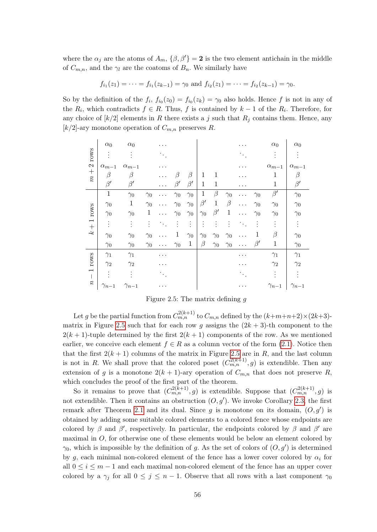where the  $\alpha_j$  are the atoms of  $A_m$ ,  $\{\beta,\beta'\}=2$  is the two element antichain in the middle of  $C_{m,n}$ , and the  $\gamma_l$  are the coatoms of  $B_n$ . We similarly have

$$
f_{i_1}(z_1) = \cdots = f_{i_1}(z_{k-1}) = \gamma_0
$$
 and  $f_{i_2}(z_1) = \cdots = f_{i_2}(z_{k-1}) = \gamma_0$ .

So by the definition of the  $f_i$ ,  $f_{i_0}(z_0) = f_{i_0}(z_k) = \gamma_0$  also holds. Hence f is not in any of the  $R_i$ , which contradicts  $f \in R$ . Thus, f is contained by  $k-1$  of the  $R_i$ . Therefore, for any choice of  $\lfloor k/2 \rfloor$  elements in R there exists a j such that  $R_j$  contains them. Hence, any  $[k/2]$ -ary monotone operation of  $C_{m,n}$  preserves R.

| $m+2$ rows                                           | $\alpha_0$     | $\alpha_0$     |             |                        |                      |                |              |             |              |                        |            | $\alpha_0$     | $\alpha_0$     |
|------------------------------------------------------|----------------|----------------|-------------|------------------------|----------------------|----------------|--------------|-------------|--------------|------------------------|------------|----------------|----------------|
|                                                      |                |                |             |                        |                      |                |              |             |              |                        |            |                |                |
|                                                      | $\alpha_{m-1}$ | $\alpha_{m-1}$ |             |                        |                      |                |              |             |              |                        |            | $\alpha_{m-1}$ | $\alpha_{m-1}$ |
|                                                      | β              | β              |             |                        | B                    | $\beta$        | $\mathbf{1}$ | 1           |              |                        |            | 1              | 13             |
|                                                      | $\beta'$       | $\beta'$       |             |                        | $\beta'$             | $\beta'$       | $\mathbf{1}$ | 1           |              |                        |            | 1              | $\beta'$       |
| rows<br>$\frac{1}{+}$<br>جح                          | $\mathbf{1}$   | $\gamma_0$     | $\gamma_0$  | .                      | $\gamma_0$           | $\gamma_0$     | $\mathbf 1$  | $\beta$     | $\gamma_0$   | .                      | $\gamma_0$ | $\beta'$       | $\gamma_0$     |
|                                                      | $\gamma_0$     | $\mathbf{1}$   | $\gamma_0$  | $\cdots$               | $\gamma_0$           | $\gamma_0$     | $\beta'$     | $\mathbf 1$ | $\beta$      | .                      | $\gamma_0$ | $\gamma_0$     | $\gamma_0$     |
|                                                      | $\gamma_0$     | $\gamma_0$     | $\mathbf 1$ | $\cdots$               | $\gamma_0$           | $\gamma_0$     | $\gamma_0$   | $\beta'$    | $\mathbf{1}$ | .                      | $\gamma_0$ | $\gamma_0$     | $\gamma_0$     |
|                                                      |                |                |             | $\ddot{\phantom{a}}$ . | $\ddot{\phantom{a}}$ | $\ddot{\cdot}$ |              |             | Ì.           | $\ddot{\phantom{a}}$ . |            |                |                |
|                                                      | $\gamma_0$     | $\gamma_0$     | $\gamma_0$  | .                      | 1                    | $\gamma_0$     | $\gamma_0$   | $\gamma_0$  | $\gamma_0$   | .                      | 1          | $\beta$        | $\gamma_0$     |
|                                                      | $\gamma_0$     | $\gamma_0$     | $\gamma_0$  | $\cdots$               | $\gamma_0$           | $\mathbf{1}$   | $\beta$      | $\gamma_0$  | $\gamma_0$   | .                      | $\beta'$   | 1              | $\gamma_0$     |
| rows<br>$\overline{\phantom{0}}$<br>$\boldsymbol{n}$ | $\gamma_1$     | $\gamma_1$     |             |                        |                      |                |              |             |              |                        |            | $\gamma_1$     | $\gamma_1$     |
|                                                      | $\gamma_2$     | $\gamma_2$     |             |                        |                      |                |              |             |              |                        |            | $\gamma_2$     | $\gamma_2$     |
|                                                      |                |                |             |                        |                      |                |              |             |              |                        |            |                |                |
|                                                      | $\gamma_{n-1}$ | $\gamma_{n-1}$ |             |                        |                      |                |              |             |              |                        |            | $\gamma_{n-1}$ | $\gamma_{n-1}$ |

<span id="page-56-0"></span>Figure 2.5: The matrix defining  $q$ 

Let g be the partial function from  $C_{m,n}^{2(k+1)}$  to  $C_{m,n}$  defined by the  $(k+m+n+2) \times (2k+3)$ -matrix in Figure [2.5](#page-56-0) such that for each row g assigns the  $(2k+3)$ -th component to the  $2(k+1)$ -tuple determined by the first  $2(k+1)$  components of the row. As we mentioned earlier, we conceive each element  $f \in R$  as a column vector of the form [\(2.1\)](#page-55-1). Notice then that the first  $2(k + 1)$  columns of the matrix in Figure [2.5](#page-56-0) are in R, and the last column is not in R. We shall prove that the colored poset  $(C_{m,n}^{2(k+1)}, g)$  is extendible. Then any extension of g is a monotone  $2(k + 1)$ -ary operation of  $C_{m,n}$  that does not preserve R, which concludes the proof of the first part of the theorem.

So it remains to prove that  $(C_{m,n}^{2(k+1)}, g)$  is extendible. Suppose that  $(C_{m,n}^{2(k+1)}, g)$  is not extendible. Then it contains an obstruction  $(O, g')$ . We invoke Corollary [2.3,](#page-54-1) the first remark after Theorem [2.1](#page-53-1) and its dual. Since g is monotone on its domain,  $(O, g')$  is obtained by adding some suitable colored elements to a colored fence whose endpoints are colored by  $\beta$  and  $\beta'$ , respectively. In particular, the endpoints colored by  $\beta$  and  $\beta'$  are maximal in  $O$ , for otherwise one of these elements would be below an element colored by  $\gamma_0$ , which is impossible by the definition of g. As the set of colors of  $(O, g')$  is determined by g, each minimal non-colored element of the fence has a lower cover colored by  $\alpha_i$  for all  $0 \leq i \leq m-1$  and each maximal non-colored element of the fence has an upper cover colored by a  $\gamma_j$  for all  $0 \leq j \leq n-1$ . Observe that all rows with a last component  $\gamma_0$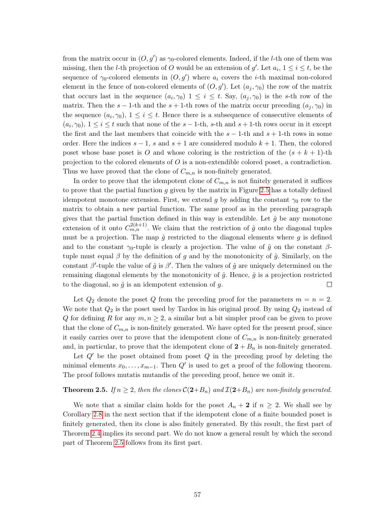from the matrix occur in  $(O, g')$  as  $\gamma_0$ -colored elements. Indeed, if the *l*-th one of them was missing, then the *l*-th projection of O would be an extension of  $g'$ . Let  $a_i$ ,  $1 \le i \le t$ , be the sequence of  $\gamma_0$ -colored elements in  $(O, g')$  where  $a_i$  covers the *i*-th maximal non-colored element in the fence of non-colored elements of  $(O, g')$ . Let  $(a_j, \gamma_0)$  the row of the matrix that occurs last in the sequence  $(a_i, \gamma_0)$   $1 \leq i \leq t$ . Say,  $(a_j, \gamma_0)$  is the s-th row of the matrix. Then the s – 1-th and the s + 1-th rows of the matrix occur preceding  $(a_i, \gamma_0)$  in the sequence  $(a_i, \gamma_0)$ ,  $1 \leq i \leq t$ . Hence there is a subsequence of consecutive elements of  $(a_i, \gamma_0)$ ,  $1 \leq i \leq t$  such that none of the  $s - 1$ -th, s-th and  $s + 1$ -th rows occur in it except the first and the last members that coincide with the  $s - 1$ -th and  $s + 1$ -th rows in some order. Here the indices  $s - 1$ , s and  $s + 1$  are considered modulo  $k + 1$ . Then, the colored poset whose base poset is O and whose coloring is the restriction of the  $(s + k + 1)$ -th projection to the colored elements of O is a non-extendible colored poset, a contradiction. Thus we have proved that the clone of  $C_{m,n}$  is non-finitely generated.

In order to prove that the idempotent clone of  $C_{m,n}$  is not finitely generated it suffices to prove that the partial function  $g$  given by the matrix in Figure [2.5](#page-56-0) has a totally defined idempotent monotone extension. First, we extend q by adding the constant  $\gamma_0$  row to the matrix to obtain a new partial function. The same proof as in the preceding paragraph gives that the partial function defined in this way is extendible. Let  $\hat{q}$  be any monotone extension of it onto  $C_{m,n}^{2(k+1)}$ . We claim that the restriction of  $\hat{g}$  onto the diagonal tuples must be a projection. The map  $\hat{q}$  restricted to the diagonal elements where q is defined and to the constant  $\gamma_0$ -tuple is clearly a projection. The value of  $\hat{g}$  on the constant  $\beta$ tuple must equal  $\beta$  by the definition of g and by the monotonicity of  $\hat{g}$ . Similarly, on the constant  $\beta'$ -tuple the value of  $\hat{g}$  is  $\beta'$ . Then the values of  $\hat{g}$  are uniquely determined on the remaining diagonal elements by the monotonicity of  $\hat{q}$ . Hence,  $\hat{q}$  is a projection restricted to the diagonal, so  $\hat{g}$  is an idempotent extension of q.  $\Box$ 

Let  $Q_2$  denote the poset Q from the preceding proof for the parameters  $m = n = 2$ . We note that  $Q_2$  is the poset used by Tardos in his original proof. By using  $Q_2$  instead of Q for defining R for any  $m, n \geq 2$ , a similar but a bit simpler proof can be given to prove that the clone of  $C_{m,n}$  is non-finitely generated. We have opted for the present proof, since it easily carries over to prove that the idempotent clone of  $C_{m,n}$  is non-finitely generated and, in particular, to prove that the idempotent clone of  $2 + B_n$  is non-finitely generated.

Let  $Q'$  be the poset obtained from poset  $Q$  in the preceding proof by deleting the minimal elements  $x_0, \ldots, x_{m-1}$ . Then  $Q'$  is used to get a proof of the following theorem. The proof follows mutatis mutandis of the preceding proof, hence we omit it.

#### <span id="page-57-0"></span>**Theorem 2.5.** If  $n \geq 2$ , then the clones  $C(2+B_n)$  and  $\mathcal{I}(2+B_n)$  are non-finitely generated.

We note that a similar claim holds for the poset  $A_n + 2$  if  $n \geq 2$ . We shall see by Corollary [2.8](#page-58-1) in the next section that if the idempotent clone of a finite bounded poset is finitely generated, then its clone is also finitely generated. By this result, the first part of Theorem [2.4](#page-54-2) implies its second part. We do not know a general result by which the second part of Theorem [2.5](#page-57-0) follows from its first part.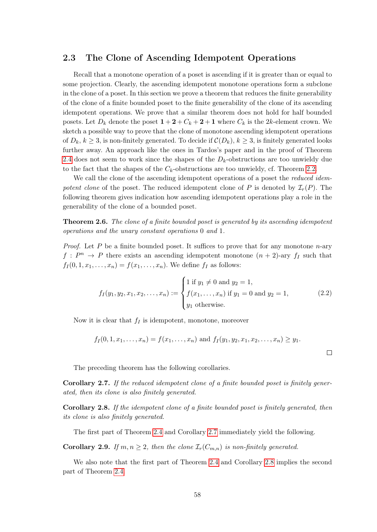### <span id="page-58-0"></span>2.3 The Clone of Ascending Idempotent Operations

Recall that a monotone operation of a poset is ascending if it is greater than or equal to some projection. Clearly, the ascending idempotent monotone operations form a subclone in the clone of a poset. In this section we prove a theorem that reduces the finite generability of the clone of a finite bounded poset to the finite generability of the clone of its ascending idempotent operations. We prove that a similar theorem does not hold for half bounded posets. Let  $D_k$  denote the poset  $1 + 2 + C_k + 2 + 1$  where  $C_k$  is the 2k-element crown. We sketch a possible way to prove that the clone of monotone ascending idempotent operations of  $D_k, k \geq 3$ , is non-finitely generated. To decide if  $\mathcal{C}(D_k), k \geq 3$ , is finitely generated looks further away. An approach like the ones in Tardos's paper and in the proof of Theorem [2.4](#page-54-2) does not seem to work since the shapes of the  $D_k$ -obstructions are too unwieldy due to the fact that the shapes of the  $C_k$ -obstructions are too unwieldy, cf. Theorem [2.2.](#page-53-0)

We call the clone of the ascending idempotent operations of a poset the *reduced idem*potent clone of the poset. The reduced idempotent clone of P is denoted by  $\mathcal{I}_r(P)$ . The following theorem gives indication how ascending idempotent operations play a role in the generability of the clone of a bounded poset.

<span id="page-58-3"></span>Theorem 2.6. The clone of a finite bounded poset is generated by its ascending idempotent operations and the unary constant operations 0 and 1.

*Proof.* Let P be a finite bounded poset. It suffices to prove that for any monotone  $n$ -ary  $f: P^n \to P$  there exists an ascending idempotent monotone  $(n+2)$ -ary  $f_I$  such that  $f_I(0, 1, x_1, \ldots, x_n) = f(x_1, \ldots, x_n)$ . We define  $f_I$  as follows:

<span id="page-58-4"></span>
$$
f_I(y_1, y_2, x_1, x_2, \dots, x_n) := \begin{cases} 1 \text{ if } y_1 \neq 0 \text{ and } y_2 = 1, \\ f(x_1, \dots, x_n) \text{ if } y_1 = 0 \text{ and } y_2 = 1, \\ y_1 \text{ otherwise.} \end{cases}
$$
 (2.2)

Now it is clear that  $f_I$  is idempotent, monotone, moreover

$$
f_I(0, 1, x_1, \ldots, x_n) = f(x_1, \ldots, x_n)
$$
 and  $f_I(y_1, y_2, x_1, x_2, \ldots, x_n) \ge y_1$ .

The preceding theorem has the following corollaries.

<span id="page-58-2"></span>Corollary 2.7. If the reduced idempotent clone of a finite bounded poset is finitely generated, then its clone is also finitely generated.

<span id="page-58-1"></span>Corollary 2.8. If the idempotent clone of a finite bounded poset is finitely generated, then its clone is also finitely generated.

The first part of Theorem [2.4](#page-54-2) and Corollary [2.7](#page-58-2) immediately yield the following.

**Corollary 2.9.** If  $m, n \geq 2$ , then the clone  $\mathcal{I}_r(C_{m,n})$  is non-finitely generated.

We also note that the first part of Theorem [2.4](#page-54-2) and Corollary [2.8](#page-58-1) implies the second part of Theorem [2.4.](#page-54-2)

 $\Box$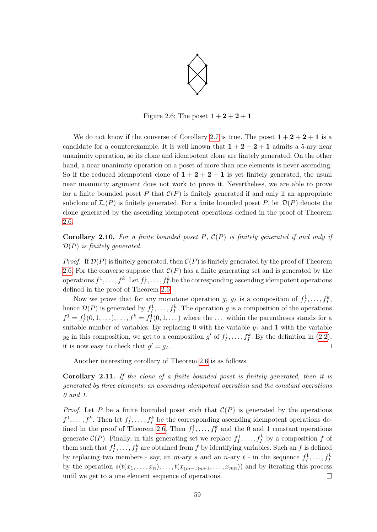

Figure 2.6: The poset  $1 + 2 + 2 + 1$ 

We do not know if the converse of Corollary [2.7](#page-58-2) is true. The poset  $1 + 2 + 2 + 1$  is a candidate for a counterexample. It is well known that  $1+2+2+1$  admits a 5-ary near unanimity operation, so its clone and idempotent clone are finitely generated. On the other hand, a near unanimity operation on a poset of more than one elements is never ascending. So if the reduced idempotent clone of  $1 + 2 + 2 + 1$  is yet finitely generated, the usual near unanimity argument does not work to prove it. Nevertheless, we are able to prove for a finite bounded poset P that  $C(P)$  is finitely generated if and only if an appropriate subclone of  $\mathcal{I}_r(P)$  is finitely generated. For a finite bounded poset P, let  $\mathcal{D}(P)$  denote the clone generated by the ascending idempotent operations defined in the proof of Theorem [2.6.](#page-58-3)

**Corollary 2.10.** For a finite bounded poset P,  $C(P)$  is finitely generated if and only if  $\mathcal{D}(P)$  is finitely generated.

*Proof.* If  $\mathcal{D}(P)$  is finitely generated, then  $\mathcal{C}(P)$  is finitely generated by the proof of Theorem [2.6.](#page-58-3) For the converse suppose that  $\mathcal{C}(P)$  has a finite generating set and is generated by the operations  $f^1, \ldots, f^k$ . Let  $f^1_I, \ldots, f^k_I$  be the corresponding ascending idempotent operations defined in the proof of Theorem [2.6.](#page-58-3)

Now we prove that for any monotone operation g,  $g_I$  is a composition of  $f_I^1, \ldots, f_I^k$ , hence  $\mathcal{D}(P)$  is generated by  $f_1^1, \ldots, f_I^k$ . The operation g is a composition of the operations  $f^1 = f_I^1(0, 1, \ldots), \ldots, f^k = f_I^1(0, 1, \ldots)$  where the  $\ldots$  within the parentheses stands for a suitable number of variables. By replacing 0 with the variable  $y_1$  and 1 with the variable  $y_2$  in this composition, we get to a composition g' of  $f_1^1, \ldots, f_I^k$ . By the definition in  $(2.2)$ , it is now easy to check that  $g' = g_I$ .  $\Box$ 

Another interesting corollary of Theorem [2.6](#page-58-3) is as follows.

Corollary 2.11. If the clone of a finite bounded poset is finitely generated, then it is generated by three elements: an ascending idempotent operation and the constant operations 0 and 1.

*Proof.* Let P be a finite bounded poset such that  $\mathcal{C}(P)$  is generated by the operations  $f^1, \ldots, f^k$ . Then let  $f^1_I, \ldots, f^k_I$  be the corresponding ascending idempotent operations de-fined in the proof of Theorem [2.6.](#page-58-3) Then  $f_I^1, \ldots, f_I^k$  and the 0 and 1 constant operations generate  $C(P)$ . Finally, in this generating set we replace  $f_1^1, \ldots, f_I^k$  by a composition f of them such that  $f_1^1, \ldots, f_I^k$  are obtained from f by identifying variables. Such an f is defined by replacing two members - say, an *m*-ary *s* and an *n*-ary *t* - in the sequence  $f_1^1, \ldots, f_I^k$ by the operation  $s(t(x_1, \ldots, x_n), \ldots, t(x_{(m-1)n+1}, \ldots, x_{mn}))$  and by iterating this process until we get to a one element sequence of operations.  $\Box$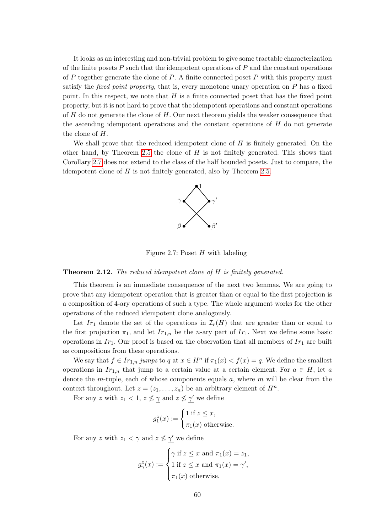It looks as an interesting and non-trivial problem to give some tractable characterization of the finite posets  $P$  such that the idempotent operations of  $P$  and the constant operations of P together generate the clone of P. A finite connected poset P with this property must satisfy the *fixed point property*, that is, every monotone unary operation on  $P$  has a fixed point. In this respect, we note that  $H$  is a finite connected poset that has the fixed point property, but it is not hard to prove that the idempotent operations and constant operations of  $H$  do not generate the clone of  $H$ . Our next theorem yields the weaker consequence that the ascending idempotent operations and the constant operations of H do not generate the clone of H.

We shall prove that the reduced idempotent clone of  $H$  is finitely generated. On the other hand, by Theorem [2.5](#page-57-0) the clone of  $H$  is not finitely generated. This shows that Corollary [2.7](#page-58-2) does not extend to the class of the half bounded posets. Just to compare, the idempotent clone of  $H$  is not finitely generated, also by Theorem [2.5.](#page-57-0)



Figure 2.7: Poset  $H$  with labeling

#### Theorem 2.12. The reduced idempotent clone of H is finitely generated.

This theorem is an immediate consequence of the next two lemmas. We are going to prove that any idempotent operation that is greater than or equal to the first projection is a composition of 4-ary operations of such a type. The whole argument works for the other operations of the reduced idempotent clone analogously.

Let  $Ir_1$  denote the set of the operations in  $\mathcal{I}_r(H)$  that are greater than or equal to the first projection  $\pi_1$ , and let  $Ir_{1,n}$  be the *n*-ary part of  $Ir_1$ . Next we define some basic operations in  $Ir_1$ . Our proof is based on the observation that all members of  $Ir_1$  are built as compositions from these operations.

We say that  $f \in Ir_{1,n}$  jumps to q at  $x \in H^n$  if  $\pi_1(x) < f(x) = q$ . We define the smallest operations in  $Ir_{1,n}$  that jump to a certain value at a certain element. For  $a \in H$ , let  $\underline{a}$ denote the m-tuple, each of whose components equals  $a$ , where m will be clear from the context throughout. Let  $z = (z_1, \ldots, z_n)$  be an arbitrary element of  $H^n$ .

For any z with  $z_1 < 1$ ,  $z \nleq \gamma$  and  $z \nleq \gamma'$  we define

$$
g_1^z(x) := \begin{cases} 1 \text{ if } z \leq x, \\ \pi_1(x) \text{ otherwise.} \end{cases}
$$

For any z with  $z_1 < \gamma$  and  $z \not\leq \gamma'$  we define

$$
g_{\gamma}^{z}(x) := \begin{cases} \gamma \text{ if } z \leq x \text{ and } \pi_{1}(x) = z_{1}, \\ 1 \text{ if } z \leq x \text{ and } \pi_{1}(x) = \gamma', \\ \pi_{1}(x) \text{ otherwise.} \end{cases}
$$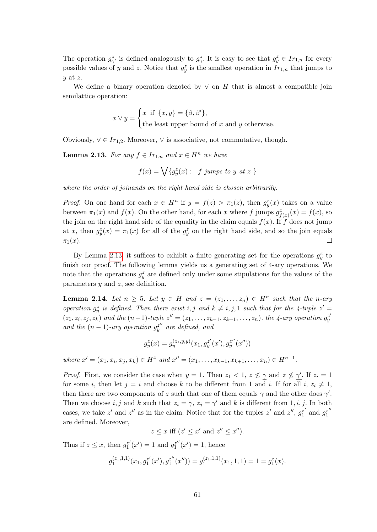The operation  $g_{\gamma'}^z$  is defined analogously to  $g_{\gamma}^z$ . It is easy to see that  $g_y^z \in Ir_{1,n}$  for every possible values of y and z. Notice that  $g_y^z$  is the smallest operation in  $Ir_{1,n}$  that jumps to  $y$  at  $z$ .

We define a binary operation denoted by  $\vee$  on H that is almost a compatible join semilattice operation:

$$
x \vee y = \begin{cases} x \text{ if } \{x, y\} = \{\beta, \beta'\}, \\ \text{the least upper bound of } x \text{ and } y \text{ otherwise.} \end{cases}
$$

Obviously,  $\vee \in Ir_{1,2}$ . Moreover,  $\vee$  is associative, not commutative, though.

<span id="page-61-0"></span>**Lemma 2.13.** For any  $f \in Ir_{1,n}$  and  $x \in H^n$  we have

$$
f(x) = \bigvee \{g_y^z(x): f \text{ jumps to } y \text{ at } z \}
$$

where the order of joinands on the right hand side is chosen arbitrarily.

*Proof.* On one hand for each  $x \in H^n$  if  $y = f(z) > \pi_1(z)$ , then  $g_y^z(x)$  takes on a value between  $\pi_1(x)$  and  $f(x)$ . On the other hand, for each x where f jumps  $g^x_{f(x)}(x) = f(x)$ , so the join on the right hand side of the equality in the claim equals  $f(x)$ . If f does not jump at x, then  $g_y^z(x) = \pi_1(x)$  for all of the  $g_y^z$  on the right hand side, and so the join equals  $\pi_1(x)$ .  $\Box$ 

By Lemma [2.13,](#page-61-0) it suffices to exhibit a finite generating set for the operations  $g_y^z$  to finish our proof. The following lemma yields us a generating set of 4-ary operations. We note that the operations  $g_y^z$  are defined only under some stipulations for the values of the parameters  $y$  and  $z$ , see definition.

**Lemma 2.14.** Let  $n \geq 5$ . Let  $y \in H$  and  $z = (z_1, \ldots, z_n) \in H^n$  such that the n-ary operation  $g_y^z$  is defined. Then there exist i, j and  $k \neq i, j, 1$  such that for the 4-tuple  $z' =$  $(z_1, z_i, z_j, z_k)$  and the  $(n-1)$ -tuple  $z'' = (z_1, \ldots, z_{k-1}, z_{k+1}, \ldots, z_n)$ , the 4-ary operation  $g^{z'}_y$ and the  $(n-1)$ -ary operation  $g_{y}^{z''}$  are defined, and

$$
g_y^z(x) = g_y^{(z_1,y,y)}(x_1, g_y^{z'}(x'), g_y^{z''}(x''))
$$

where  $x' = (x_1, x_i, x_j, x_k) \in H^4$  and  $x'' = (x_1, \ldots, x_{k-1}, x_{k+1}, \ldots, x_n) \in H^{n-1}$ .

*Proof.* First, we consider the case when  $y = 1$ . Then  $z_1 < 1$ ,  $z \nleq \gamma$  and  $z \nleq \gamma'$ . If  $z_i = 1$ for some i, then let  $j = i$  and choose k to be different from 1 and i. If for all  $i, z_i \neq 1$ , then there are two components of z such that one of them equals  $\gamma$  and the other does  $\gamma'$ . Then we choose  $i, j$  and k such that  $z_i = \gamma$ ,  $z_j = \gamma'$  and k is different from  $1, i, j$ . In both cases, we take z' and z'' as in the claim. Notice that for the tuples z' and z'',  $g_1^{z'}$  $g_1^{z'}$  and  $g_1^{z''}$ 1 are defined. Moreover,

$$
z \leq x
$$
 iff  $(z' \leq x' \text{ and } z'' \leq x'')$ .

Thus if  $z \leq x$ , then  $g_1^{z'}$  $j_1^{z'}(x') = 1$  and  $g_1^{z''}$  $i_1^{z''}(x') = 1$ , hence

$$
g_1^{(z_1,1,1)}(x_1,g_1^{z'}(x'),g_1^{z''}(x'')) = g_1^{(z_1,1,1)}(x_1,1,1) = 1 = g_1^{z}(x).
$$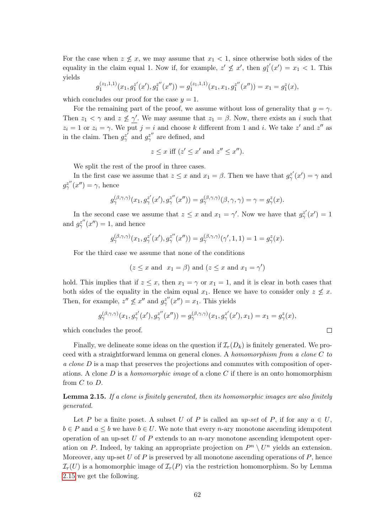For the case when  $z \nleq x$ , we may assume that  $x_1 < 1$ , since otherwise both sides of the equality in the claim equal 1. Now if, for example,  $z' \nleq x'$ , then  $g_1^{z'}$  $x_1^{z'}(x') = x_1 < 1$ . This yields

$$
g_1^{(z_1,1,1)}(x_1,g_1^{z'}(x'),g_1^{z''}(x'')) = g_1^{(z_1,1,1)}(x_1,x_1,g_1^{z''}(x'')) = x_1 = g_1^{z}(x),
$$

which concludes our proof for the case  $y = 1$ .

For the remaining part of the proof, we assume without loss of generality that  $y = \gamma$ . Then  $z_1 < \gamma$  and  $z \not\leq \gamma'$ . We may assume that  $z_1 = \beta$ . Now, there exists an i such that  $z_i = 1$  or  $z_i = \gamma$ . We put  $j = i$  and choose k different from 1 and i. We take z' and z'' as in the claim. Then  $g_{\gamma}^{z'}$  and  $g_{\gamma}^{z''}$  are defined, and

$$
z \le x \text{ iff } (z' \le x' \text{ and } z'' \le x'').
$$

We split the rest of the proof in three cases.

In the first case we assume that  $z \leq x$  and  $x_1 = \beta$ . Then we have that  $g_{\gamma}^{z'}(x') = \gamma$  and  $g_{\gamma}^{z''}(x'') = \gamma$ , hence

$$
g_{\gamma}^{(\beta,\gamma,\gamma)}(x_1, g_{\gamma}^{z'}(x'), g_{\gamma}^{z''}(x'')) = g_{\gamma}^{(\beta,\gamma,\gamma)}(\beta,\gamma,\gamma) = \gamma = g_{\gamma}^{z}(x).
$$

In the second case we assume that  $z \leq x$  and  $x_1 = \gamma'$ . Now we have that  $g_{\gamma}^{z'}(x') = 1$ and  $g_{\gamma}^{z''}(x'') = 1$ , and hence

$$
g_{\gamma}^{(\beta,\gamma,\gamma)}(x_1, g_{\gamma}^{z'}(x'), g_{\gamma}^{z''}(x'')) = g_{\gamma}^{(\beta,\gamma,\gamma)}(\gamma',1,1) = 1 = g_{\gamma}^{z}(x).
$$

For the third case we assume that none of the conditions

$$
(z \le x \text{ and } x_1 = \beta) \text{ and } (z \le x \text{ and } x_1 = \gamma')
$$

hold. This implies that if  $z \leq x$ , then  $x_1 = \gamma$  or  $x_1 = 1$ , and it is clear in both cases that both sides of the equality in the claim equal  $x_1$ . Hence we have to consider only  $z \nleq x$ . Then, for example,  $z'' \nleq x''$  and  $g_{\gamma}^{z''}(x'') = x_1$ . This yields

$$
g_{\gamma}^{(\beta,\gamma,\gamma)}(x_1, g_{\gamma}^{z'}(x'), g_{\gamma}^{z''}(x'')) = g_{\gamma}^{(\beta,\gamma,\gamma)}(x_1, g_{\gamma}^{z'}(x'), x_1) = x_1 = g_{\gamma}^{z}(x),
$$

which concludes the proof.

Finally, we delineate some ideas on the question if  $\mathcal{I}_r(D_k)$  is finitely generated. We proceed with a straightforward lemma on general clones. A homomorphism from a clone C to a clone D is a map that preserves the projections and commutes with composition of operations. A clone D is a *homomorphic image* of a clone C if there is an onto homomorphism from  $C$  to  $D$ .

<span id="page-62-0"></span>Lemma 2.15. If a clone is finitely generated, then its homomorphic images are also finitely generated.

Let P be a finite poset. A subset U of P is called an up-set of P, if for any  $a \in U$ ,  $b \in P$  and  $a \leq b$  we have  $b \in U$ . We note that every *n*-ary monotone ascending idempotent operation of an up-set  $U$  of  $P$  extends to an n-ary monotone ascending idempotent operation on P. Indeed, by taking an appropriate projection on  $P^n \setminus U^n$  yields an extension. Moreover, any up-set U of P is preserved by all monotone ascending operations of  $P$ , hence  $\mathcal{I}_{r}(U)$  is a homomorphic image of  $\mathcal{I}_{r}(P)$  via the restriction homomorphism. So by Lemma [2.15](#page-62-0) we get the following.

 $\Box$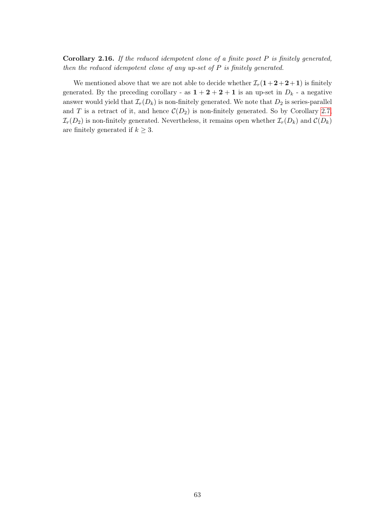Corollary 2.16. If the reduced idempotent clone of a finite poset  $P$  is finitely generated, then the reduced idempotent clone of any up-set of  $P$  is finitely generated.

We mentioned above that we are not able to decide whether  $\mathcal{I}_r(1+2+2+1)$  is finitely generated. By the preceding corollary - as  $1 + 2 + 2 + 1$  is an up-set in  $D_k$  - a negative answer would yield that  $\mathcal{I}_r(D_k)$  is non-finitely generated. We note that  $D_2$  is series-parallel and T is a retract of it, and hence  $\mathcal{C}(D_2)$  is non-finitely generated. So by Corollary [2.7,](#page-58-2)  $\mathcal{I}_r(D_2)$  is non-finitely generated. Nevertheless, it remains open whether  $\mathcal{I}_r(D_k)$  and  $\mathcal{C}(D_k)$ are finitely generated if  $k \geq 3$ .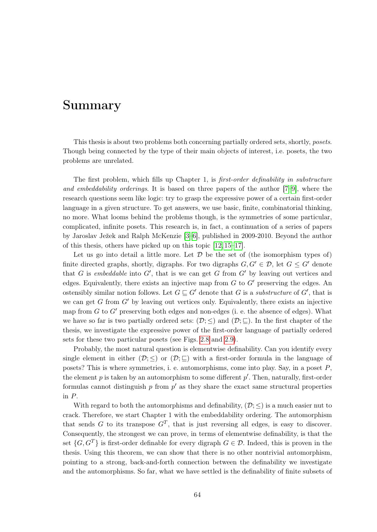## Summary

This thesis is about two problems both concerning partially ordered sets, shortly, posets. Though being connected by the type of their main objects of interest, i.e. posets, the two problems are unrelated.

The first problem, which fills up Chapter 1, is first-order definability in substructure and embeddability orderings. It is based on three papers of the author [\[7–](#page-73-0)[9\]](#page-73-1), where the research questions seem like logic: try to grasp the expressive power of a certain first-order language in a given structure. To get answers, we use basic, finite, combinatorial thinking, no more. What looms behind the problems though, is the symmetries of some particular, complicated, infinite posets. This research is, in fact, a continuation of a series of papers by Jaroslav Ježek and Ralph McKenzie [\[3–](#page-73-6)[6\]](#page-73-7), published in 2009-2010. Beyond the author of this thesis, others have picked up on this topic [\[12,](#page-73-8) [15–](#page-74-3)[17\]](#page-74-4).

Let us go into detail a little more. Let  $\mathcal D$  be the set of (the isomorphism types of) finite directed graphs, shortly, digraphs. For two digraphs  $G, G' \in \mathcal{D}$ , let  $G \leq G'$  denote that G is embeddable into  $G'$ , that is we can get G from  $G'$  by leaving out vertices and edges. Equivalently, there exists an injective map from  $G$  to  $G'$  preserving the edges. An ostensibly similar notion follows. Let  $G \sqsubseteq G'$  denote that G is a substructure of G', that is we can get G from  $G'$  by leaving out vertices only. Equivalently, there exists an injective map from  $G$  to  $G'$  preserving both edges and non-edges (i. e. the absence of edges). What we have so far is two partially ordered sets:  $(\mathcal{D}; \leq)$  and  $(\mathcal{D}; \subseteq)$ . In the first chapter of the thesis, we investigate the expressive power of the first-order language of partially ordered sets for these two particular posets (see Figs. [2.8](#page-65-0) and [2.9\)](#page-65-1).

Probably, the most natural question is elementwise definability. Can you identify every single element in either  $(\mathcal{D}; \leq)$  or  $(\mathcal{D}; \subseteq)$  with a first-order formula in the language of posets? This is where symmetries, i. e. automorphisms, come into play. Say, in a poset P, the element  $p$  is taken by an automorphism to some different  $p'$ . Then, naturally, first-order formulas cannot distinguish  $p$  from  $p'$  as they share the exact same structural properties in P.

With regard to both the automorphisms and definability,  $(\mathcal{D}; <)$  is a much easier nut to crack. Therefore, we start Chapter 1 with the embeddability ordering. The automorphism that sends G to its transpose  $G<sup>T</sup>$ , that is just reversing all edges, is easy to discover. Consequently, the strongest we can prove, in terms of elementwise definability, is that the set  $\{G, G^T\}$  is first-order definable for every digraph  $G \in \mathcal{D}$ . Indeed, this is proven in the thesis. Using this theorem, we can show that there is no other nontrivial automorphism, pointing to a strong, back-and-forth connection between the definability we investigate and the automorphisms. So far, what we have settled is the definability of finite subsets of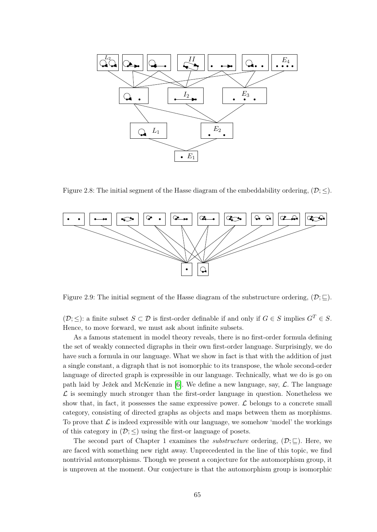

<span id="page-65-0"></span>Figure 2.8: The initial segment of the Hasse diagram of the embeddability ordering,  $(\mathcal{D}; \leq)$ .



<span id="page-65-1"></span>Figure 2.9: The initial segment of the Hasse diagram of the substructure ordering,  $(\mathcal{D}; \subseteq)$ .

 $(\mathcal{D}; \leq)$ : a finite subset  $S \subset \mathcal{D}$  is first-order definable if and only if  $G \in S$  implies  $G^T \in S$ . Hence, to move forward, we must ask about infinite subsets.

As a famous statement in model theory reveals, there is no first-order formula defining the set of weakly connected digraphs in their own first-order language. Surprisingly, we do have such a formula in our language. What we show in fact is that with the addition of just a single constant, a digraph that is not isomorphic to its transpose, the whole second-order language of directed graph is expressible in our language. Technically, what we do is go on path laid by Ježek and McKenzie in [\[6\]](#page-73-7). We define a new language, say,  $\mathcal{L}$ . The language  $\mathcal L$  is seemingly much stronger than the first-order language in question. Nonetheless we show that, in fact, it possesses the same expressive power.  $\mathcal L$  belongs to a concrete small category, consisting of directed graphs as objects and maps between them as morphisms. To prove that  $\mathcal L$  is indeed expressible with our language, we somehow 'model' the workings of this category in  $(\mathcal{D}; \leq)$  using the first-or language of posets.

The second part of Chapter 1 examines the *substructure* ordering,  $(\mathcal{D}; \Box)$ . Here, we are faced with something new right away. Unprecedented in the line of this topic, we find nontrivial automorphisms. Though we present a conjecture for the automorphism group, it is unproven at the moment. Our conjecture is that the automorphism group is isomorphic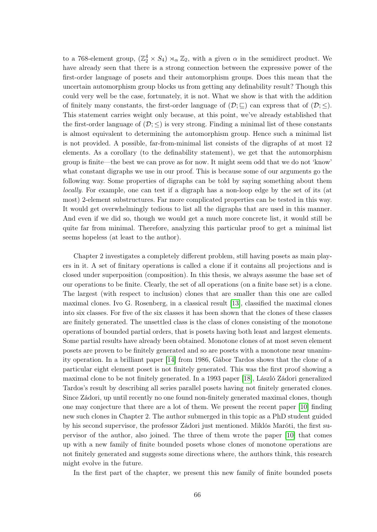to a 768-element group,  $(\mathbb{Z}_2^4 \times S_4) \rtimes_{\alpha} \mathbb{Z}_2$ , with a given  $\alpha$  in the semidirect product. We have already seen that there is a strong connection between the expressive power of the first-order language of posets and their automorphism groups. Does this mean that the uncertain automorphism group blocks us from getting any definability result? Though this could very well be the case, fortunately, it is not. What we show is that with the addition of finitely many constants, the first-order language of  $(\mathcal{D}; \subseteq)$  can express that of  $(\mathcal{D}; \le)$ . This statement carries weight only because, at this point, we've already established that the first-order language of  $(\mathcal{D}; \leq)$  is very strong. Finding a minimal list of these constants is almost equivalent to determining the automorphism group. Hence such a minimal list is not provided. A possible, far-from-minimal list consists of the digraphs of at most 12 elements. As a corollary (to the definability statement), we get that the automorphism group is finite—the best we can prove as for now. It might seem odd that we do not 'know' what constant digraphs we use in our proof. This is because some of our arguments go the following way. Some properties of digraphs can be told by saying something about them locally. For example, one can test if a digraph has a non-loop edge by the set of its (at most) 2-element substructures. Far more complicated properties can be tested in this way. It would get overwhelmingly tedious to list all the digraphs that are used in this manner. And even if we did so, though we would get a much more concrete list, it would still be quite far from minimal. Therefore, analyzing this particular proof to get a minimal list seems hopeless (at least to the author).

Chapter 2 investigates a completely different problem, still having posets as main players in it. A set of finitary operations is called a clone if it contains all projections and is closed under superposition (composition). In this thesis, we always assume the base set of our operations to be finite. Clearly, the set of all operations (on a finite base set) is a clone. The largest (with respect to inclusion) clones that are smaller than this one are called maximal clones. Ivo G. Rosenberg, in a classical result [\[13\]](#page-73-2), classified the maximal clones into six classes. For five of the six classes it has been shown that the clones of these classes are finitely generated. The unsettled class is the class of clones consisting of the monotone operations of bounded partial orders, that is posets having both least and largest elements. Some partial results have already been obtained. Monotone clones of at most seven element posets are proven to be finitely generated and so are posets with a monotone near unanimity operation. In a brilliant paper [\[14\]](#page-74-0) from 1986, Gábor Tardos shows that the clone of a particular eight element poset is not finitely generated. This was the first proof showing a maximal clone to be not finitely generated. In a 1993 paper [\[18\]](#page-74-1), László Zádori generalized Tardos's result by describing all series parallel posets having not finitely generated clones. Since Zádori, up until recently no one found non-finitely generated maximal clones, though one may conjecture that there are a lot of them. We present the recent paper [\[10\]](#page-73-9) finding new such clones in Chapter 2. The author submerged in this topic as a PhD student guided by his second supervisor, the professor Zádori just mentioned. Miklós Maróti, the first supervisor of the author, also joined. The three of them wrote the paper [\[10\]](#page-73-9) that comes up with a new family of finite bounded posets whose clones of monotone operations are not finitely generated and suggests some directions where, the authors think, this research might evolve in the future.

In the first part of the chapter, we present this new family of finite bounded posets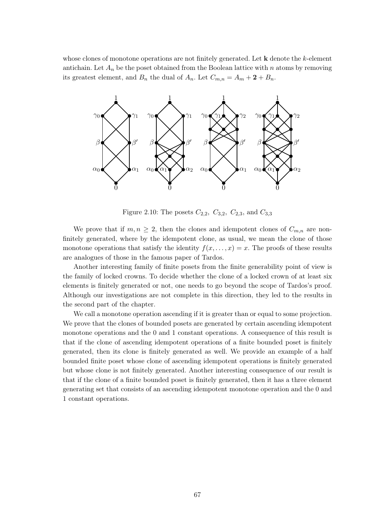whose clones of monotone operations are not finitely generated. Let  $k$  denote the  $k$ -element antichain. Let  $A_n$  be the poset obtained from the Boolean lattice with n atoms by removing its greatest element, and  $B_n$  the dual of  $A_n$ . Let  $C_{m,n} = A_m + 2 + B_n$ .



Figure 2.10: The posets  $C_{2,2}$ ,  $C_{3,2}$ ,  $C_{2,3}$ , and  $C_{3,3}$ 

We prove that if  $m, n \geq 2$ , then the clones and idempotent clones of  $C_{m,n}$  are nonfinitely generated, where by the idempotent clone, as usual, we mean the clone of those monotone operations that satisfy the identity  $f(x, \ldots, x) = x$ . The proofs of these results are analogues of those in the famous paper of Tardos.

Another interesting family of finite posets from the finite generability point of view is the family of locked crowns. To decide whether the clone of a locked crown of at least six elements is finitely generated or not, one needs to go beyond the scope of Tardos's proof. Although our investigations are not complete in this direction, they led to the results in the second part of the chapter.

We call a monotone operation ascending if it is greater than or equal to some projection. We prove that the clones of bounded posets are generated by certain ascending idempotent monotone operations and the 0 and 1 constant operations. A consequence of this result is that if the clone of ascending idempotent operations of a finite bounded poset is finitely generated, then its clone is finitely generated as well. We provide an example of a half bounded finite poset whose clone of ascending idempotent operations is finitely generated but whose clone is not finitely generated. Another interesting consequence of our result is that if the clone of a finite bounded poset is finitely generated, then it has a three element generating set that consists of an ascending idempotent monotone operation and the 0 and 1 constant operations.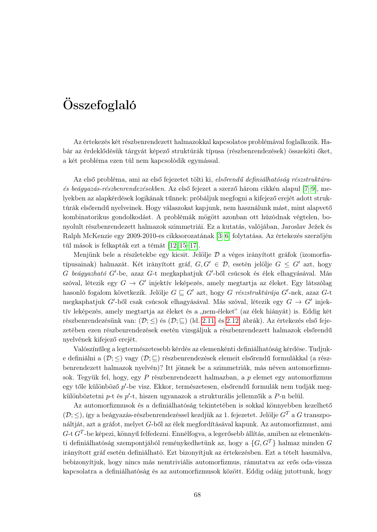# Összefoglaló

Az értekezés két részbenrendezett halmazokkal kapcsolatos problémával foglalkozik. Habár az érdeklődésük tárgyát képező struktúrák típusa (részbenrendezések) összeköti őket, a két probléma ezen túl nem kapcsolódik egymással.

Az első probléma, ami az első fejezetet tölti ki, elsőrendű definiálhatóság részstruktúraés beágyazás-részbenrendezésekben. Az első fejezet a szerző három cikkén alapul [\[7](#page-73-0)[–9\]](#page-73-1), melyekben az alapkérdések logikának tűnnek: próbáljuk megfogni a kifejező erejét adott struktúrák elsőrendű nyelveinek. Hogy válaszokat kapjunk, nem használunk mást, mint alapvető kombinatorikus gondolkodást. A problémák mögött azonban ott húzódnak végtelen, bonyolult részbenrendezett halmazok szimmetriái. Ez a kutatás, valójában, Jaroslav Ježek és Ralph McKenzie egy 2009-2010-es cikksorozatának [\[3](#page-73-6)[–6\]](#page-73-7) folytatása. Az értekezés szerzőjén túl mások is felkapták ezt a témát [\[12,](#page-73-8) [15–](#page-74-3)[17\]](#page-74-4).

Menjünk bele a részletekbe egy kicsit. Jelölje  $\mathcal D$  a véges irányított gráfok (izomorfiatípusainak) halmazát. Két irányított gráf,  $G, G' \in \mathcal{D}$ , esetén jelölje  $G \leq G'$  azt, hogy  $G$  beágyazható  $G'$ -be, azaz  $G$ -t megkaphatjuk  $G'$ -ből csúcsok és élek elhagyásával. Más szóval, létezik egy  $G \to G'$  injektív leképezés, amely megtartja az éleket. Egy látszólag hasonló fogalom következik. Jelölje  $G \sqsubseteq G'$  azt, hogy  $G$  részstruktúrája  $G'$ -nek, azaz  $G$ -t megkaphatjuk  $G'$ -ből csak csúcsok elhagyásával. Más szóval, létezik egy  $G \to G'$  injektív leképezés, amely megtartja az éleket és a "nem-éleket" (az élek hiányát) is. Eddig két részbenrendezésünk van:  $(\mathcal{D}; \leq)$  és  $(\mathcal{D}; \sqsubseteq)$  (ld. [2.11.](#page-69-0) és [2.12.](#page-69-1) ábrák). Az értekezés első fejezetében ezen részbenrendezések esetén vizsgáljuk a részbenrendezett halmazok elsőrendű nyelvének kifejező erejét.

Valószínűleg a legtermészetesebb kérdés az elemenkénti definiálhatóság kérdése. Tudjuke definiálni a  $(\mathcal{D}; \leq)$  vagy  $(\mathcal{D}; \subseteq)$  részbenrendezések elemeit elsőrendű formulákkal (a részbenrendezett halmazok nyelvén)? Itt jönnek be a szimmetriák, más néven automorfizmusok. Tegyük fel, hogy, egy P részbenrendezett halmazban, a p elemet egy automorfizmus egy tőle különböző  $p'$ -be visz. Ekkor, természetesen, elsőrendű formulák nem tudják megkülönböztetni p-t és p'-t, hiszen ugyanazok a strukturális jellemzőik a P-n belül.

Az automorfizmusok és a definiálhatóság tekintetében is sokkal könnyebben kezelhető  $(\mathcal{D};<)$ , így a beágyazás-részbenrendezéssel kezdjük az 1. fejezetet. Jelölje  $G<sup>T</sup>$  a G transzponáltját, azt a gráfot, melyet G-ből az élek megfordításával kapunk. Az automorfizmust, ami  $G$ -t  $G^T$ -be képezi, könnyű felfedezni. Ennélfogva, a legerősebb állítás, amiben az elemenkénti definiálhatóság szempontjából reménykedhetünk az, hogy a  $\{G, G^T\}$  halmaz minden G irányított gráf esetén definiálható. Ezt bizonyítjuk az értekezésben. Ezt a tételt használva, bebizonyítjuk, hogy nincs más nemtriviális automorfizmus, rámutatva az erős oda-vissza kapcsolatra a definiálhatóság és az automorfizmusok között. Eddig odáig jutottunk, hogy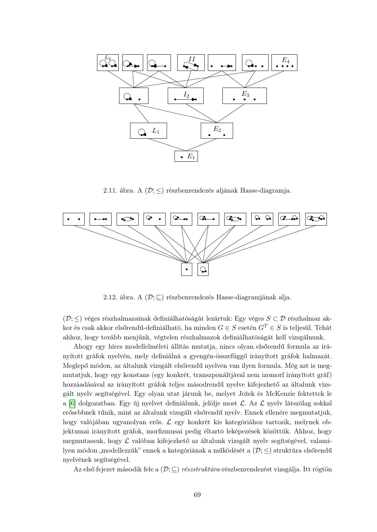

<span id="page-69-0"></span>2.11. ábra. A $(\mathcal{D}; \leq)$ részbenrendezés aljának Hasse-diagramja.



<span id="page-69-1"></span>2.12. ábra. A  $(\mathcal{D}; \sqsubseteq)$  részbenrendezés Hasse-diagramjának alja.

(D; ≤) véges részhalmazainak definiálhatóságát lezártuk: Egy véges S ⊂ D részhalmaz akkor és csak akkor elsőrendű-definiálható, ha minden  $G \in S$  esetén  $G^T \in S$  is teljesül. Tehát ahhoz, hogy tovább menjünk, végtelen részhalmazok definiálhatóságát kell vizsgálnunk.

Ahogy egy híres modellelméleti állítás mutatja, nincs olyan elsőrendű formula az irányított gráfok nyelvén, mely definiálná a gyengén-összefüggő irányított gráfok halmazát. Meglepő módon, az általunk vizsgált elsőrendű nyelven van ilyen formula. Még azt is megmutatjuk, hogy egy konstans (egy konkrét, transzponáltjával nem izomorf irányított gráf) hozzáadásával az irányított gráfok teljes másodrendű nyelve kifejezhető az általunk vizsgált nyelv segítségével. Egy olyan utat járunk be, melyet Ježek és McKenzie fektettek le a  $[6]$  dolgozatban. Egy új nyelvet definiálunk, jelölje most  $\mathcal{L}$ . Az  $\mathcal{L}$  nyelv látszólag sokkal erősebbnek tűnik, mint az általunk vizsgált elsőrendű nyelv. Ennek ellenére megmutatjuk, hogy valójában ugyanolyan erős. L egy konkrét kis kategóriához tartozik, melynek objektumai irányított gráfok, morfizmusai pedig éltartó leképezések közöttük. Ahhoz, hogy megmutassuk, hogy L valóban kifejezhető az általunk vizsgált nyelv segítségével, valamilyen módon "modellezzük" ennek a kategóriának a működését a  $(\mathcal{D}; \leq)$  struktúra elsőrendű nyelvének segítségével.

Az első fejezet második fele a  $(\mathcal{D}; \sqsubseteq)$  részstruktúra-részbenrendezést vizsgálja. Itt rögtön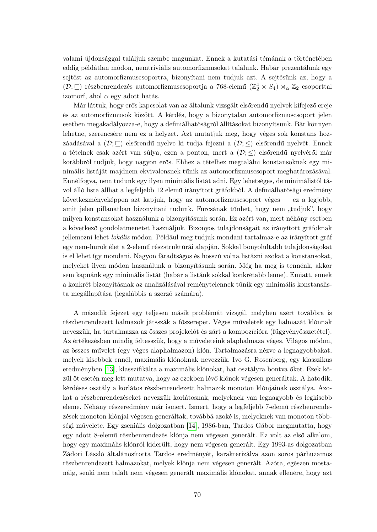valami újdonsággal találjuk szembe magunkat. Ennek a kutatási témának a történetében eddig példátlan módon, nemtriviális automorfizmusokat találunk. Habár prezentálunk egy sejtést az automorfizmuscsoportra, bizonyítani nem tudjuk azt. A sejtésünk az, hogy a  $(\mathcal{D};\sqsubseteq)$ részbenrendezés automorfizmuscsoportja a 768-elemű $(\mathbb{Z}_2^4\times S_4)\rtimes_\alpha\mathbb{Z}_2$ csoporttal izomorf, ahol  $\alpha$  egy adott hatás.

Már láttuk, hogy erős kapcsolat van az általunk vizsgált elsőrendű nyelvek kifejező ereje és az automorfizmusok között. A kérdés, hogy a bizonytalan automorfizmuscsoport jelen esetben megakadályozza-e, hogy a definiálhatóságról állításokat bizonyítsunk. Bár könnyen lehetne, szerencsére nem ez a helyzet. Azt mutatjuk meg, hogy véges sok konstans hozzáadásával a  $(\mathcal{D}; \square)$  elsőrendű nyelve ki tudja fejezni a  $(\mathcal{D}; \leq)$  elsőrendű nyelvét. Ennek a tételnek csak azért van súlya, ezen a ponton, mert a  $(\mathcal{D}; \leq)$  elsőrendű nyelvéről már korábbról tudjuk, hogy nagyon erős. Ehhez a tételhez megtalálni konstansoknak egy minimális listáját majdnem ekvivalensnek tűnik az automorfizmuscsoport meghatározásával. Ennélfogva, nem tudunk egy ilyen minimális listát adni. Egy lehetséges, de minimálistól távol álló lista állhat a legfeljebb 12 elemű irányított gráfokból. A definiálhatósági eredmény következményeképpen azt kapjuk, hogy az automorfizmuscsoport véges — ez a legjobb, amit jelen pillanatban bizonyítani tudunk. Furcsának tűnhet, hogy nem "tudjuk", hogy milyen konstansokat használunk a bizonyításunk során. Ez azért van, mert néhány esetben a következő gondolatmenetet használjuk. Bizonyos tulajdonságait az irányított gráfoknak jellemezni lehet lokális módon. Például meg tudjuk mondani tartalmaz-e az irányított gráf egy nem-hurok élet a 2-elemű részstruktúrái alapján. Sokkal bonyolultabb tulajdonságokat is el lehet így mondani. Nagyon fáradtságos és hosszú volna listázni azokat a konstansokat, melyeket ilyen módon használunk a bizonyításunk során. Még ha meg is tennénk, akkor sem kapnánk egy minimális listát (habár a listánk sokkal konkrétabb lenne). Emiatt, ennek a konkrét bizonyításnak az analizálásával reménytelennek tűnik egy minimális konstanslista megállapítása (legalábbis a szerző számára).

A második fejezet egy teljesen másik problémát vizsgál, melyben azért továbbra is részbenrendezett halmazok játsszák a főszerepet. Véges műveletek egy halmazát klónnak nevezzük, ha tartalmazza az összes projekciót és zárt a kompozícióra (függvényösszetétel). Az értékezésben mindig feltesszük, hogy a műveleteink alaphalmaza véges. Világos módon, az összes művelet (egy véges alaphalmazon) klón. Tartalmazásra nézve a legnagyobbakat, melyek kisebbek ennél, maximális klónoknak nevezzük. Ivo G. Rosenberg, egy klasszikus eredményben [\[13\]](#page-73-2), klasszifikálta a maximális klónokat, hat osztályra bontva őket. Ezek közül öt esetén meg lett mutatva, hogy az ezekben lévő klónok végesen generáltak. A hatodik, kérdéses osztály a korlátos részbenrendezett halmazok monoton klónjainak osztálya. Azokat a részbenrendezéseket nevezzük korlátosnak, melyeknek van legnagyobb és legkisebb eleme. Néhány részeredmény már ismert. Ismert, hogy a legfeljebb 7-elemű részbenrendezések monoton klónjai végesen generáltak, továbbá azoké is, melyeknek van monoton többségi művelete. Egy zseniális dolgozatban [\[14\]](#page-74-0), 1986-ban, Tardos Gábor megmutatta, hogy egy adott 8-elemű részbenrendezés klónja nem végesen generált. Ez volt az első alkalom, hogy egy maximális klónról kiderült, hogy nem végesen generált. Egy 1993-as dolgozatban Zádori László általánosította Tardos eredményét, karakterizálva azon soros párhuzamos részbenrendezett halmazokat, melyek klónja nem végesen generált. Azóta, egészen mostanáig, senki nem talált nem végesen generált maximális klónokat, annak ellenére, hogy azt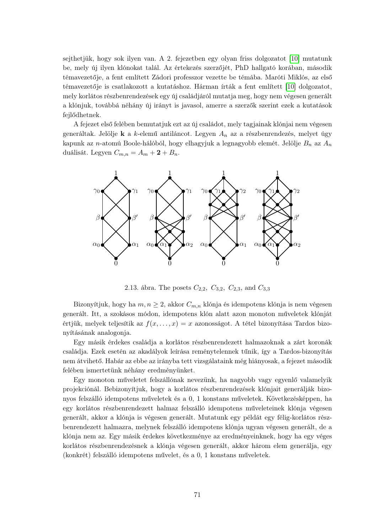sejthetjük, hogy sok ilyen van. A 2. fejezetben egy olyan friss dolgozatot [\[10\]](#page-73-9) mutatunk be, mely új ilyen klónokat talál. Az értekezés szerzőjét, PhD hallgató korában, második témavezetője, a fent említett Zádori professzor vezette be témába. Maróti Miklós, az első témavezetője is csatlakozott a kutatáshoz. Hárman írták a fent említett [\[10\]](#page-73-9) dolgozatot, mely korlátos részbenrendezések egy új családjáról mutatja meg, hogy nem végesen generált a klónjuk, továbbá néhány új irányt is javasol, amerre a szerzők szerint ezek a kutatások fejlődhetnek.

A fejezet első felében bemutatjuk ezt az új családot, mely tagjainak klónjai nem végesen generáltak. Jelölje k a k-elemű antiláncot. Legyen  $A_n$  az a részbenrendezés, melyet úgy kapunk az n-atomú Boole-hálóból, hogy elhagyjuk a legnagyobb elemét. Jelölje  $B_n$  az  $A_n$ duálisát. Legyen  $C_{m,n} = A_m + 2 + B_n$ .



2.13. ábra. The posets  $C_{2,2}$ ,  $C_{3,2}$ ,  $C_{2,3}$ , and  $C_{3,3}$ 

Bizonyítjuk, hogy ha  $m, n \geq 2$ , akkor  $C_{m,n}$  klónja és idempotens klónja is nem végesen generált. Itt, a szokásos módon, idempotens klón alatt azon monoton műveletek klónját értjük, melyek teljesítik az  $f(x, \ldots, x) = x$  azonosságot. A tétel bizonyítása Tardos bizonyításának analogonja.

Egy másik érdekes családja a korlátos részbenrendezett halmazoknak a zárt koronák családja. Ezek esetén az akadályok leírása reménytelennek tűnik, így a Tardos-bizonyítás nem átvihető. Habár az ebbe az irányba tett vizsgálataink még hiányosak, a fejezet második felében ismertetünk néhány eredményünket.

Egy monoton műveletet felszállónak nevezünk, ha nagyobb vagy egyenlő valamelyik projekciónál. Bebizonyítjuk, hogy a korlátos részbenrendezések klónjait generálják bizonyos felszálló idempotens műveletek és a 0, 1 konstans műveletek. Következésképpen, ha egy korlátos részbenrendezett halmaz felszálló idempotens műveleteinek klónja végesen generált, akkor a klónja is végesen generált. Mutatunk egy példát egy félig-korlátos részbenrendezett halmazra, melynek felszálló idempotens klónja ugyan végesen generált, de a klónja nem az. Egy másik érdekes következménye az eredményeinknek, hogy ha egy véges korlátos részbenrendezésnek a klónja végesen generált, akkor három elem generálja, egy (konkrét) felszálló idempotens művelet, és a 0, 1 konstans műveletek.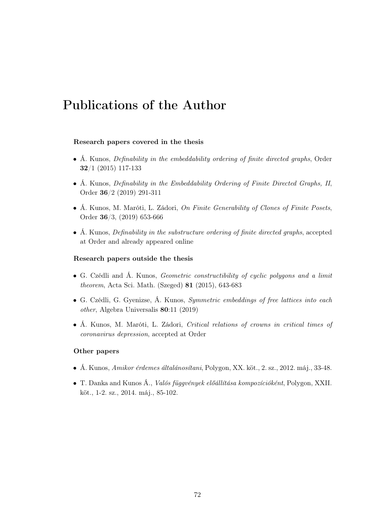# Publications of the Author

### Research papers covered in the thesis

- Á. Kunos, Definability in the embeddability ordering of finite directed graphs, Order 32/1 (2015) 117-133
- Á. Kunos, Definability in the Embeddability Ordering of Finite Directed Graphs, II, Order 36/2 (2019) 291-311
- Á. Kunos, M. Maróti, L. Zádori, On Finite Generability of Clones of Finite Posets, Order 36/3, (2019) 653-666
- Á. Kunos, *Definability in the substructure ordering of finite directed graphs*, accepted at Order and already appeared online

### Research papers outside the thesis

- G. Czédli and Á. Kunos, Geometric constructibility of cyclic polygons and a limit theorem, Acta Sci. Math. (Szeged) 81 (2015), 643-683
- G. Czédli, G. Gyenizse, Á. Kunos, Symmetric embeddings of free lattices into each other, Algebra Universalis 80:11 (2019)
- Á. Kunos, M. Maróti, L. Zádori, Critical relations of crowns in critical times of coronavirus depression, accepted at Order

#### Other papers

- Á. Kunos, Amikor érdemes általánosítani, Polygon, XX. köt., 2. sz., 2012. máj., 33-48.
- T. Danka and Kunos Á., Valós függvények előállítása kompozícióként, Polygon, XXII. köt., 1-2. sz., 2014. máj., 85-102.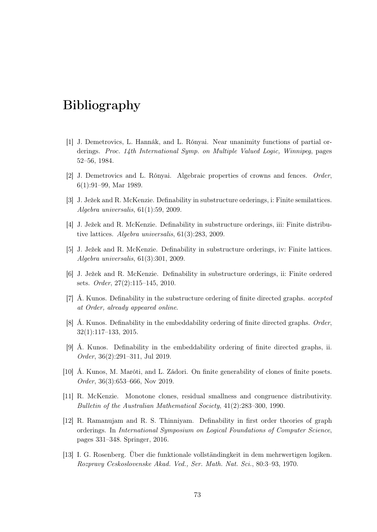## Bibliography

- [1] J. Demetrovics, L. Hannák, and L. Rónyai. Near unanimity functions of partial orderings. Proc. 14th International Symp. on Multiple Valued Logic, Winnipeg, pages 52–56, 1984.
- [2] J. Demetrovics and L. Rónyai. Algebraic properties of crowns and fences. Order, 6(1):91–99, Mar 1989.
- [3] J. Ježek and R. McKenzie. Definability in substructure orderings, i: Finite semilattices. Algebra universalis, 61(1):59, 2009.
- [4] J. Ježek and R. McKenzie. Definability in substructure orderings, iii: Finite distributive lattices. Algebra universalis, 61(3):283, 2009.
- [5] J. Ježek and R. McKenzie. Definability in substructure orderings, iv: Finite lattices. Algebra universalis, 61(3):301, 2009.
- [6] J. Ježek and R. McKenzie. Definability in substructure orderings, ii: Finite ordered sets. Order, 27(2):115–145, 2010.
- [7] Á. Kunos. Definability in the substructure ordering of finite directed graphs. accepted at Order, already appeared online.
- [8] Á. Kunos. Definability in the embeddability ordering of finite directed graphs. Order, 32(1):117–133, 2015.
- [9] Á. Kunos. Definability in the embeddability ordering of finite directed graphs, ii. Order, 36(2):291–311, Jul 2019.
- [10] Á. Kunos, M. Maróti, and L. Zádori. On finite generability of clones of finite posets. Order, 36(3):653–666, Nov 2019.
- [11] R. McKenzie. Monotone clones, residual smallness and congruence distributivity. Bulletin of the Australian Mathematical Society, 41(2):283–300, 1990.
- [12] R. Ramanujam and R. S. Thinniyam. Definability in first order theories of graph orderings. In International Symposium on Logical Foundations of Computer Science, pages 331–348. Springer, 2016.
- [13] I. G. Rosenberg. Über die funktionale vollständingkeit in dem mehrwertigen logiken. Rozpravy Ceskoslovenske Akad. Ved., Ser. Math. Nat. Sci., 80:3–93, 1970.